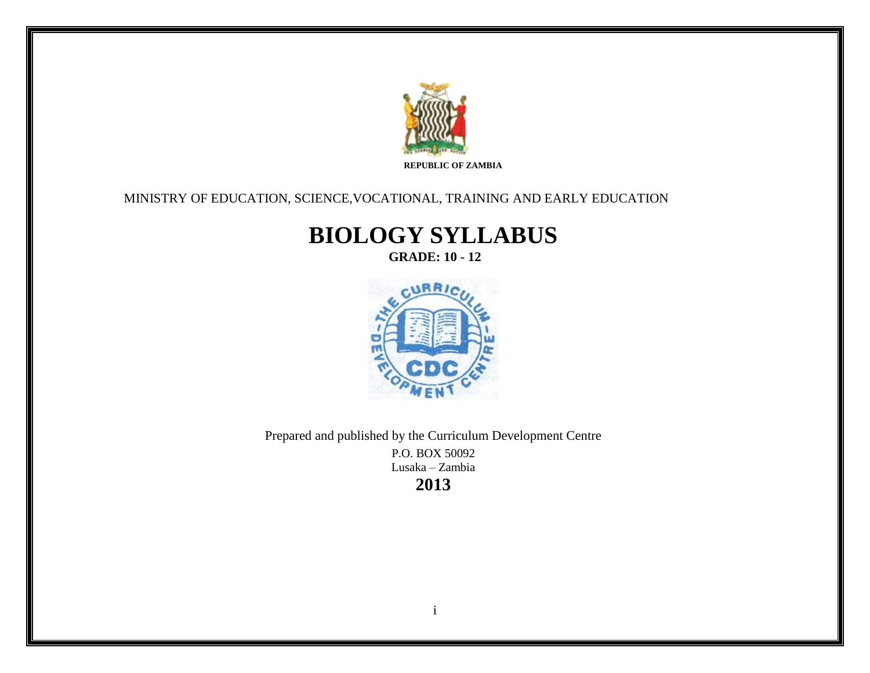

### MINISTRY OF EDUCATION, SCIENCE,VOCATIONAL, TRAINING AND EARLY EDUCATION

# **BIOLOGY SYLLABUS**

**GRADE: 10 - 12**



Prepared and published by the Curriculum Development Centre P.O. BOX 50092 Lusaka – Zambia **2013**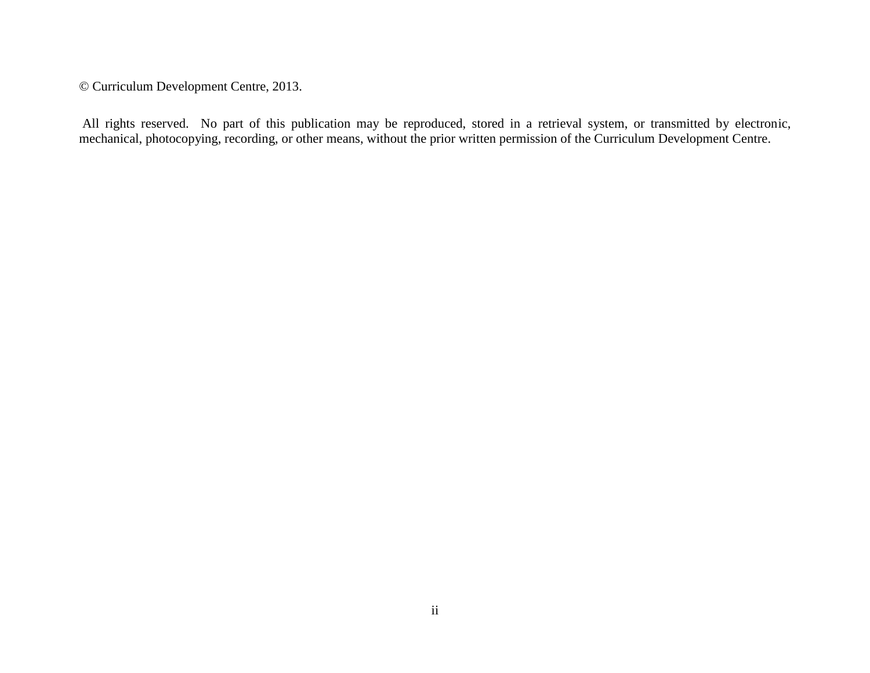© Curriculum Development Centre, 2013.

All rights reserved. No part of this publication may be reproduced, stored in a retrieval system, or transmitted by electronic, mechanical, photocopying, recording, or other means, without the prior written permission of the Curriculum Development Centre.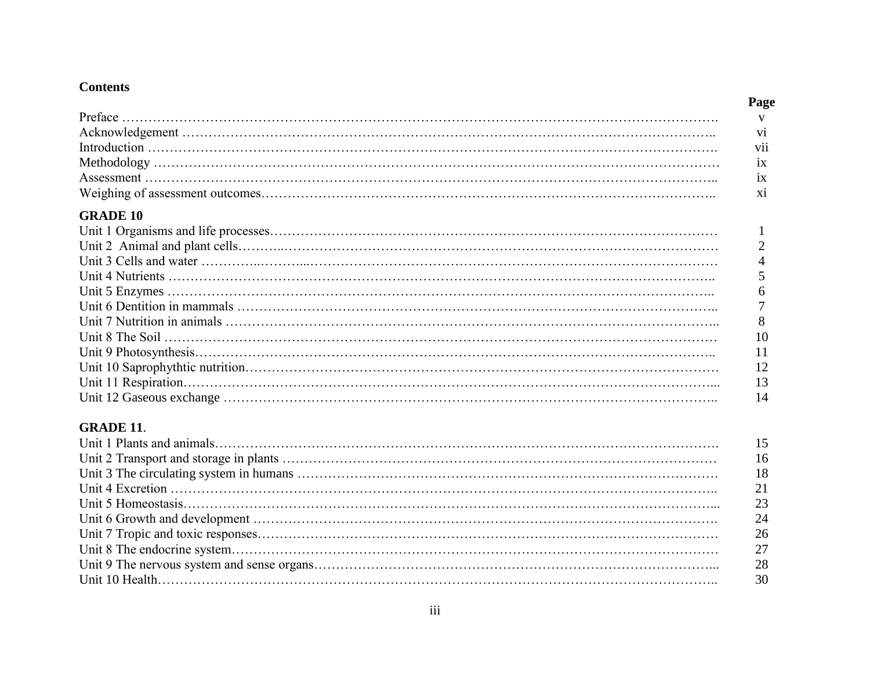### **Contents**

#### **Page**

### **GRADE 10**

| 6   |
|-----|
|     |
| -8  |
| 10  |
| 11  |
| -12 |
| -13 |
| 14  |

## **GRADE 11**.

| 15 |
|----|
| 16 |
| 18 |
| 21 |
| 23 |
| 24 |
| 26 |
| 27 |
| 28 |
| 30 |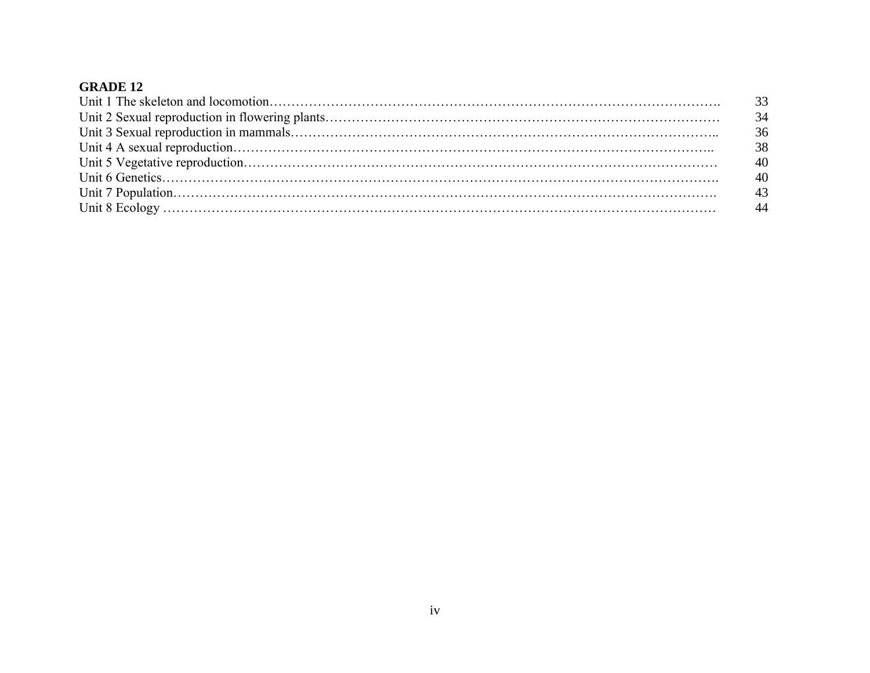| 34 |
|----|
| 36 |
| 38 |
| 40 |
| 40 |
| 43 |
|    |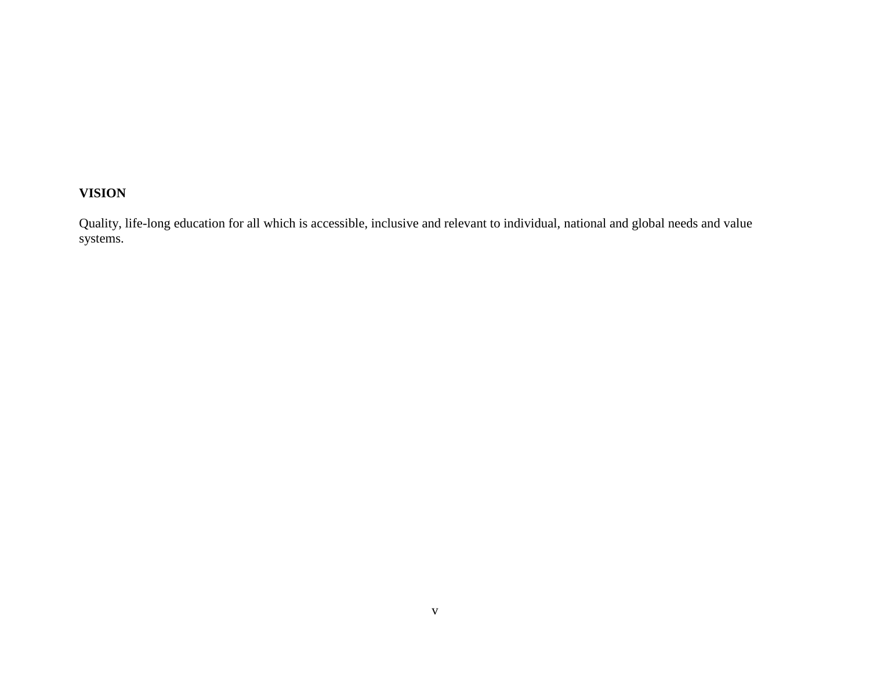# **VISION**

Quality, life-long education for all which is accessible, inclusive and relevant to individual, national and global needs and value systems.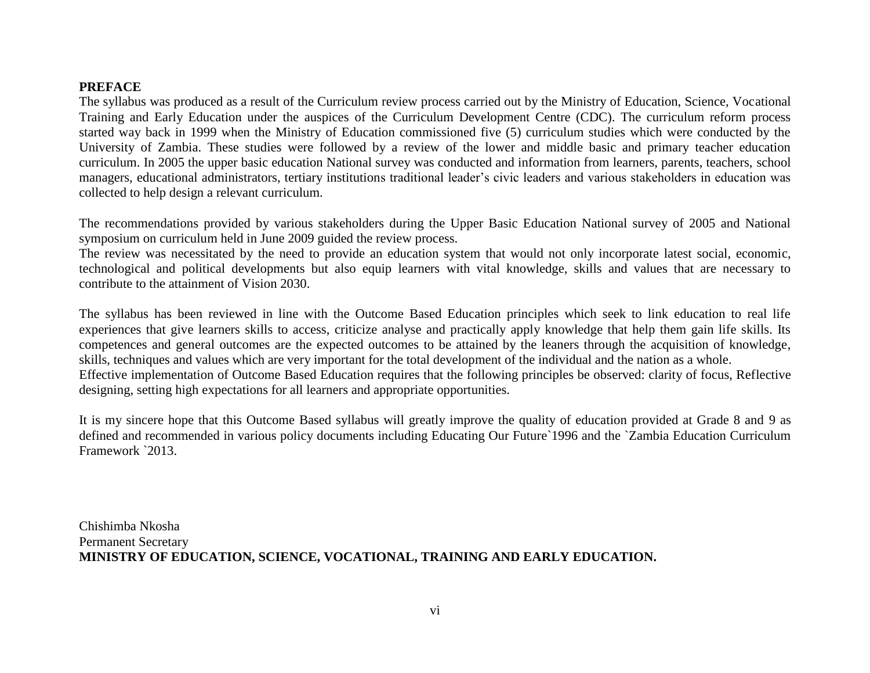#### **PREFACE**

The syllabus was produced as a result of the Curriculum review process carried out by the Ministry of Education, Science, Vocational Training and Early Education under the auspices of the Curriculum Development Centre (CDC). The curriculum reform process started way back in 1999 when the Ministry of Education commissioned five (5) curriculum studies which were conducted by the University of Zambia. These studies were followed by a review of the lower and middle basic and primary teacher education curriculum. In 2005 the upper basic education National survey was conducted and information from learners, parents, teachers, school managers, educational administrators, tertiary institutions traditional leader's civic leaders and various stakeholders in education was collected to help design a relevant curriculum.

The recommendations provided by various stakeholders during the Upper Basic Education National survey of 2005 and National symposium on curriculum held in June 2009 guided the review process.

The review was necessitated by the need to provide an education system that would not only incorporate latest social, economic, technological and political developments but also equip learners with vital knowledge, skills and values that are necessary to contribute to the attainment of Vision 2030.

The syllabus has been reviewed in line with the Outcome Based Education principles which seek to link education to real life experiences that give learners skills to access, criticize analyse and practically apply knowledge that help them gain life skills. Its competences and general outcomes are the expected outcomes to be attained by the leaners through the acquisition of knowledge, skills, techniques and values which are very important for the total development of the individual and the nation as a whole. Effective implementation of Outcome Based Education requires that the following principles be observed: clarity of focus, Reflective designing, setting high expectations for all learners and appropriate opportunities.

It is my sincere hope that this Outcome Based syllabus will greatly improve the quality of education provided at Grade 8 and 9 as defined and recommended in various policy documents including Educating Our Future`1996 and the `Zambia Education Curriculum Framework `2013.

Chishimba Nkosha Permanent Secretary **MINISTRY OF EDUCATION, SCIENCE, VOCATIONAL, TRAINING AND EARLY EDUCATION.**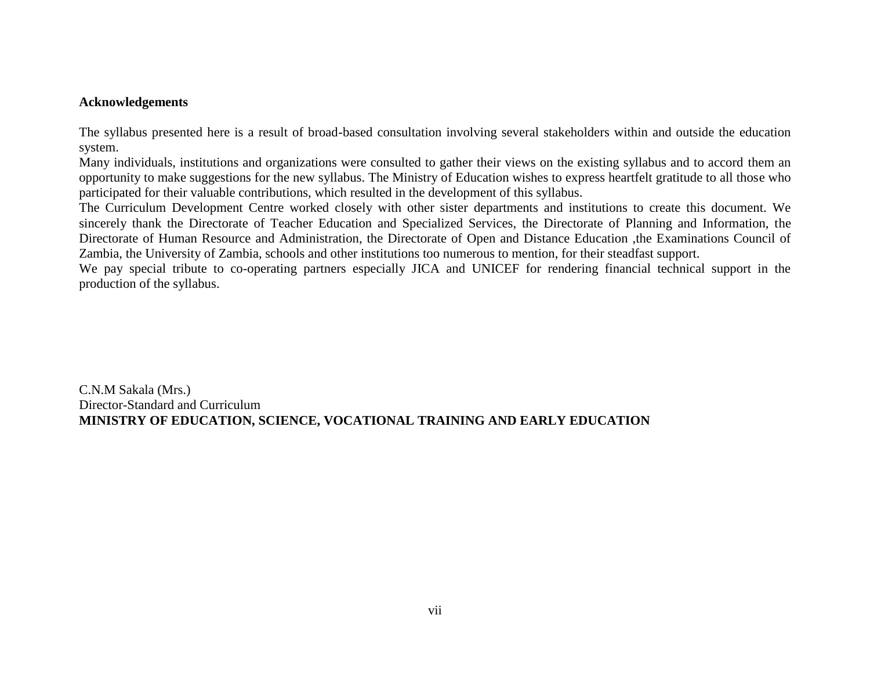#### **Acknowledgements**

The syllabus presented here is a result of broad-based consultation involving several stakeholders within and outside the education system.

Many individuals, institutions and organizations were consulted to gather their views on the existing syllabus and to accord them an opportunity to make suggestions for the new syllabus. The Ministry of Education wishes to express heartfelt gratitude to all those who participated for their valuable contributions, which resulted in the development of this syllabus.

The Curriculum Development Centre worked closely with other sister departments and institutions to create this document. We sincerely thank the Directorate of Teacher Education and Specialized Services, the Directorate of Planning and Information, the Directorate of Human Resource and Administration, the Directorate of Open and Distance Education ,the Examinations Council of Zambia, the University of Zambia, schools and other institutions too numerous to mention, for their steadfast support.

We pay special tribute to co-operating partners especially JICA and UNICEF for rendering financial technical support in the production of the syllabus.

C.N.M Sakala (Mrs.) Director-Standard and Curriculum **MINISTRY OF EDUCATION, SCIENCE, VOCATIONAL TRAINING AND EARLY EDUCATION**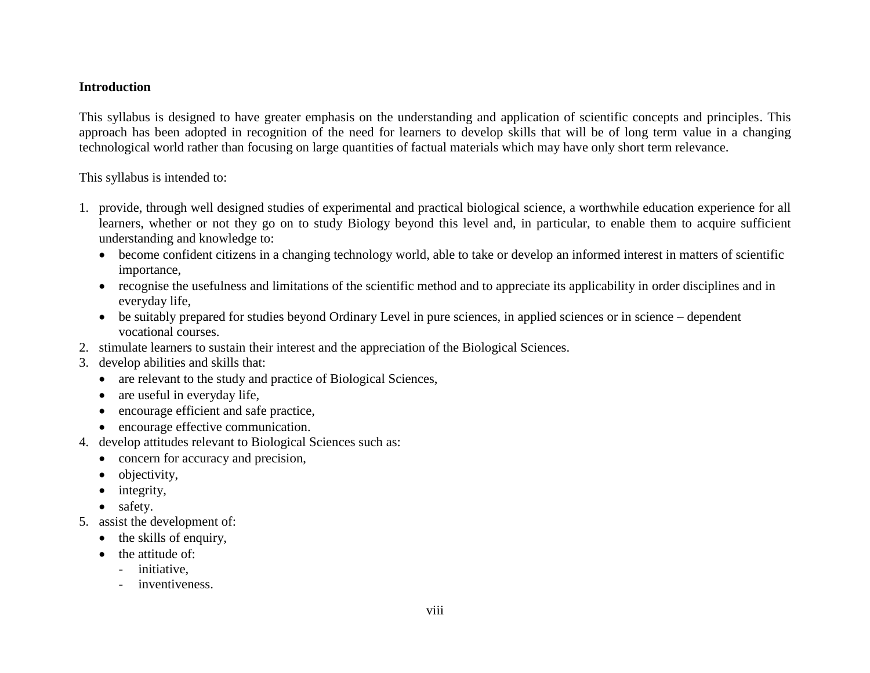#### **Introduction**

This syllabus is designed to have greater emphasis on the understanding and application of scientific concepts and principles. This approach has been adopted in recognition of the need for learners to develop skills that will be of long term value in a changing technological world rather than focusing on large quantities of factual materials which may have only short term relevance.

This syllabus is intended to:

- 1. provide, through well designed studies of experimental and practical biological science, a worthwhile education experience for all learners, whether or not they go on to study Biology beyond this level and, in particular, to enable them to acquire sufficient understanding and knowledge to:
	- become confident citizens in a changing technology world, able to take or develop an informed interest in matters of scientific importance,
	- recognise the usefulness and limitations of the scientific method and to appreciate its applicability in order disciplines and in everyday life,
	- be suitably prepared for studies beyond Ordinary Level in pure sciences, in applied sciences or in science dependent vocational courses.
- 2. stimulate learners to sustain their interest and the appreciation of the Biological Sciences.
- 3. develop abilities and skills that:
	- are relevant to the study and practice of Biological Sciences,
	- are useful in everyday life,
	- encourage efficient and safe practice,
	- encourage effective communication.
- 4. develop attitudes relevant to Biological Sciences such as:
	- concern for accuracy and precision,
	- objectivity,
	- $\bullet$  integrity,
	- safety.
- 5. assist the development of:
	- $\bullet$  the skills of enquiry,
	- $\bullet$  the attitude of:
		- initiative,
		- inventiveness.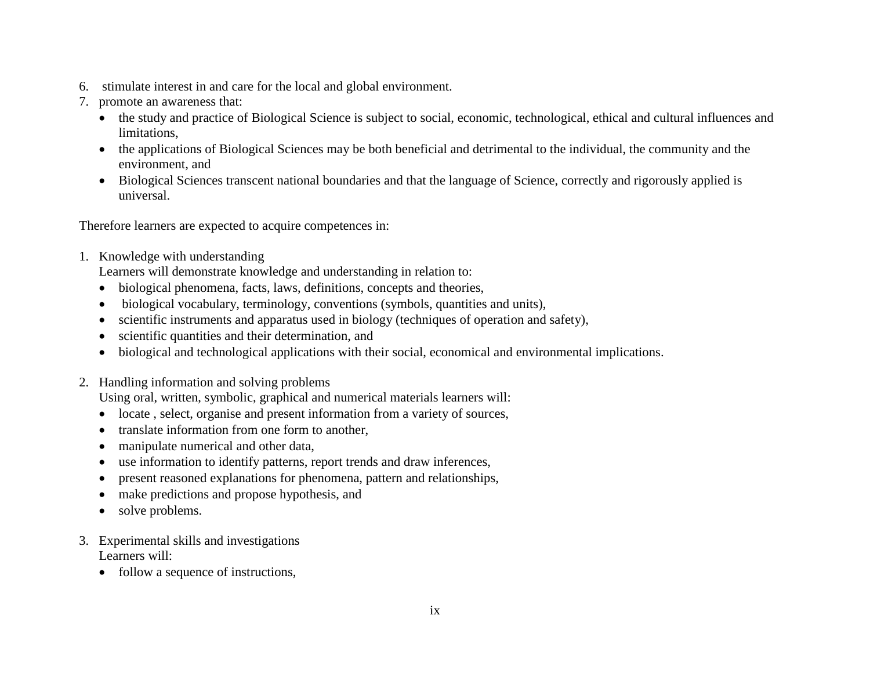- 6. stimulate interest in and care for the local and global environment.
- 7. promote an awareness that:
	- the study and practice of Biological Science is subject to social, economic, technological, ethical and cultural influences and limitations,
	- the applications of Biological Sciences may be both beneficial and detrimental to the individual, the community and the environment, and
	- Biological Sciences transcent national boundaries and that the language of Science, correctly and rigorously applied is universal.

Therefore learners are expected to acquire competences in:

1. Knowledge with understanding

Learners will demonstrate knowledge and understanding in relation to:

- biological phenomena, facts, laws, definitions, concepts and theories,
- biological vocabulary, terminology, conventions (symbols, quantities and units),
- scientific instruments and apparatus used in biology (techniques of operation and safety),
- scientific quantities and their determination, and
- biological and technological applications with their social, economical and environmental implications.
- 2. Handling information and solving problems

Using oral, written, symbolic, graphical and numerical materials learners will:

- locate , select, organise and present information from a variety of sources,
- translate information from one form to another.
- manipulate numerical and other data,
- use information to identify patterns, report trends and draw inferences,
- present reasoned explanations for phenomena, pattern and relationships,
- make predictions and propose hypothesis, and
- solve problems.
- 3. Experimental skills and investigations Learners will:
	- follow a sequence of instructions,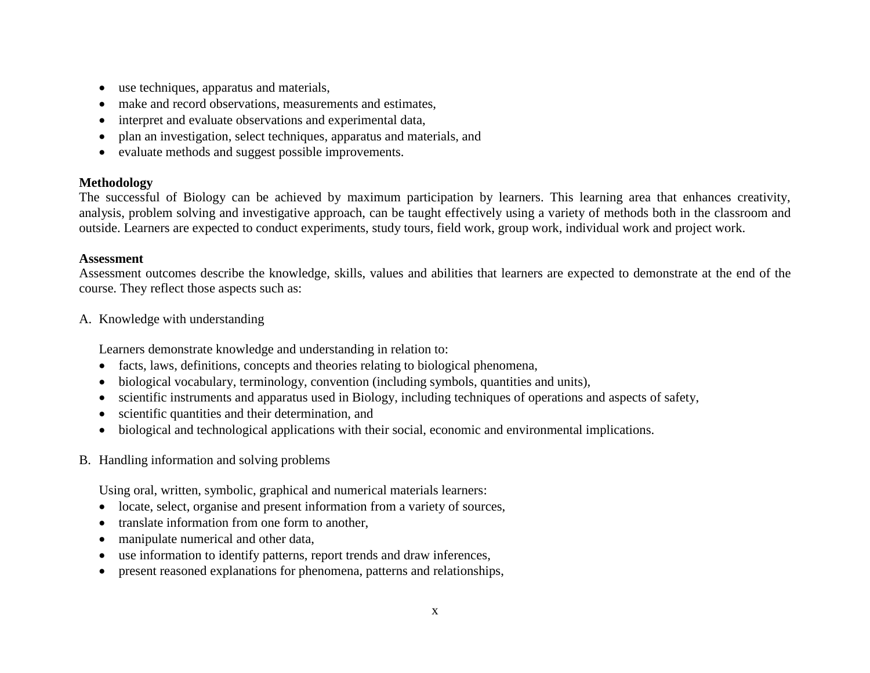- use techniques, apparatus and materials,
- make and record observations, measurements and estimates,
- interpret and evaluate observations and experimental data,
- plan an investigation, select techniques, apparatus and materials, and
- evaluate methods and suggest possible improvements.

#### **Methodology**

The successful of Biology can be achieved by maximum participation by learners. This learning area that enhances creativity, analysis, problem solving and investigative approach, can be taught effectively using a variety of methods both in the classroom and outside. Learners are expected to conduct experiments, study tours, field work, group work, individual work and project work.

#### **Assessment**

Assessment outcomes describe the knowledge, skills, values and abilities that learners are expected to demonstrate at the end of the course. They reflect those aspects such as:

A. Knowledge with understanding

Learners demonstrate knowledge and understanding in relation to:

- facts, laws, definitions, concepts and theories relating to biological phenomena,
- biological vocabulary, terminology, convention (including symbols, quantities and units),
- scientific instruments and apparatus used in Biology, including techniques of operations and aspects of safety,
- scientific quantities and their determination, and
- biological and technological applications with their social, economic and environmental implications.
- B. Handling information and solving problems

Using oral, written, symbolic, graphical and numerical materials learners:

- locate, select, organise and present information from a variety of sources,
- translate information from one form to another,
- manipulate numerical and other data,
- use information to identify patterns, report trends and draw inferences,
- present reasoned explanations for phenomena, patterns and relationships,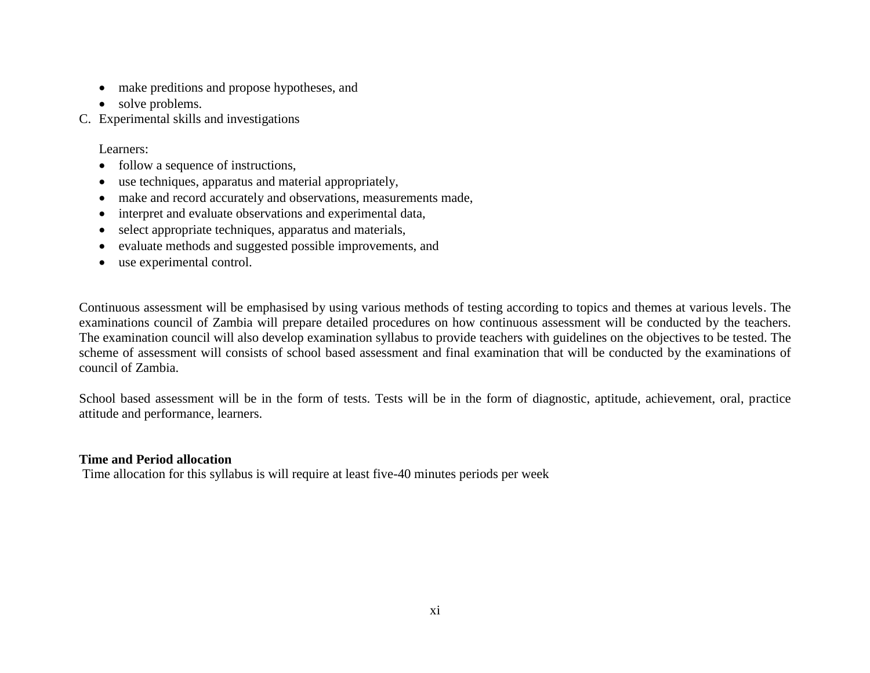- make preditions and propose hypotheses, and
- solve problems.
- C. Experimental skills and investigations

Learners:

- follow a sequence of instructions,
- use techniques, apparatus and material appropriately,
- make and record accurately and observations, measurements made,
- interpret and evaluate observations and experimental data,
- select appropriate techniques, apparatus and materials,
- evaluate methods and suggested possible improvements, and
- use experimental control.

Continuous assessment will be emphasised by using various methods of testing according to topics and themes at various levels. The examinations council of Zambia will prepare detailed procedures on how continuous assessment will be conducted by the teachers. The examination council will also develop examination syllabus to provide teachers with guidelines on the objectives to be tested. The scheme of assessment will consists of school based assessment and final examination that will be conducted by the examinations of council of Zambia.

School based assessment will be in the form of tests. Tests will be in the form of diagnostic, aptitude, achievement, oral, practice attitude and performance, learners.

#### **Time and Period allocation**

Time allocation for this syllabus is will require at least five-40 minutes periods per week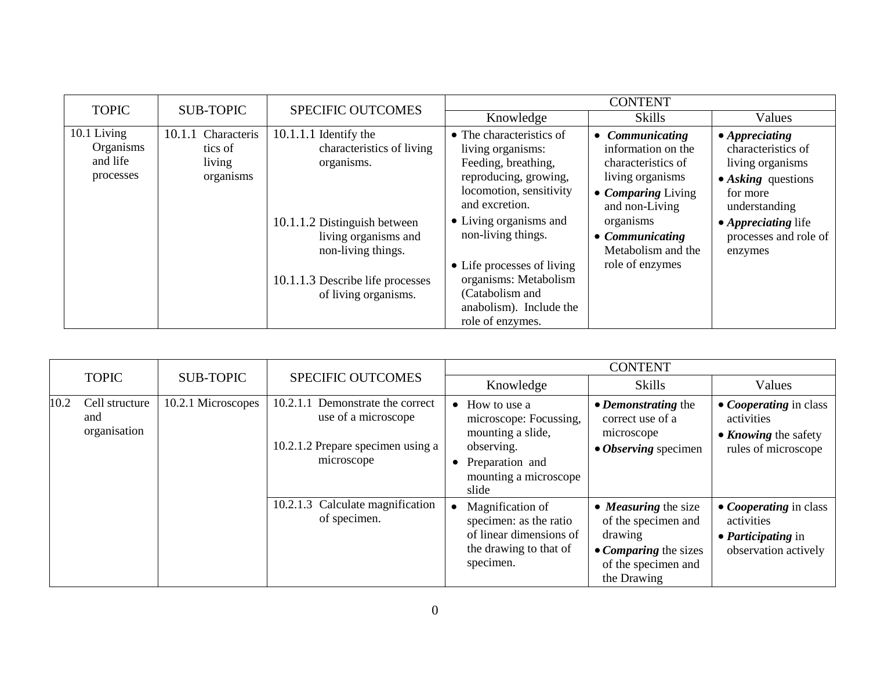| <b>TOPIC</b>                                      | <b>SUB-TOPIC</b>                                        | <b>SPECIFIC OUTCOMES</b>                                                                                                                                                                                     | <b>CONTENT</b>                                                                                                                                                                                                                                                                                                      |                                                                                                                                                                                                             |                                                                                                                                                                                               |
|---------------------------------------------------|---------------------------------------------------------|--------------------------------------------------------------------------------------------------------------------------------------------------------------------------------------------------------------|---------------------------------------------------------------------------------------------------------------------------------------------------------------------------------------------------------------------------------------------------------------------------------------------------------------------|-------------------------------------------------------------------------------------------------------------------------------------------------------------------------------------------------------------|-----------------------------------------------------------------------------------------------------------------------------------------------------------------------------------------------|
|                                                   |                                                         |                                                                                                                                                                                                              | Knowledge                                                                                                                                                                                                                                                                                                           | <b>Skills</b>                                                                                                                                                                                               | Values                                                                                                                                                                                        |
| 10.1 Living<br>Organisms<br>and life<br>processes | 10.1.1<br>Characteris<br>tics of<br>living<br>organisms | $10.1.1.1$ Identify the<br>characteristics of living<br>organisms.<br>10.1.1.2 Distinguish between<br>living organisms and<br>non-living things.<br>10.1.1.3 Describe life processes<br>of living organisms. | • The characteristics of<br>living organisms:<br>Feeding, breathing,<br>reproducing, growing,<br>locomotion, sensitivity<br>and excretion.<br>• Living organisms and<br>non-living things.<br>• Life processes of living<br>organisms: Metabolism<br>(Catabolism and<br>anabolism). Include the<br>role of enzymes. | Communicating<br>$\bullet$<br>information on the<br>characteristics of<br>living organisms<br>• Comparing Living<br>and non-Living<br>organisms<br>• Communicating<br>Metabolism and the<br>role of enzymes | $\bullet$ Appreciating<br>characteristics of<br>living organisms<br>$\bullet$ Asking questions<br>for more<br>understanding<br>• <i>Appreciating</i> life<br>processes and role of<br>enzymes |

|              |                                       |                          |                                                                                                               |                        |                                                                                                                                | <b>CONTENT</b>                                                                                                               |                                                                                                          |
|--------------|---------------------------------------|--------------------------|---------------------------------------------------------------------------------------------------------------|------------------------|--------------------------------------------------------------------------------------------------------------------------------|------------------------------------------------------------------------------------------------------------------------------|----------------------------------------------------------------------------------------------------------|
| <b>TOPIC</b> | <b>SUB-TOPIC</b>                      | <b>SPECIFIC OUTCOMES</b> |                                                                                                               | Knowledge              | <b>Skills</b>                                                                                                                  | Values                                                                                                                       |                                                                                                          |
| 10.2         | Cell structure<br>and<br>organisation | 10.2.1 Microscopes       | Demonstrate the correct<br>10.2.1.1<br>use of a microscope<br>10.2.1.2 Prepare specimen using a<br>microscope | $\bullet$<br>$\bullet$ | How to use a<br>microscope: Focussing,<br>mounting a slide,<br>observing.<br>Preparation and<br>mounting a microscope<br>slide | • <i>Demonstrating</i> the<br>correct use of a<br>microscope<br>• <i>Observing</i> specimen                                  | • <i>Cooperating</i> in class<br>activities<br>• <i>Knowing</i> the safety<br>rules of microscope        |
|              |                                       |                          | 10.2.1.3 Calculate magnification<br>of specimen.                                                              |                        | Magnification of<br>specimen: as the ratio<br>of linear dimensions of<br>the drawing to that of<br>specimen.                   | • <i>Measuring</i> the size<br>of the specimen and<br>drawing<br>• Comparing the sizes<br>of the specimen and<br>the Drawing | • <i>Cooperating</i> in class<br>activities<br>$\bullet$ <i>Participating</i> in<br>observation actively |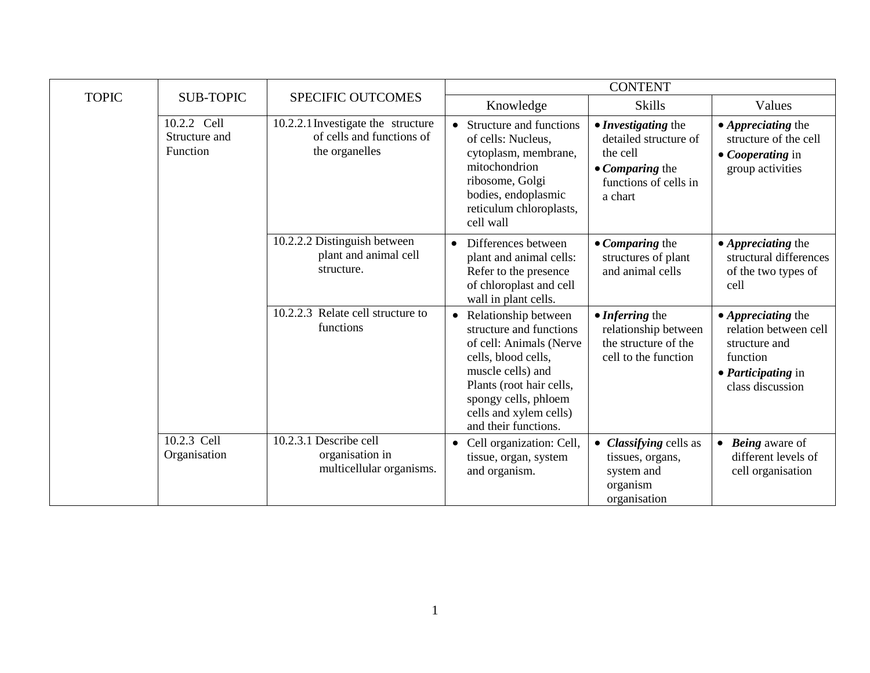|              |                                                 | SPECIFIC OUTCOMES                                                                 | <b>CONTENT</b>                                                                                                                                                                                                                            |                                                                                                                 |                                                                                                                           |
|--------------|-------------------------------------------------|-----------------------------------------------------------------------------------|-------------------------------------------------------------------------------------------------------------------------------------------------------------------------------------------------------------------------------------------|-----------------------------------------------------------------------------------------------------------------|---------------------------------------------------------------------------------------------------------------------------|
| <b>TOPIC</b> | <b>SUB-TOPIC</b>                                |                                                                                   | Knowledge                                                                                                                                                                                                                                 | <b>Skills</b>                                                                                                   | Values                                                                                                                    |
|              | 10.2.2 Cell<br>Structure and<br><b>Function</b> | 10.2.2.1 Investigate the structure<br>of cells and functions of<br>the organelles | Structure and functions<br>$\bullet$<br>of cells: Nucleus,<br>cytoplasm, membrane,<br>mitochondrion<br>ribosome, Golgi<br>bodies, endoplasmic<br>reticulum chloroplasts,<br>cell wall                                                     | • Investigating the<br>detailed structure of<br>the cell<br>• Comparing the<br>functions of cells in<br>a chart | • Appreciating the<br>structure of the cell<br>• Cooperating in<br>group activities                                       |
|              |                                                 | 10.2.2.2 Distinguish between<br>plant and animal cell<br>structure.               | Differences between<br>$\bullet$<br>plant and animal cells:<br>Refer to the presence<br>of chloroplast and cell<br>wall in plant cells.                                                                                                   | • Comparing the<br>structures of plant<br>and animal cells                                                      | • Appreciating the<br>structural differences<br>of the two types of<br>cell                                               |
|              |                                                 | 10.2.2.3 Relate cell structure to<br>functions                                    | Relationship between<br>$\bullet$<br>structure and functions<br>of cell: Animals (Nerve<br>cells, blood cells,<br>muscle cells) and<br>Plants (root hair cells,<br>spongy cells, phloem<br>cells and xylem cells)<br>and their functions. | • Inferring the<br>relationship between<br>the structure of the<br>cell to the function                         | • Appreciating the<br>relation between cell<br>structure and<br>function<br>• <i>Participating</i> in<br>class discussion |
|              | 10.2.3 Cell<br>Organisation                     | 10.2.3.1 Describe cell<br>organisation in<br>multicellular organisms.             | Cell organization: Cell,<br>$\bullet$<br>tissue, organ, system<br>and organism.                                                                                                                                                           | • Classifying cells as<br>tissues, organs,<br>system and<br>organism<br>organisation                            | <b>Being</b> aware of<br>$\bullet$<br>different levels of<br>cell organisation                                            |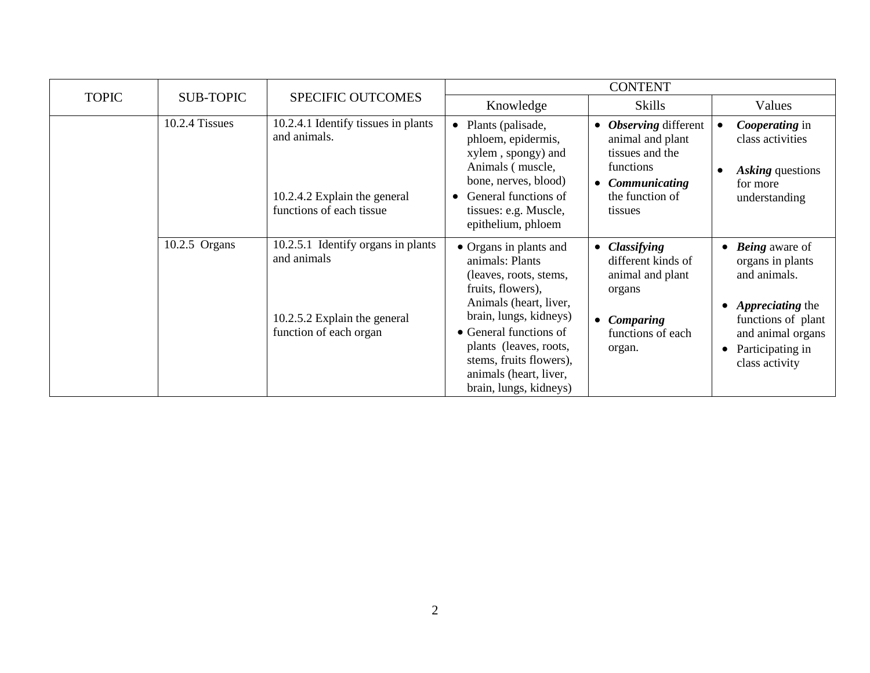|              |                  | <b>SPECIFIC OUTCOMES</b>                                                                                        | <b>CONTENT</b>                                                                                                                                                                                                                                                                  |                                                                                                                                 |                                                                                                                                                                                                |
|--------------|------------------|-----------------------------------------------------------------------------------------------------------------|---------------------------------------------------------------------------------------------------------------------------------------------------------------------------------------------------------------------------------------------------------------------------------|---------------------------------------------------------------------------------------------------------------------------------|------------------------------------------------------------------------------------------------------------------------------------------------------------------------------------------------|
| <b>TOPIC</b> | <b>SUB-TOPIC</b> |                                                                                                                 | Knowledge                                                                                                                                                                                                                                                                       | <b>Skills</b>                                                                                                                   | Values                                                                                                                                                                                         |
|              | 10.2.4 Tissues   | 10.2.4.1 Identify tissues in plants<br>and animals.<br>10.2.4.2 Explain the general<br>functions of each tissue | Plants (palisade,<br>$\bullet$<br>phloem, epidermis,<br>xylem, spongy) and<br>Animals (muscle,<br>bone, nerves, blood)<br>General functions of<br>$\bullet$<br>tissues: e.g. Muscle,<br>epithelium, phloem                                                                      | <b>Observing</b> different<br>animal and plant<br>tissues and the<br>functions<br>• Communicating<br>the function of<br>tissues | Cooperating in<br>class activities<br>Asking questions<br>$\bullet$<br>for more<br>understanding                                                                                               |
|              | $10.2.5$ Organs  | 10.2.5.1 Identify organs in plants<br>and animals<br>10.2.5.2 Explain the general<br>function of each organ     | • Organs in plants and<br>animals: Plants<br>(leaves, roots, stems,<br>fruits, flowers),<br>Animals (heart, liver,<br>brain, lungs, kidneys)<br>• General functions of<br>plants (leaves, roots,<br>stems, fruits flowers),<br>animals (heart, liver,<br>brain, lungs, kidneys) | • Classifying<br>different kinds of<br>animal and plant<br>organs<br>Comparing<br>functions of each<br>organ.                   | $\bullet$ <b>Being</b> aware of<br>organs in plants<br>and animals.<br>• <i>Appreciating the</i><br>functions of plant<br>and animal organs<br>Participating in<br>$\bullet$<br>class activity |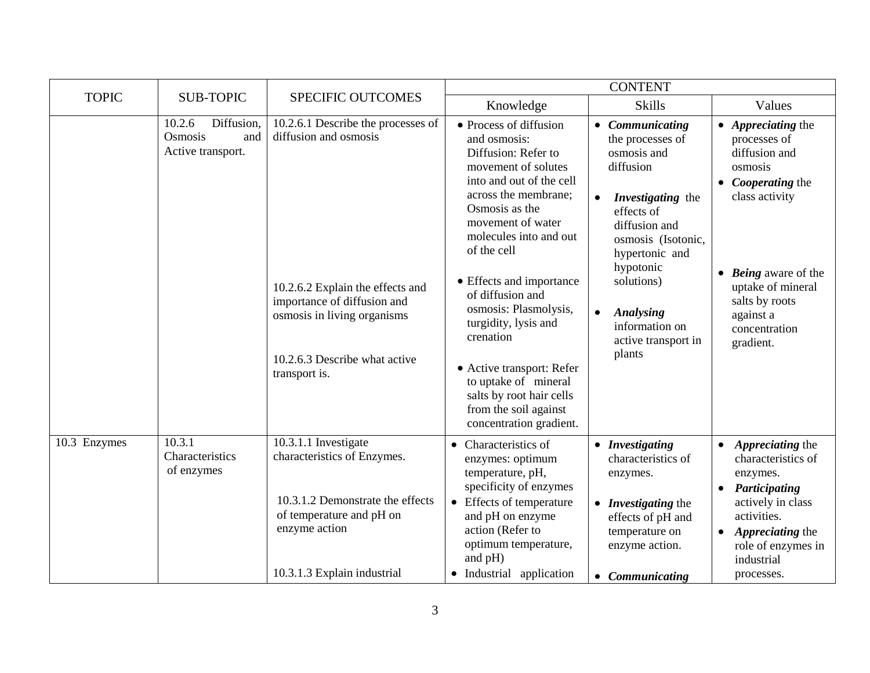|              |                                                             |                                                                                                                                                                                                                 | <b>CONTENT</b>                                                                                                                                                                                                                                                                                                                                                                                                                                                              |                                                                                                                                                                                                                                                                                         |                                                                                                                                                                                                                                       |  |
|--------------|-------------------------------------------------------------|-----------------------------------------------------------------------------------------------------------------------------------------------------------------------------------------------------------------|-----------------------------------------------------------------------------------------------------------------------------------------------------------------------------------------------------------------------------------------------------------------------------------------------------------------------------------------------------------------------------------------------------------------------------------------------------------------------------|-----------------------------------------------------------------------------------------------------------------------------------------------------------------------------------------------------------------------------------------------------------------------------------------|---------------------------------------------------------------------------------------------------------------------------------------------------------------------------------------------------------------------------------------|--|
| <b>TOPIC</b> | <b>SUB-TOPIC</b>                                            | <b>SPECIFIC OUTCOMES</b>                                                                                                                                                                                        | Knowledge                                                                                                                                                                                                                                                                                                                                                                                                                                                                   | <b>Skills</b>                                                                                                                                                                                                                                                                           | Values                                                                                                                                                                                                                                |  |
|              | 10.2.6<br>Diffusion,<br>Osmosis<br>and<br>Active transport. | 10.2.6.1 Describe the processes of<br>diffusion and osmosis<br>10.2.6.2 Explain the effects and<br>importance of diffusion and<br>osmosis in living organisms<br>10.2.6.3 Describe what active<br>transport is. | • Process of diffusion<br>and osmosis:<br>Diffusion: Refer to<br>movement of solutes<br>into and out of the cell<br>across the membrane;<br>Osmosis as the<br>movement of water<br>molecules into and out<br>of the cell<br>• Effects and importance<br>of diffusion and<br>osmosis: Plasmolysis,<br>turgidity, lysis and<br>crenation<br>• Active transport: Refer<br>to uptake of mineral<br>salts by root hair cells<br>from the soil against<br>concentration gradient. | • Communicating<br>the processes of<br>osmosis and<br>diffusion<br>Investigating the<br>$\bullet$<br>effects of<br>diffusion and<br>osmosis (Isotonic,<br>hypertonic and<br>hypotonic<br>solutions)<br><b>Analysing</b><br>$\bullet$<br>information on<br>active transport in<br>plants | $\bullet$ <i>Appreciating the</i><br>processes of<br>diffusion and<br>osmosis<br>• <i>Cooperating</i> the<br>class activity<br>• Being aware of the<br>uptake of mineral<br>salts by roots<br>against a<br>concentration<br>gradient. |  |
| 10.3 Enzymes | 10.3.1<br>Characteristics<br>of enzymes                     | 10.3.1.1 Investigate<br>characteristics of Enzymes.<br>10.3.1.2 Demonstrate the effects<br>of temperature and pH on<br>enzyme action<br>10.3.1.3 Explain industrial                                             | • Characteristics of<br>enzymes: optimum<br>temperature, pH,<br>specificity of enzymes<br>Effects of temperature<br>$\bullet$<br>and pH on enzyme<br>action (Refer to<br>optimum temperature,<br>and pH)<br>• Industrial application                                                                                                                                                                                                                                        | • Investigating<br>characteristics of<br>enzymes.<br>• Investigating the<br>effects of pH and<br>temperature on<br>enzyme action.<br>• Communicating                                                                                                                                    | Appreciating the<br>characteristics of<br>enzymes.<br>Participating<br>actively in class<br>activities.<br>Appreciating the<br>role of enzymes in<br>industrial<br>processes.                                                         |  |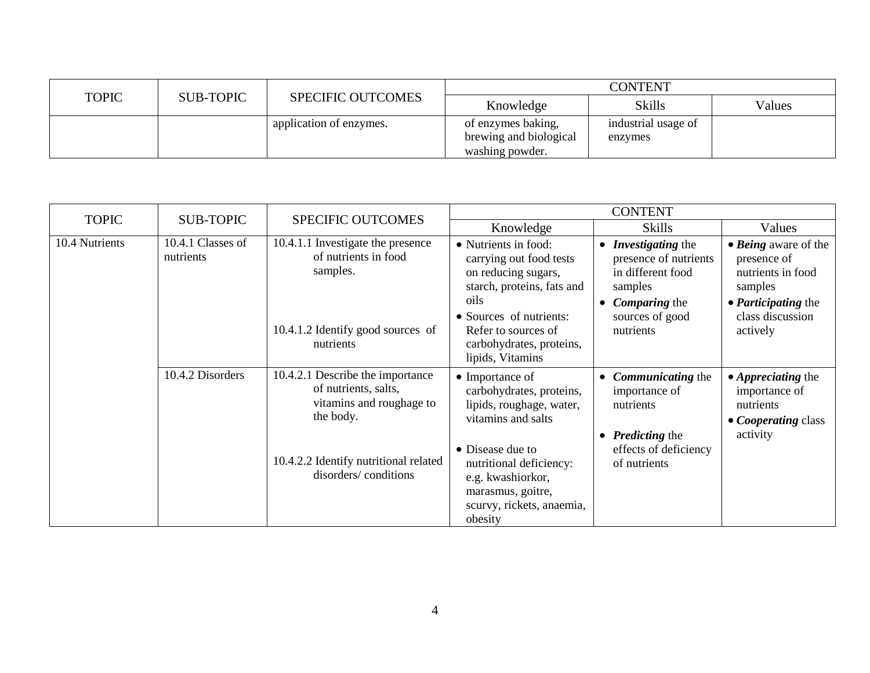|              | <b>SUB-TOPIC</b> | <b>SPECIFIC OUTCOMES</b> | <b>CONTENT</b>                                                  |                                |        |
|--------------|------------------|--------------------------|-----------------------------------------------------------------|--------------------------------|--------|
| <b>TOPIC</b> |                  |                          | Knowledge                                                       | <b>Skills</b>                  | Values |
|              |                  | application of enzymes.  | of enzymes baking,<br>brewing and biological<br>washing powder. | industrial usage of<br>enzymes |        |

| <b>TOPIC</b>   |                                |                                                                                                                                                                    | <b>CONTENT</b>                                                                                                                                                                                                                         |                                                                                                                                                                     |                                                                                                                                   |
|----------------|--------------------------------|--------------------------------------------------------------------------------------------------------------------------------------------------------------------|----------------------------------------------------------------------------------------------------------------------------------------------------------------------------------------------------------------------------------------|---------------------------------------------------------------------------------------------------------------------------------------------------------------------|-----------------------------------------------------------------------------------------------------------------------------------|
|                | <b>SUB-TOPIC</b>               | <b>SPECIFIC OUTCOMES</b>                                                                                                                                           | Knowledge                                                                                                                                                                                                                              | <b>Skills</b>                                                                                                                                                       | Values                                                                                                                            |
| 10.4 Nutrients | 10.4.1 Classes of<br>nutrients | 10.4.1.1 Investigate the presence<br>of nutrients in food<br>samples.<br>10.4.1.2 Identify good sources of<br>nutrients                                            | • Nutrients in food:<br>carrying out food tests<br>on reducing sugars,<br>starch, proteins, fats and<br>oils<br>• Sources of nutrients:<br>Refer to sources of<br>carbohydrates, proteins,<br>lipids, Vitamins                         | <b>Investigating the</b><br>$\bullet$<br>presence of nutrients<br>in different food<br>samples<br><b>Comparing the</b><br>$\bullet$<br>sources of good<br>nutrients | • Being aware of the<br>presence of<br>nutrients in food<br>samples<br>• <i>Participating</i> the<br>class discussion<br>actively |
|                | 10.4.2 Disorders               | 10.4.2.1 Describe the importance<br>of nutrients, salts,<br>vitamins and roughage to<br>the body.<br>10.4.2.2 Identify nutritional related<br>disorders/conditions | $\bullet$ Importance of<br>carbohydrates, proteins,<br>lipids, roughage, water,<br>vitamins and salts<br>• Disease due to<br>nutritional deficiency:<br>e.g. kwashiorkor,<br>marasmus, goitre,<br>scurvy, rickets, anaemia,<br>obesity | <b>Communicating the</b><br>$\bullet$<br>importance of<br>nutrients<br><b>Predicting the</b><br>$\bullet$<br>effects of deficiency<br>of nutrients                  | $\bullet$ <i>Appreciating the</i><br>importance of<br>nutrients<br>• <i>Cooperating class</i><br>activity                         |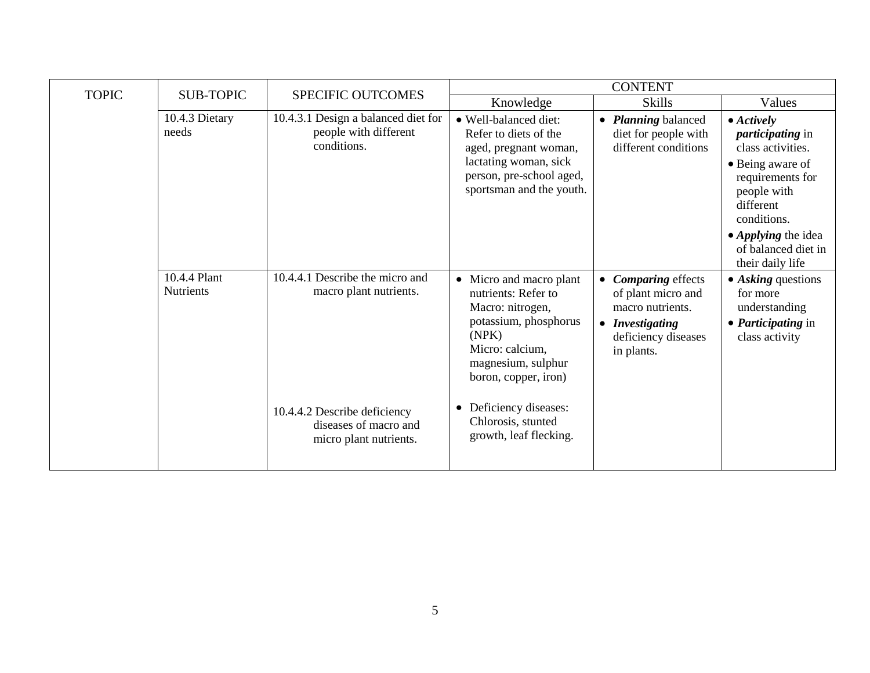| <b>TOPIC</b> | <b>SUB-TOPIC</b>                 | SPECIFIC OUTCOMES                                                               | <b>CONTENT</b>                                                                                                                                                        |                                                                                                                       |                                                                                                                                                                                                                                |  |
|--------------|----------------------------------|---------------------------------------------------------------------------------|-----------------------------------------------------------------------------------------------------------------------------------------------------------------------|-----------------------------------------------------------------------------------------------------------------------|--------------------------------------------------------------------------------------------------------------------------------------------------------------------------------------------------------------------------------|--|
|              |                                  |                                                                                 | Knowledge                                                                                                                                                             | <b>Skills</b>                                                                                                         | Values                                                                                                                                                                                                                         |  |
|              | 10.4.3 Dietary<br>needs          | 10.4.3.1 Design a balanced diet for<br>people with different<br>conditions.     | • Well-balanced diet:<br>Refer to diets of the<br>aged, pregnant woman,<br>lactating woman, sick<br>person, pre-school aged,<br>sportsman and the youth.              | <b>Planning</b> balanced<br>$\bullet$<br>diet for people with<br>different conditions                                 | $\bullet$ Actively<br><i>participating</i> in<br>class activities.<br>• Being aware of<br>requirements for<br>people with<br>different<br>conditions.<br>• <i>Applying</i> the idea<br>of balanced diet in<br>their daily life |  |
|              | 10.4.4 Plant<br><b>Nutrients</b> | 10.4.4.1 Describe the micro and<br>macro plant nutrients.                       | • Micro and macro plant<br>nutrients: Refer to<br>Macro: nitrogen,<br>potassium, phosphorus<br>(NPK)<br>Micro: calcium,<br>magnesium, sulphur<br>boron, copper, iron) | • Comparing effects<br>of plant micro and<br>macro nutrients.<br>• Investigating<br>deficiency diseases<br>in plants. | $\bullet$ Asking questions<br>for more<br>understanding<br>• <i>Participating</i> in<br>class activity                                                                                                                         |  |
|              |                                  | 10.4.4.2 Describe deficiency<br>diseases of macro and<br>micro plant nutrients. | Deficiency diseases:<br>٠<br>Chlorosis, stunted<br>growth, leaf flecking.                                                                                             |                                                                                                                       |                                                                                                                                                                                                                                |  |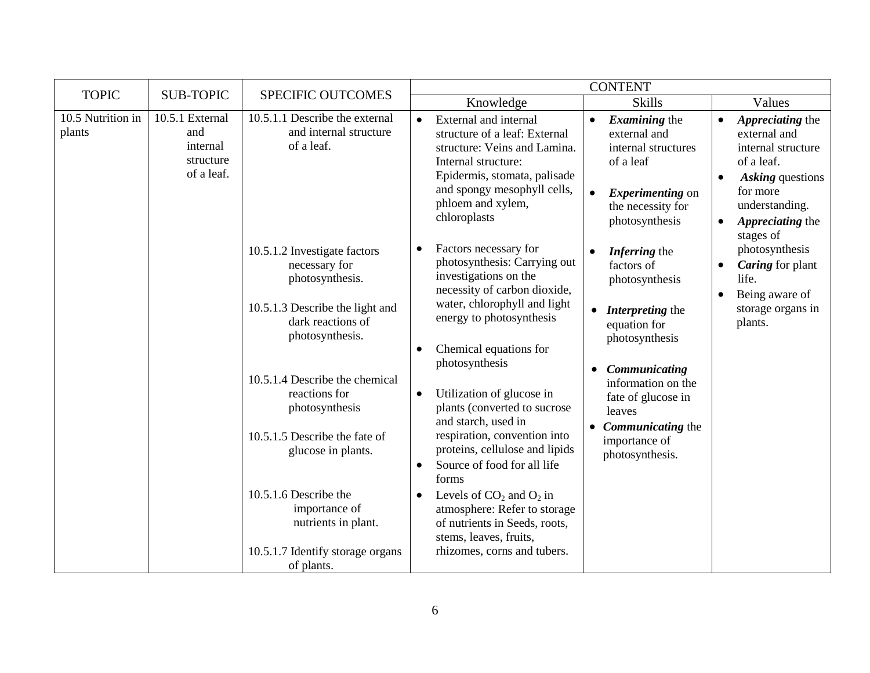| <b>TOPIC</b>                | <b>SUB-TOPIC</b>                                              | <b>SPECIFIC OUTCOMES</b>                                                                                                                                                                                                                                                                                                                                                                   |                                                                                                                                                                                                                                                                                                                                                                                                                                                                                                                                                                                                         | <b>CONTENT</b>                                                                                                                                                                                                                                                              |                                                                                                                                                                                                |
|-----------------------------|---------------------------------------------------------------|--------------------------------------------------------------------------------------------------------------------------------------------------------------------------------------------------------------------------------------------------------------------------------------------------------------------------------------------------------------------------------------------|---------------------------------------------------------------------------------------------------------------------------------------------------------------------------------------------------------------------------------------------------------------------------------------------------------------------------------------------------------------------------------------------------------------------------------------------------------------------------------------------------------------------------------------------------------------------------------------------------------|-----------------------------------------------------------------------------------------------------------------------------------------------------------------------------------------------------------------------------------------------------------------------------|------------------------------------------------------------------------------------------------------------------------------------------------------------------------------------------------|
|                             |                                                               |                                                                                                                                                                                                                                                                                                                                                                                            | Knowledge                                                                                                                                                                                                                                                                                                                                                                                                                                                                                                                                                                                               | <b>Skills</b>                                                                                                                                                                                                                                                               | Values                                                                                                                                                                                         |
| 10.5 Nutrition in<br>plants | 10.5.1 External<br>and<br>internal<br>structure<br>of a leaf. | 10.5.1.1 Describe the external<br>and internal structure<br>of a leaf.                                                                                                                                                                                                                                                                                                                     | External and internal<br>$\bullet$<br>structure of a leaf: External<br>structure: Veins and Lamina.<br>Internal structure:<br>Epidermis, stomata, palisade<br>and spongy mesophyll cells,<br>phloem and xylem,<br>chloroplasts                                                                                                                                                                                                                                                                                                                                                                          | <i>Examining</i> the<br>$\bullet$<br>external and<br>internal structures<br>of a leaf<br><i>Experimenting</i> on<br>$\bullet$<br>the necessity for<br>photosynthesis                                                                                                        | Appreciating the<br>$\bullet$<br>external and<br>internal structure<br>of a leaf.<br>Asking questions<br>$\bullet$<br>for more<br>understanding.<br>Appreciating the<br>$\bullet$<br>stages of |
|                             |                                                               | 10.5.1.2 Investigate factors<br>necessary for<br>photosynthesis.<br>10.5.1.3 Describe the light and<br>dark reactions of<br>photosynthesis.<br>10.5.1.4 Describe the chemical<br>reactions for<br>photosynthesis<br>10.5.1.5 Describe the fate of<br>glucose in plants.<br>10.5.1.6 Describe the<br>importance of<br>nutrients in plant.<br>10.5.1.7 Identify storage organs<br>of plants. | Factors necessary for<br>photosynthesis: Carrying out<br>investigations on the<br>necessity of carbon dioxide,<br>water, chlorophyll and light<br>energy to photosynthesis<br>Chemical equations for<br>photosynthesis<br>Utilization of glucose in<br>$\bullet$<br>plants (converted to sucrose<br>and starch, used in<br>respiration, convention into<br>proteins, cellulose and lipids<br>Source of food for all life<br>$\bullet$<br>forms<br>Levels of $CO2$ and $O2$ in<br>atmosphere: Refer to storage<br>of nutrients in Seeds, roots,<br>stems, leaves, fruits,<br>rhizomes, corns and tubers. | Inferring the<br>$\bullet$<br>factors of<br>photosynthesis<br><b>Interpreting the</b><br>equation for<br>photosynthesis<br>Communicating<br>information on the<br>fate of glucose in<br>leaves<br><b>Communicating the</b><br>$\bullet$<br>importance of<br>photosynthesis. | photosynthesis<br><b>Caring</b> for plant<br>life.<br>Being aware of<br>$\bullet$<br>storage organs in<br>plants.                                                                              |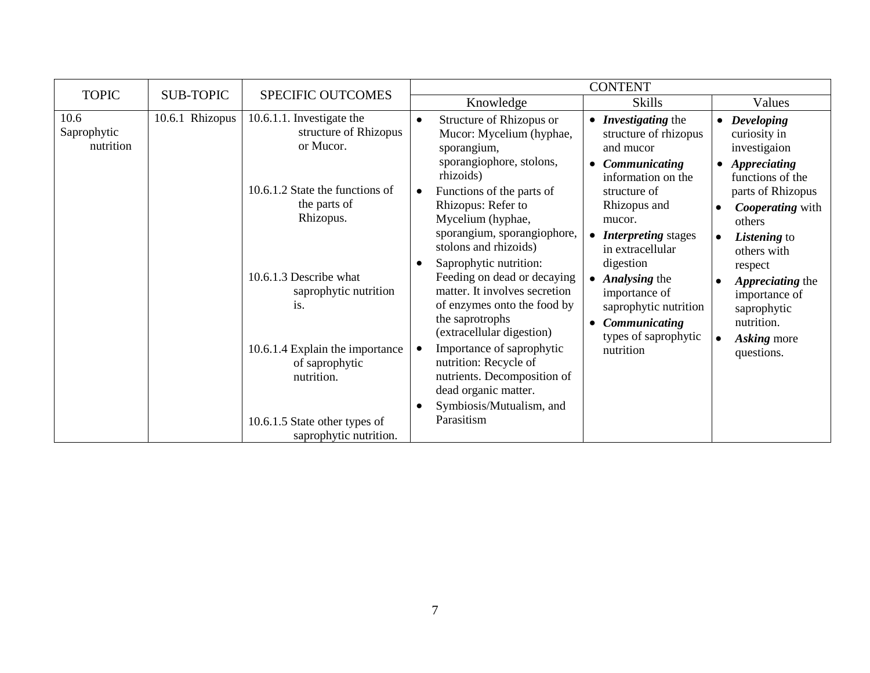| <b>TOPIC</b>                     | <b>SUB-TOPIC</b>                                                                                                                                                                                                                                     | <b>SPECIFIC OUTCOMES</b>                                        | <b>CONTENT</b>                                                                                                                                                                                     |                                                                                                                                                          |                                                                                                                |            |                                                                                                           |
|----------------------------------|------------------------------------------------------------------------------------------------------------------------------------------------------------------------------------------------------------------------------------------------------|-----------------------------------------------------------------|----------------------------------------------------------------------------------------------------------------------------------------------------------------------------------------------------|----------------------------------------------------------------------------------------------------------------------------------------------------------|----------------------------------------------------------------------------------------------------------------|------------|-----------------------------------------------------------------------------------------------------------|
|                                  |                                                                                                                                                                                                                                                      |                                                                 |                                                                                                                                                                                                    | Knowledge                                                                                                                                                | <b>Skills</b>                                                                                                  |            | Values                                                                                                    |
| 10.6<br>Saprophytic<br>nutrition | 10.6.1 Rhizopus                                                                                                                                                                                                                                      | 10.6.1.1. Investigate the<br>structure of Rhizopus<br>or Mucor. | $\bullet$                                                                                                                                                                                          | Structure of Rhizopus or<br>Mucor: Mycelium (hyphae,<br>sporangium,<br>sporangiophore, stolons,                                                          | • <i>Investigating</i> the<br>structure of rhizopus<br>and mucor<br>Communicating<br>$\bullet$                 |            | • Developing<br>curiosity in<br>investigaion<br>• Appreciating                                            |
|                                  | 10.6.1.2 State the functions of<br>the parts of<br>Rhizopus.<br>10.6.1.3 Describe what<br>saprophytic nutrition<br>is.<br>10.6.1.4 Explain the importance<br>of saprophytic<br>nutrition.<br>10.6.1.5 State other types of<br>saprophytic nutrition. |                                                                 |                                                                                                                                                                                                    | rhizoids)<br>Functions of the parts of<br>Rhizopus: Refer to<br>Mycelium (hyphae,<br>sporangium, sporangiophore,<br>stolons and rhizoids)                | information on the<br>structure of<br>Rhizopus and<br>mucor.<br><b>Interpreting stages</b><br>in extracellular | $\bullet$  | functions of the<br>parts of Rhizopus<br><b>Cooperating</b> with<br>others<br>Listening to<br>others with |
|                                  |                                                                                                                                                                                                                                                      |                                                                 | Saprophytic nutrition:<br>Feeding on dead or decaying<br>matter. It involves secretion<br>of enzymes onto the food by<br>the saprotrophs<br>(extracellular digestion)<br>Importance of saprophytic | digestion<br>$\bullet$ <i>Analysing the</i><br>importance of<br>saprophytic nutrition<br>Communicating<br>$\bullet$<br>types of saprophytic<br>nutrition | respect<br>Appreciating the<br>importance of<br>saprophytic<br>nutrition.<br><b>Asking more</b>                |            |                                                                                                           |
|                                  |                                                                                                                                                                                                                                                      |                                                                 | nutrition: Recycle of<br>nutrients. Decomposition of<br>dead organic matter.<br>Symbiosis/Mutualism, and<br>Parasitism                                                                             |                                                                                                                                                          |                                                                                                                | questions. |                                                                                                           |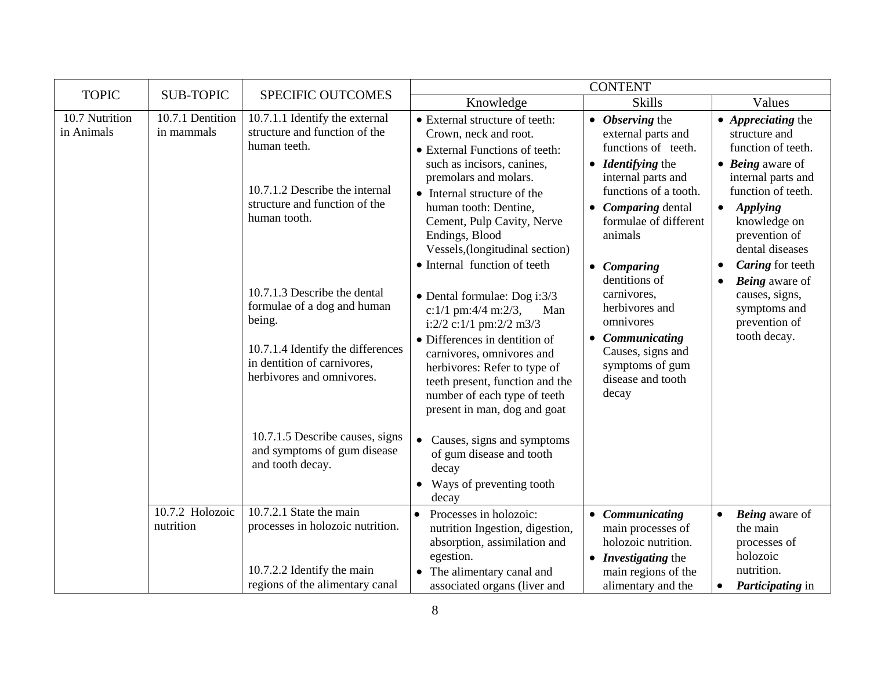|                              |                                |                                                                                                                                                                        | <b>CONTENT</b>                                                                                                                                                                                                                                                                                                                             |                                                                                                                                                                                                 |                                                                                                                                                                                                                                             |  |
|------------------------------|--------------------------------|------------------------------------------------------------------------------------------------------------------------------------------------------------------------|--------------------------------------------------------------------------------------------------------------------------------------------------------------------------------------------------------------------------------------------------------------------------------------------------------------------------------------------|-------------------------------------------------------------------------------------------------------------------------------------------------------------------------------------------------|---------------------------------------------------------------------------------------------------------------------------------------------------------------------------------------------------------------------------------------------|--|
| <b>TOPIC</b>                 | <b>SUB-TOPIC</b>               | <b>SPECIFIC OUTCOMES</b>                                                                                                                                               | Knowledge                                                                                                                                                                                                                                                                                                                                  | <b>Skills</b>                                                                                                                                                                                   | Values                                                                                                                                                                                                                                      |  |
| 10.7 Nutrition<br>in Animals | 10.7.1 Dentition<br>in mammals | 10.7.1.1 Identify the external<br>structure and function of the<br>human teeth.<br>10.7.1.2 Describe the internal<br>structure and function of the<br>human tooth.     | • External structure of teeth:<br>Crown, neck and root.<br>• External Functions of teeth:<br>such as incisors, canines,<br>premolars and molars.<br>• Internal structure of the<br>human tooth: Dentine,<br>Cement, Pulp Cavity, Nerve<br>Endings, Blood<br>Vessels, (longitudinal section)                                                | • Observing the<br>external parts and<br>functions of teeth.<br>• <i>Identifying</i> the<br>internal parts and<br>functions of a tooth.<br>Comparing dental<br>formulae of different<br>animals | $\bullet$ <i>Appreciating the</i><br>structure and<br>function of teeth.<br>$\bullet$ <i>Being</i> aware of<br>internal parts and<br>function of teeth.<br><b>Applying</b><br>$\bullet$<br>knowledge on<br>prevention of<br>dental diseases |  |
|                              |                                | 10.7.1.3 Describe the dental<br>formulae of a dog and human<br>being.<br>10.7.1.4 Identify the differences<br>in dentition of carnivores,<br>herbivores and omnivores. | • Internal function of teeth<br>$\bullet$ Dental formulae: Dog i:3/3<br>c:1/1 pm:4/4 m:2/3,<br>Man<br>i: $2/2$ c: $1/1$ pm: $2/2$ m $3/3$<br>• Differences in dentition of<br>carnivores, omnivores and<br>herbivores: Refer to type of<br>teeth present, function and the<br>number of each type of teeth<br>present in man, dog and goat | • Comparing<br>dentitions of<br>carnivores,<br>herbivores and<br>omnivores<br>Communicating<br>Causes, signs and<br>symptoms of gum<br>disease and tooth<br>decay                               | <b>Caring</b> for teeth<br><b>Being</b> aware of<br>$\bullet$<br>causes, signs,<br>symptoms and<br>prevention of<br>tooth decay.                                                                                                            |  |
|                              |                                | 10.7.1.5 Describe causes, signs<br>and symptoms of gum disease<br>and tooth decay.                                                                                     | Causes, signs and symptoms<br>$\bullet$<br>of gum disease and tooth<br>decay<br>Ways of preventing tooth<br>decay                                                                                                                                                                                                                          |                                                                                                                                                                                                 |                                                                                                                                                                                                                                             |  |
|                              | 10.7.2 Holozoic<br>nutrition   | 10.7.2.1 State the main<br>processes in holozoic nutrition.<br>10.7.2.2 Identify the main<br>regions of the alimentary canal                                           | Processes in holozoic:<br>$\bullet$<br>nutrition Ingestion, digestion,<br>absorption, assimilation and<br>egestion.<br>• The alimentary canal and<br>associated organs (liver and                                                                                                                                                          | • Communicating<br>main processes of<br>holozoic nutrition.<br>• Investigating the<br>main regions of the<br>alimentary and the                                                                 | <b>Being</b> aware of<br>$\bullet$<br>the main<br>processes of<br>holozoic<br>nutrition.<br><i>Participating</i> in                                                                                                                         |  |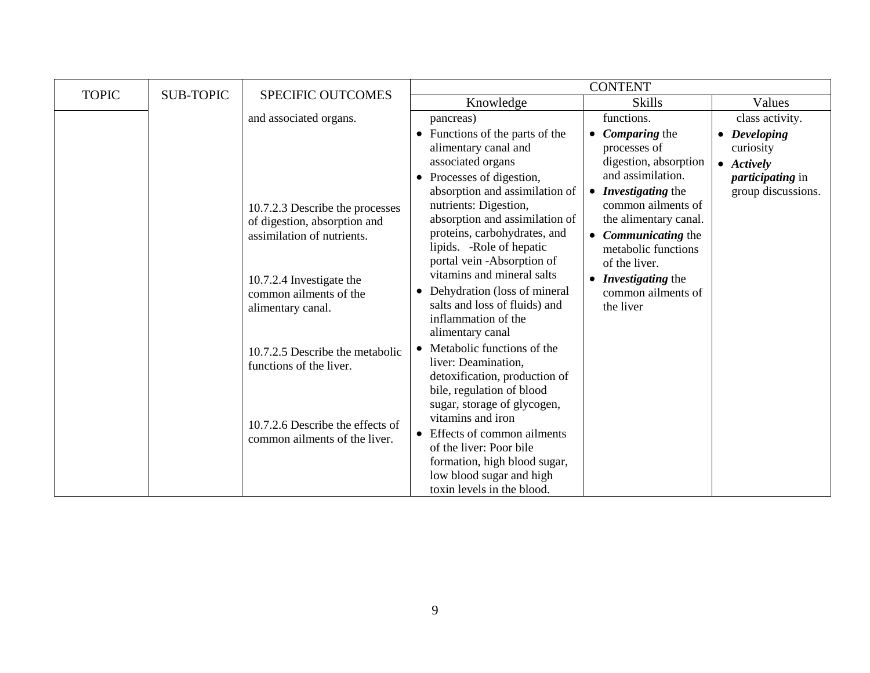| <b>TOPIC</b> | <b>SUB-TOPIC</b> | SPECIFIC OUTCOMES                                                                                                                                                                                                                                                                                           | <b>CONTENT</b>                                                                                                                                                                                                                                                                                                                                                                                                                                                                                                                                                                                                                                                                                                    |                                                                                                                                                                                                                                                                                                                                               |                                                                                                  |  |
|--------------|------------------|-------------------------------------------------------------------------------------------------------------------------------------------------------------------------------------------------------------------------------------------------------------------------------------------------------------|-------------------------------------------------------------------------------------------------------------------------------------------------------------------------------------------------------------------------------------------------------------------------------------------------------------------------------------------------------------------------------------------------------------------------------------------------------------------------------------------------------------------------------------------------------------------------------------------------------------------------------------------------------------------------------------------------------------------|-----------------------------------------------------------------------------------------------------------------------------------------------------------------------------------------------------------------------------------------------------------------------------------------------------------------------------------------------|--------------------------------------------------------------------------------------------------|--|
|              |                  |                                                                                                                                                                                                                                                                                                             | Knowledge                                                                                                                                                                                                                                                                                                                                                                                                                                                                                                                                                                                                                                                                                                         | <b>Skills</b>                                                                                                                                                                                                                                                                                                                                 | Values                                                                                           |  |
|              |                  | and associated organs.                                                                                                                                                                                                                                                                                      | pancreas)                                                                                                                                                                                                                                                                                                                                                                                                                                                                                                                                                                                                                                                                                                         | functions.                                                                                                                                                                                                                                                                                                                                    | class activity.                                                                                  |  |
|              |                  | 10.7.2.3 Describe the processes<br>of digestion, absorption and<br>assimilation of nutrients.<br>10.7.2.4 Investigate the<br>common ailments of the<br>alimentary canal.<br>10.7.2.5 Describe the metabolic<br>functions of the liver.<br>10.7.2.6 Describe the effects of<br>common ailments of the liver. | • Functions of the parts of the<br>alimentary canal and<br>associated organs<br>• Processes of digestion,<br>absorption and assimilation of<br>nutrients: Digestion,<br>absorption and assimilation of<br>proteins, carbohydrates, and<br>lipids. - Role of hepatic<br>portal vein -Absorption of<br>vitamins and mineral salts<br>• Dehydration (loss of mineral<br>salts and loss of fluids) and<br>inflammation of the<br>alimentary canal<br>• Metabolic functions of the<br>liver: Deamination,<br>detoxification, production of<br>bile, regulation of blood<br>sugar, storage of glycogen,<br>vitamins and iron<br>• Effects of common ailments<br>of the liver: Poor bile<br>formation, high blood sugar, | <b>Comparing the</b><br>$\bullet$<br>processes of<br>digestion, absorption<br>and assimilation.<br>Investigating the<br>$\bullet$<br>common ailments of<br>the alimentary canal.<br><b>Communicating the</b><br>$\bullet$<br>metabolic functions<br>of the liver.<br><i>Investigating the</i><br>$\bullet$<br>common ailments of<br>the liver | • Developing<br>curiosity<br>$\bullet$ Actively<br><i>participating</i> in<br>group discussions. |  |
|              |                  |                                                                                                                                                                                                                                                                                                             | low blood sugar and high<br>toxin levels in the blood.                                                                                                                                                                                                                                                                                                                                                                                                                                                                                                                                                                                                                                                            |                                                                                                                                                                                                                                                                                                                                               |                                                                                                  |  |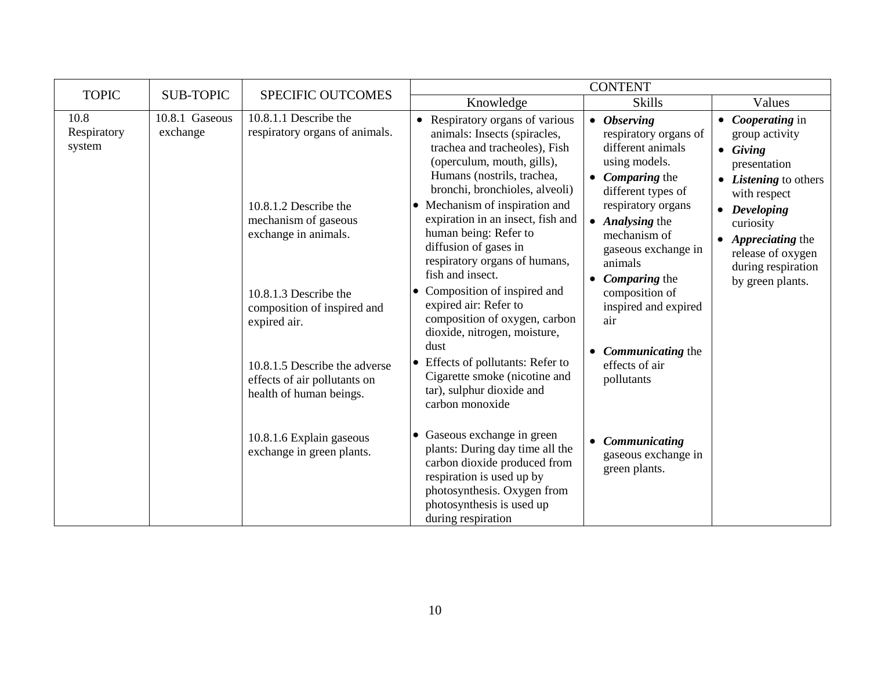| <b>TOPIC</b>                  | <b>SUB-TOPIC</b>           | SPECIFIC OUTCOMES                                                                                                                                                                                                                                                                                                                                             |                                                                                                                                                                                                                                                                                                                                                                                                                                                                                                                                                                                                                                                                                                                                                                                                       | <b>CONTENT</b>                                                                                                                                                                                                                                                                                                                                                                                                                                                                              |                                                                                                                                                                                                                                             |
|-------------------------------|----------------------------|---------------------------------------------------------------------------------------------------------------------------------------------------------------------------------------------------------------------------------------------------------------------------------------------------------------------------------------------------------------|-------------------------------------------------------------------------------------------------------------------------------------------------------------------------------------------------------------------------------------------------------------------------------------------------------------------------------------------------------------------------------------------------------------------------------------------------------------------------------------------------------------------------------------------------------------------------------------------------------------------------------------------------------------------------------------------------------------------------------------------------------------------------------------------------------|---------------------------------------------------------------------------------------------------------------------------------------------------------------------------------------------------------------------------------------------------------------------------------------------------------------------------------------------------------------------------------------------------------------------------------------------------------------------------------------------|---------------------------------------------------------------------------------------------------------------------------------------------------------------------------------------------------------------------------------------------|
|                               |                            |                                                                                                                                                                                                                                                                                                                                                               | Knowledge                                                                                                                                                                                                                                                                                                                                                                                                                                                                                                                                                                                                                                                                                                                                                                                             | <b>Skills</b>                                                                                                                                                                                                                                                                                                                                                                                                                                                                               | Values                                                                                                                                                                                                                                      |
| 10.8<br>Respiratory<br>system | 10.8.1 Gaseous<br>exchange | 10.8.1.1 Describe the<br>respiratory organs of animals.<br>10.8.1.2 Describe the<br>mechanism of gaseous<br>exchange in animals.<br>10.8.1.3 Describe the<br>composition of inspired and<br>expired air.<br>10.8.1.5 Describe the adverse<br>effects of air pollutants on<br>health of human beings.<br>10.8.1.6 Explain gaseous<br>exchange in green plants. | • Respiratory organs of various<br>animals: Insects (spiracles,<br>trachea and tracheoles), Fish<br>(operculum, mouth, gills),<br>Humans (nostrils, trachea,<br>bronchi, bronchioles, alveoli)<br>• Mechanism of inspiration and<br>expiration in an insect, fish and<br>human being: Refer to<br>diffusion of gases in<br>respiratory organs of humans,<br>fish and insect.<br>Composition of inspired and<br>$\bullet$<br>expired air: Refer to<br>composition of oxygen, carbon<br>dioxide, nitrogen, moisture,<br>dust<br>Effects of pollutants: Refer to<br>$\bullet$<br>Cigarette smoke (nicotine and<br>tar), sulphur dioxide and<br>carbon monoxide<br>Gaseous exchange in green<br>$\bullet$<br>plants: During day time all the<br>carbon dioxide produced from<br>respiration is used up by | <b>Observing</b><br>$\bullet$<br>respiratory organs of<br>different animals<br>using models.<br><b>Comparing the</b><br>$\bullet$<br>different types of<br>respiratory organs<br>Analysing the<br>$\bullet$<br>mechanism of<br>gaseous exchange in<br>animals<br><b>Comparing</b> the<br>$\bullet$<br>composition of<br>inspired and expired<br>air<br>Communicating the<br>$\bullet$<br>effects of air<br>pollutants<br>Communicating<br>$\bullet$<br>gaseous exchange in<br>green plants. | • <i>Cooperating</i> in<br>group activity<br>$\bullet$ Giving<br>presentation<br><i>Listening</i> to others<br>with respect<br>• Developing<br>curiosity<br>Appreciating the<br>release of oxygen<br>during respiration<br>by green plants. |
|                               |                            |                                                                                                                                                                                                                                                                                                                                                               | photosynthesis. Oxygen from<br>photosynthesis is used up<br>during respiration                                                                                                                                                                                                                                                                                                                                                                                                                                                                                                                                                                                                                                                                                                                        |                                                                                                                                                                                                                                                                                                                                                                                                                                                                                             |                                                                                                                                                                                                                                             |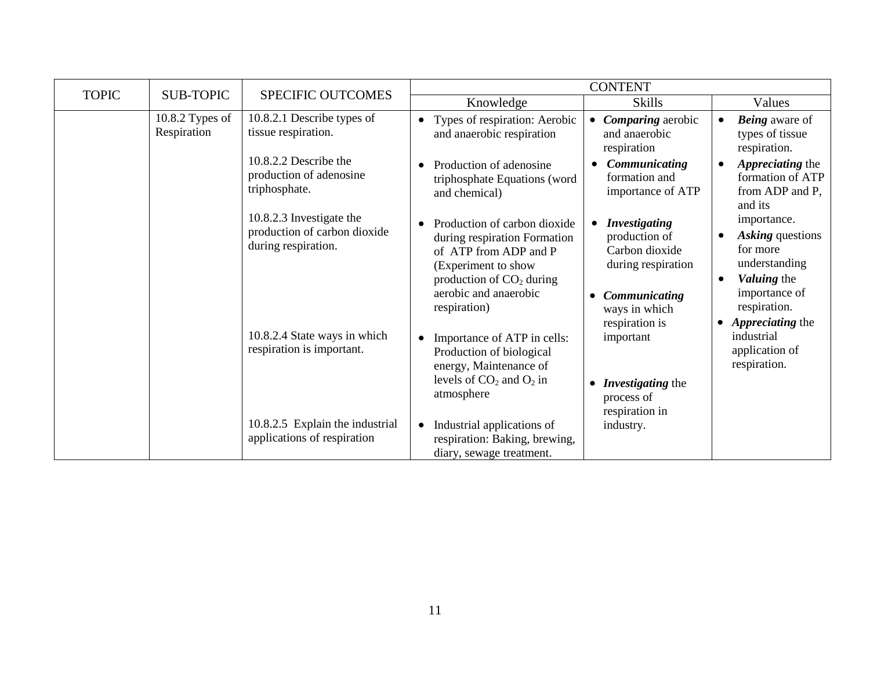| <b>TOPIC</b> | <b>SUB-TOPIC</b>                                          | <b>SPECIFIC OUTCOMES</b>                                                                                                                    |                                                                                                                                                                                                  | <b>CONTENT</b>                                                                                                               |                                                                                                                           |
|--------------|-----------------------------------------------------------|---------------------------------------------------------------------------------------------------------------------------------------------|--------------------------------------------------------------------------------------------------------------------------------------------------------------------------------------------------|------------------------------------------------------------------------------------------------------------------------------|---------------------------------------------------------------------------------------------------------------------------|
|              |                                                           |                                                                                                                                             | Knowledge                                                                                                                                                                                        | <b>Skills</b>                                                                                                                | Values                                                                                                                    |
|              | 10.8.2 Types of<br>Respiration                            | 10.8.2.1 Describe types of<br>tissue respiration.                                                                                           | Types of respiration: Aerobic<br>$\bullet$<br>and anaerobic respiration                                                                                                                          | Comparing aerobic<br>and anaerobic<br>respiration                                                                            | <b>Being</b> aware of<br>$\bullet$<br>types of tissue<br>respiration.                                                     |
|              |                                                           | 10.8.2.2 Describe the<br>production of adenosine<br>triphosphate.                                                                           | Production of adenosine<br>triphosphate Equations (word<br>and chemical)                                                                                                                         | Communicating<br>formation and<br>importance of ATP                                                                          | Appreciating the<br>formation of ATP<br>from ADP and P,<br>and its                                                        |
|              |                                                           | 10.8.2.3 Investigate the<br>production of carbon dioxide<br>during respiration.                                                             | Production of carbon dioxide<br>$\bullet$<br>during respiration Formation<br>of ATP from ADP and P<br>(Experiment to show<br>production of $CO2$ during<br>aerobic and anaerobic<br>respiration) | <b>Investigating</b><br>production of<br>Carbon dioxide<br>during respiration<br>Communicating<br>$\bullet$<br>ways in which | importance.<br>Asking questions<br>for more<br>understanding<br>Valuing the<br>$\bullet$<br>importance of<br>respiration. |
|              | 10.8.2.4 State ways in which<br>respiration is important. | Importance of ATP in cells:<br>$\bullet$<br>Production of biological<br>energy, Maintenance of<br>levels of $CO2$ and $O2$ in<br>atmosphere | respiration is<br>important<br>Investigating the<br>$\bullet$<br>process of<br>respiration in                                                                                                    | • <i>Appreciating the</i><br>industrial<br>application of<br>respiration.                                                    |                                                                                                                           |
|              |                                                           | 10.8.2.5 Explain the industrial<br>applications of respiration                                                                              | Industrial applications of<br>$\bullet$<br>respiration: Baking, brewing,<br>diary, sewage treatment.                                                                                             | industry.                                                                                                                    |                                                                                                                           |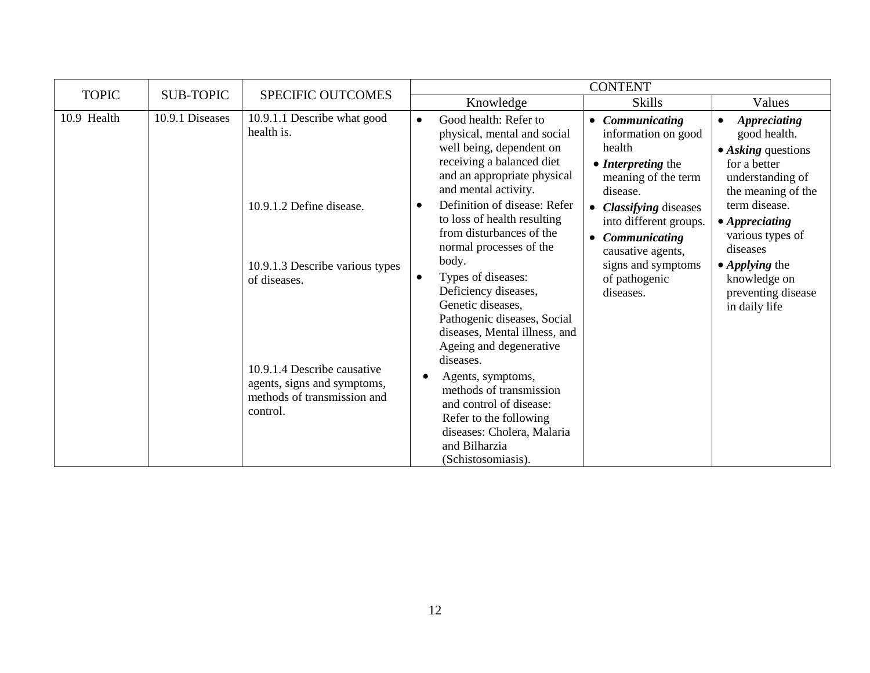| <b>TOPIC</b> | <b>SUB-TOPIC</b>              | <b>SPECIFIC OUTCOMES</b>                                                                                                                                                 |                        |                                                                                                                                                                                                                                                                                                                                                        | <b>CONTENT</b>                                                                                                                                                            |                                                                                                                                                         |
|--------------|-------------------------------|--------------------------------------------------------------------------------------------------------------------------------------------------------------------------|------------------------|--------------------------------------------------------------------------------------------------------------------------------------------------------------------------------------------------------------------------------------------------------------------------------------------------------------------------------------------------------|---------------------------------------------------------------------------------------------------------------------------------------------------------------------------|---------------------------------------------------------------------------------------------------------------------------------------------------------|
|              |                               |                                                                                                                                                                          |                        | Knowledge                                                                                                                                                                                                                                                                                                                                              | <b>Skills</b>                                                                                                                                                             | Values                                                                                                                                                  |
| 10.9 Health  | 10.9.1 Diseases<br>health is. | 10.9.1.1 Describe what good                                                                                                                                              | $\bullet$              | Good health: Refer to<br>physical, mental and social<br>well being, dependent on<br>receiving a balanced diet<br>and an appropriate physical<br>and mental activity.                                                                                                                                                                                   | • Communicating<br>information on good<br>health<br>• <i>Interpreting</i> the<br>meaning of the term<br>disease.                                                          | <b>Appreciating</b><br>good health.<br>• Asking questions<br>for a better<br>understanding of<br>the meaning of the                                     |
|              |                               | 10.9.1.2 Define disease.<br>10.9.1.3 Describe various types<br>of diseases.<br>10.9.1.4 Describe causative<br>agents, signs and symptoms,<br>methods of transmission and | $\bullet$<br>$\bullet$ | Definition of disease: Refer<br>to loss of health resulting<br>from disturbances of the<br>normal processes of the<br>body.<br>Types of diseases:<br>Deficiency diseases,<br>Genetic diseases,<br>Pathogenic diseases, Social<br>diseases, Mental illness, and<br>Ageing and degenerative<br>diseases.<br>Agents, symptoms,<br>methods of transmission | <b>Classifying diseases</b><br>$\bullet$<br>into different groups.<br>Communicating<br>$\bullet$<br>causative agents,<br>signs and symptoms<br>of pathogenic<br>diseases. | term disease.<br>• Appreciating<br>various types of<br>diseases<br>$\bullet$ <i>Applying the</i><br>knowledge on<br>preventing disease<br>in daily life |
|              |                               | control.                                                                                                                                                                 |                        | and control of disease:<br>Refer to the following<br>diseases: Cholera, Malaria<br>and Bilharzia<br>(Schistosomiasis).                                                                                                                                                                                                                                 |                                                                                                                                                                           |                                                                                                                                                         |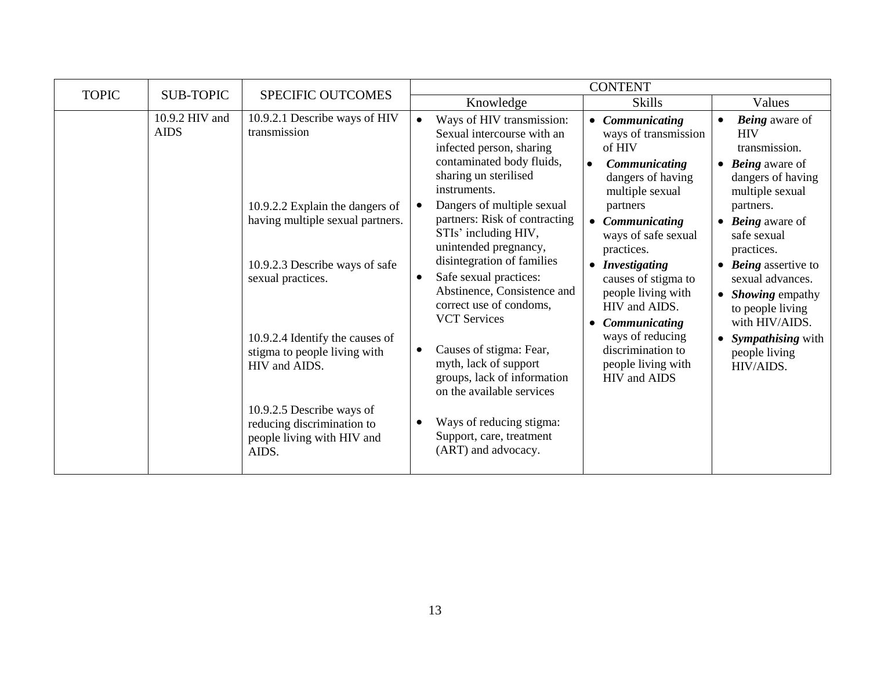| <b>TOPIC</b> | <b>SUB-TOPIC</b>                                                                 | <b>SPECIFIC OUTCOMES</b>                                                                       | <b>CONTENT</b>                                                                                               |                                                                                                                                                           |                                                                                                                                                                                         |                                                                                                                           |                                                                                                                   |
|--------------|----------------------------------------------------------------------------------|------------------------------------------------------------------------------------------------|--------------------------------------------------------------------------------------------------------------|-----------------------------------------------------------------------------------------------------------------------------------------------------------|-----------------------------------------------------------------------------------------------------------------------------------------------------------------------------------------|---------------------------------------------------------------------------------------------------------------------------|-------------------------------------------------------------------------------------------------------------------|
|              |                                                                                  |                                                                                                |                                                                                                              | Knowledge                                                                                                                                                 | <b>Skills</b>                                                                                                                                                                           | Values                                                                                                                    |                                                                                                                   |
|              | 10.9.2 HIV and<br><b>AIDS</b>                                                    | 10.9.2.1 Describe ways of HIV<br>transmission                                                  |                                                                                                              | Ways of HIV transmission:<br>Sexual intercourse with an<br>infected person, sharing<br>contaminated body fluids,<br>sharing un sterilised<br>instruments. | Communicating<br>ways of transmission<br>of HIV<br>Communicating<br>$\bullet$<br>dangers of having<br>multiple sexual<br>partners<br>Communicating<br>ways of safe sexual<br>practices. | <b>HIV</b>                                                                                                                | <b>Being</b> aware of<br>transmission.<br>$\bullet$ <i>Being</i> aware of<br>dangers of having<br>multiple sexual |
|              |                                                                                  | 10.9.2.2 Explain the dangers of<br>having multiple sexual partners.                            |                                                                                                              | Dangers of multiple sexual<br>partners: Risk of contracting<br>STIs' including HIV,<br>unintended pregnancy,<br>disintegration of families                |                                                                                                                                                                                         | partners.<br>$\bullet$ <i>Being</i> aware of<br>safe sexual<br>practices.                                                 |                                                                                                                   |
|              |                                                                                  | 10.9.2.3 Describe ways of safe<br>sexual practices.                                            | $\bullet$                                                                                                    | Safe sexual practices:<br>Abstinence, Consistence and<br>correct use of condoms,<br><b>VCT Services</b>                                                   | • Investigating<br>causes of stigma to<br>people living with<br>HIV and AIDS.<br><b>Communicating</b><br>$\bullet$                                                                      | $\bullet$ <i>Being</i> assertive to<br>sexual advances.<br>• <i>Showing</i> empathy<br>to people living<br>with HIV/AIDS. |                                                                                                                   |
|              | 10.9.2.4 Identify the causes of<br>stigma to people living with<br>HIV and AIDS. | $\bullet$                                                                                      | Causes of stigma: Fear,<br>myth, lack of support<br>groups, lack of information<br>on the available services | ways of reducing<br>discrimination to<br>people living with<br>HIV and AIDS                                                                               | <i>Sympathising</i> with<br>people living<br>HIV/AIDS.                                                                                                                                  |                                                                                                                           |                                                                                                                   |
|              |                                                                                  | 10.9.2.5 Describe ways of<br>reducing discrimination to<br>people living with HIV and<br>AIDS. |                                                                                                              | Ways of reducing stigma:<br>Support, care, treatment<br>(ART) and advocacy.                                                                               |                                                                                                                                                                                         |                                                                                                                           |                                                                                                                   |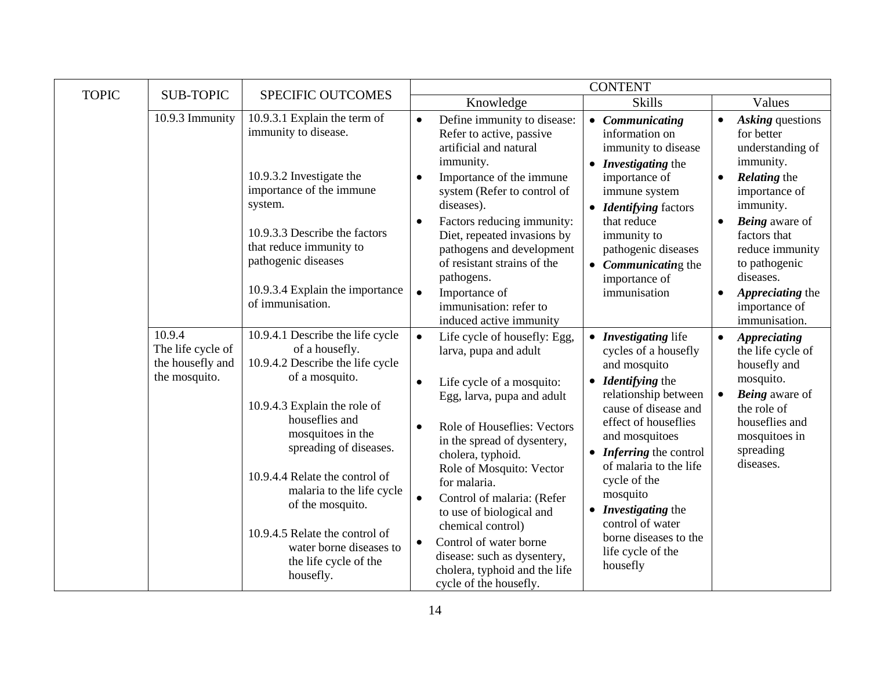|              |                                                                  |                                                                                                                                                                                                                                                                                                                                                                                                 |                                                                                                                                                                                                                                                                                                                                                                                                                                                                                                                     | <b>CONTENT</b>                                                                                                                                                                                                                                                                                                                                                                                    |                                                                                                                                                                                                                                                                                                             |
|--------------|------------------------------------------------------------------|-------------------------------------------------------------------------------------------------------------------------------------------------------------------------------------------------------------------------------------------------------------------------------------------------------------------------------------------------------------------------------------------------|---------------------------------------------------------------------------------------------------------------------------------------------------------------------------------------------------------------------------------------------------------------------------------------------------------------------------------------------------------------------------------------------------------------------------------------------------------------------------------------------------------------------|---------------------------------------------------------------------------------------------------------------------------------------------------------------------------------------------------------------------------------------------------------------------------------------------------------------------------------------------------------------------------------------------------|-------------------------------------------------------------------------------------------------------------------------------------------------------------------------------------------------------------------------------------------------------------------------------------------------------------|
| <b>TOPIC</b> | <b>SUB-TOPIC</b>                                                 | SPECIFIC OUTCOMES                                                                                                                                                                                                                                                                                                                                                                               | Knowledge                                                                                                                                                                                                                                                                                                                                                                                                                                                                                                           | <b>Skills</b>                                                                                                                                                                                                                                                                                                                                                                                     | Values                                                                                                                                                                                                                                                                                                      |
|              | 10.9.3 Immunity                                                  | 10.9.3.1 Explain the term of<br>immunity to disease.<br>10.9.3.2 Investigate the<br>importance of the immune<br>system.<br>10.9.3.3 Describe the factors<br>that reduce immunity to<br>pathogenic diseases<br>10.9.3.4 Explain the importance<br>of immunisation.                                                                                                                               | Define immunity to disease:<br>$\bullet$<br>Refer to active, passive<br>artificial and natural<br>immunity.<br>Importance of the immune<br>$\bullet$<br>system (Refer to control of<br>diseases).<br>Factors reducing immunity:<br>$\bullet$<br>Diet, repeated invasions by<br>pathogens and development<br>of resistant strains of the<br>pathogens.<br>$\bullet$<br>Importance of<br>immunisation: refer to<br>induced active immunity                                                                            | • Communicating<br>information on<br>immunity to disease<br>• <i>Investigating</i> the<br>importance of<br>immune system<br><b>Identifying</b> factors<br>that reduce<br>immunity to<br>pathogenic diseases<br>• <i>Communicating</i> the<br>importance of<br>immunisation                                                                                                                        | Asking questions<br>for better<br>understanding of<br>immunity.<br><b>Relating the</b><br>$\bullet$<br>importance of<br>immunity.<br><b>Being</b> aware of<br>$\bullet$<br>factors that<br>reduce immunity<br>to pathogenic<br>diseases.<br>Appreciating the<br>$\bullet$<br>importance of<br>immunisation. |
|              | 10.9.4<br>The life cycle of<br>the housefly and<br>the mosquito. | 10.9.4.1 Describe the life cycle<br>of a housefly.<br>10.9.4.2 Describe the life cycle<br>of a mosquito.<br>10.9.4.3 Explain the role of<br>houseflies and<br>mosquitoes in the<br>spreading of diseases.<br>10.9.4.4 Relate the control of<br>malaria to the life cycle<br>of the mosquito.<br>10.9.4.5 Relate the control of<br>water borne diseases to<br>the life cycle of the<br>housefly. | Life cycle of housefly: Egg,<br>$\bullet$<br>larva, pupa and adult<br>Life cycle of a mosquito:<br>$\bullet$<br>Egg, larva, pupa and adult<br>Role of Houseflies: Vectors<br>$\bullet$<br>in the spread of dysentery,<br>cholera, typhoid.<br>Role of Mosquito: Vector<br>for malaria.<br>Control of malaria: (Refer<br>$\bullet$<br>to use of biological and<br>chemical control)<br>Control of water borne<br>$\bullet$<br>disease: such as dysentery,<br>cholera, typhoid and the life<br>cycle of the housefly. | • Investigating life<br>cycles of a housefly<br>and mosquito<br>• <i>Identifying</i> the<br>relationship between<br>cause of disease and<br>effect of houseflies<br>and mosquitoes<br>• <i>Inferring</i> the control<br>of malaria to the life<br>cycle of the<br>mosquito<br><b>Investigating the</b><br>$\bullet$<br>control of water<br>borne diseases to the<br>life cycle of the<br>housefly | <b>Appreciating</b><br>$\bullet$<br>the life cycle of<br>housefly and<br>mosquito.<br><b>Being</b> aware of<br>$\bullet$<br>the role of<br>houseflies and<br>mosquitoes in<br>spreading<br>diseases.                                                                                                        |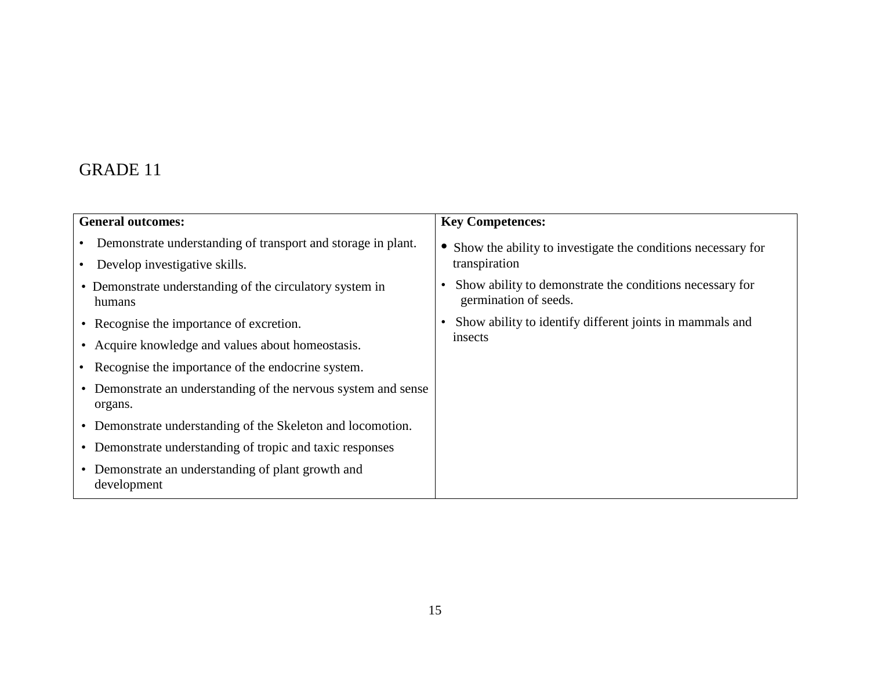| <b>General outcomes:</b>                                                                      | <b>Key Competences:</b>                                                                        |
|-----------------------------------------------------------------------------------------------|------------------------------------------------------------------------------------------------|
| Demonstrate understanding of transport and storage in plant.<br>Develop investigative skills. | Show the ability to investigate the conditions necessary for<br>transpiration                  |
| • Demonstrate understanding of the circulatory system in<br>humans                            | Show ability to demonstrate the conditions necessary for<br>$\bullet$<br>germination of seeds. |
| • Recognise the importance of excretion.                                                      | Show ability to identify different joints in mammals and                                       |
| • Acquire knowledge and values about homeostasis.                                             | insects                                                                                        |
| Recognise the importance of the endocrine system.                                             |                                                                                                |
| • Demonstrate an understanding of the nervous system and sense<br>organs.                     |                                                                                                |
| • Demonstrate understanding of the Skeleton and locomotion.                                   |                                                                                                |
| • Demonstrate understanding of tropic and taxic responses                                     |                                                                                                |
| • Demonstrate an understanding of plant growth and<br>development                             |                                                                                                |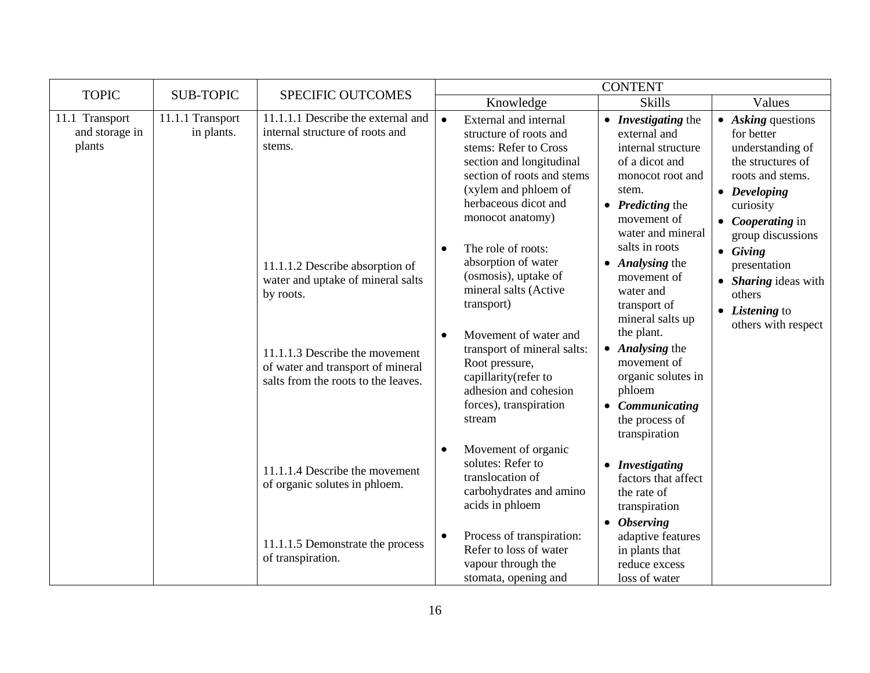| <b>TOPIC</b>                               | <b>SUB-TOPIC</b>               | SPECIFIC OUTCOMES                                                                                                                                                                               | <b>CONTENT</b>                                                                                                                                                                                                                                                                                    |                                                                                                                                                                                                                                                    |                                                                                                                                                               |  |
|--------------------------------------------|--------------------------------|-------------------------------------------------------------------------------------------------------------------------------------------------------------------------------------------------|---------------------------------------------------------------------------------------------------------------------------------------------------------------------------------------------------------------------------------------------------------------------------------------------------|----------------------------------------------------------------------------------------------------------------------------------------------------------------------------------------------------------------------------------------------------|---------------------------------------------------------------------------------------------------------------------------------------------------------------|--|
|                                            |                                |                                                                                                                                                                                                 | Knowledge                                                                                                                                                                                                                                                                                         | <b>Skills</b>                                                                                                                                                                                                                                      | Values                                                                                                                                                        |  |
| 11.1 Transport<br>and storage in<br>plants | 11.1.1 Transport<br>in plants. | 11.1.1.1 Describe the external and<br>internal structure of roots and<br>stems.                                                                                                                 | $\bullet$<br>External and internal<br>structure of roots and<br>stems: Refer to Cross<br>section and longitudinal<br>section of roots and stems<br>(xylem and phloem of<br>herbaceous dicot and<br>monocot anatomy)                                                                               | • <i>Investigating</i> the<br>external and<br>internal structure<br>of a dicot and<br>monocot root and<br>stem.<br>$\bullet$ <i>Predicting the</i><br>movement of<br>water and mineral                                                             | $\bullet$ Asking questions<br>for better<br>understanding of<br>the structures of<br>roots and stems.<br>• Developing<br>curiosity<br>• <i>Cooperating</i> in |  |
|                                            |                                | 11.1.1.2 Describe absorption of<br>water and uptake of mineral salts<br>by roots.<br>11.1.1.3 Describe the movement<br>of water and transport of mineral<br>salts from the roots to the leaves. | The role of roots:<br>$\bullet$<br>absorption of water<br>(osmosis), uptake of<br>mineral salts (Active<br>transport)<br>Movement of water and<br>$\bullet$<br>transport of mineral salts:<br>Root pressure,<br>capillarity(refer to<br>adhesion and cohesion<br>forces), transpiration<br>stream | salts in roots<br>• Analysing the<br>movement of<br>water and<br>transport of<br>mineral salts up<br>the plant.<br>• Analysing the<br>movement of<br>organic solutes in<br>phloem<br>Communicating<br>$\bullet$<br>the process of<br>transpiration | group discussions<br>$\bullet$ Giving<br>presentation<br>• Sharing ideas with<br>others<br>• Listening to<br>others with respect                              |  |
|                                            |                                | 11.1.1.4 Describe the movement<br>of organic solutes in phloem.                                                                                                                                 | Movement of organic<br>$\bullet$<br>solutes: Refer to<br>translocation of<br>carbohydrates and amino<br>acids in phloem<br>Process of transpiration:<br>$\bullet$                                                                                                                                 | • Investigating<br>factors that affect<br>the rate of<br>transpiration<br>$\bullet$ Observing<br>adaptive features                                                                                                                                 |                                                                                                                                                               |  |
|                                            |                                | 11.1.1.5 Demonstrate the process<br>of transpiration.                                                                                                                                           | Refer to loss of water<br>vapour through the<br>stomata, opening and                                                                                                                                                                                                                              | in plants that<br>reduce excess<br>loss of water                                                                                                                                                                                                   |                                                                                                                                                               |  |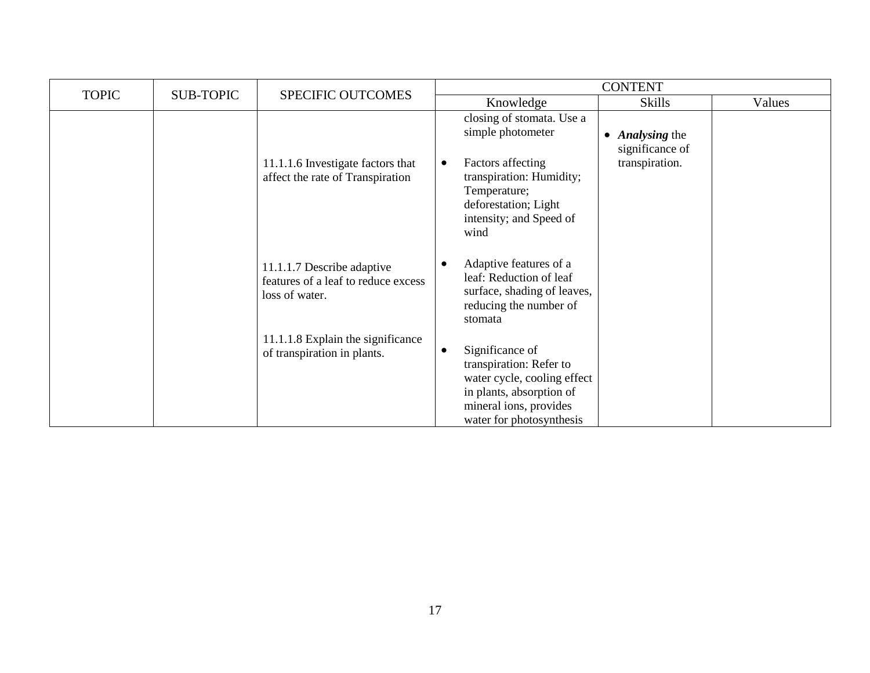| <b>TOPIC</b> |                  |                                                                                     | <b>CONTENT</b>                                                                                                                                                           |                                                      |        |
|--------------|------------------|-------------------------------------------------------------------------------------|--------------------------------------------------------------------------------------------------------------------------------------------------------------------------|------------------------------------------------------|--------|
|              | <b>SUB-TOPIC</b> | <b>SPECIFIC OUTCOMES</b>                                                            | Knowledge                                                                                                                                                                | <b>Skills</b>                                        | Values |
|              |                  |                                                                                     | closing of stomata. Use a<br>simple photometer                                                                                                                           | <b>Analysing the</b><br>$\bullet$<br>significance of |        |
|              |                  | 11.1.1.6 Investigate factors that<br>affect the rate of Transpiration               | Factors affecting<br>$\bullet$<br>transpiration: Humidity;<br>Temperature;<br>deforestation; Light<br>intensity; and Speed of<br>wind                                    | transpiration.                                       |        |
|              |                  | 11.1.1.7 Describe adaptive<br>features of a leaf to reduce excess<br>loss of water. | Adaptive features of a<br>- 0<br>leaf: Reduction of leaf<br>surface, shading of leaves,<br>reducing the number of<br>stomata                                             |                                                      |        |
|              |                  | 11.1.1.8 Explain the significance<br>of transpiration in plants.                    | Significance of<br>$\bullet$<br>transpiration: Refer to<br>water cycle, cooling effect<br>in plants, absorption of<br>mineral ions, provides<br>water for photosynthesis |                                                      |        |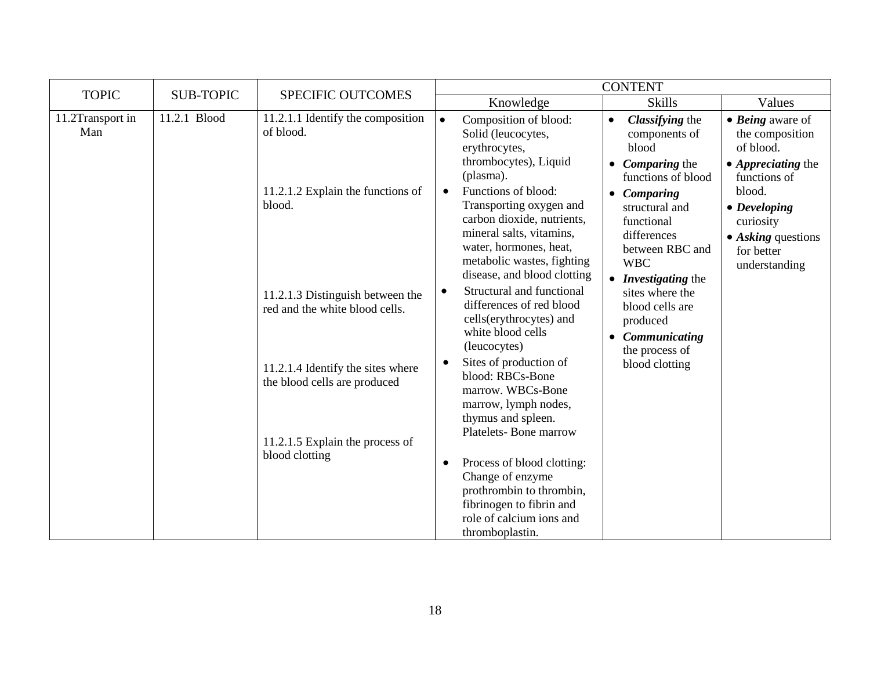| <b>TOPIC</b>            | <b>SUB-TOPIC</b> | <b>SPECIFIC OUTCOMES</b>                                           |                                                                                                                                                                                                              | <b>CONTENT</b>                                                                                                                                                                                                                                                      |                                                                                                              |
|-------------------------|------------------|--------------------------------------------------------------------|--------------------------------------------------------------------------------------------------------------------------------------------------------------------------------------------------------------|---------------------------------------------------------------------------------------------------------------------------------------------------------------------------------------------------------------------------------------------------------------------|--------------------------------------------------------------------------------------------------------------|
|                         |                  |                                                                    | Knowledge                                                                                                                                                                                                    | <b>Skills</b>                                                                                                                                                                                                                                                       | Values                                                                                                       |
| 11.2Transport in<br>Man | 11.2.1 Blood     | 11.2.1.1 Identify the composition<br>of blood.                     | Composition of blood:<br>$\bullet$<br>Solid (leucocytes,<br>erythrocytes,<br>thrombocytes), Liquid<br>(plasma).                                                                                              | Classifying the<br>$\bullet$<br>components of<br>blood<br>Comparing the<br>$\bullet$<br>functions of blood                                                                                                                                                          | $\bullet$ <i>Being</i> aware of<br>the composition<br>of blood.<br>• <i>Appreciating</i> the<br>functions of |
|                         |                  | 11.2.1.2 Explain the functions of<br>blood.                        | Functions of blood:<br>$\bullet$<br>Transporting oxygen and<br>carbon dioxide, nutrients,<br>mineral salts, vitamins,<br>water, hormones, heat,<br>metabolic wastes, fighting<br>disease, and blood clotting | Comparing<br>$\bullet$<br>structural and<br>functional<br>differences<br>between RBC and<br><b>WBC</b><br><i>Investigating the</i><br>$\bullet$<br>sites where the<br>blood cells are<br>produced<br>Communicating<br>$\bullet$<br>the process of<br>blood clotting | blood.<br>$\bullet$ Developing<br>curiosity<br>$\bullet$ Asking questions<br>for better<br>understanding     |
|                         |                  | 11.2.1.3 Distinguish between the<br>red and the white blood cells. | Structural and functional<br>$\bullet$<br>differences of red blood<br>cells(erythrocytes) and<br>white blood cells<br>(leucocytes)                                                                           |                                                                                                                                                                                                                                                                     |                                                                                                              |
|                         |                  | 11.2.1.4 Identify the sites where<br>the blood cells are produced  | Sites of production of<br>blood: RBCs-Bone<br>marrow. WBCs-Bone<br>marrow, lymph nodes,<br>thymus and spleen.<br>Platelets-Bone marrow                                                                       |                                                                                                                                                                                                                                                                     |                                                                                                              |
|                         |                  | 11.2.1.5 Explain the process of<br>blood clotting                  | Process of blood clotting:<br>$\bullet$<br>Change of enzyme<br>prothrombin to thrombin,<br>fibrinogen to fibrin and<br>role of calcium ions and<br>thromboplastin.                                           |                                                                                                                                                                                                                                                                     |                                                                                                              |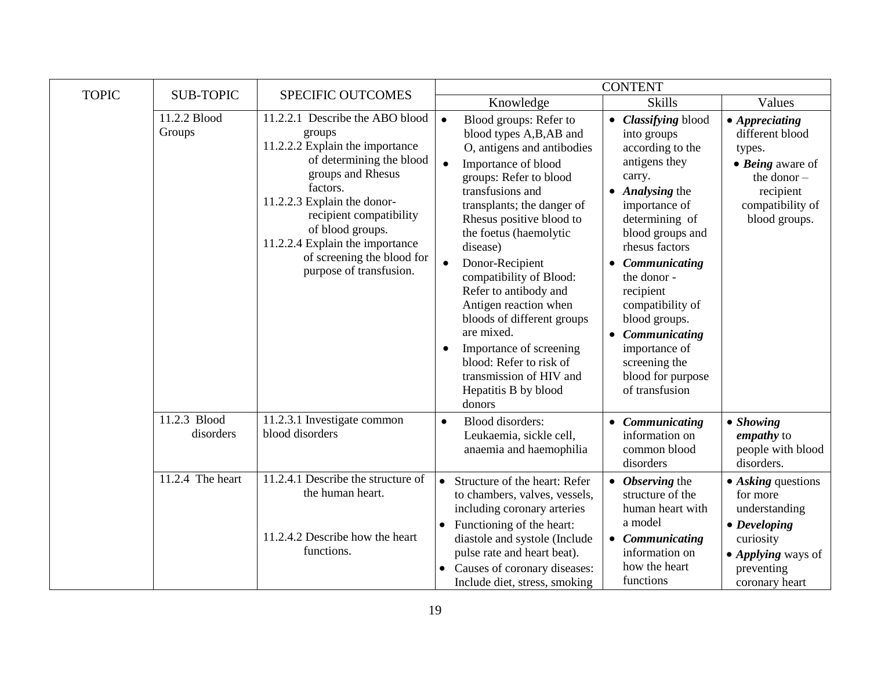| <b>TOPIC</b> | <b>SUB-TOPIC</b>            | SPECIFIC OUTCOMES                                                                                                                                                                                                                                                                                                   |                                                                                                                                                                                                                                                                                                                                                                                                                                                                                                                                              | <b>CONTENT</b>                                                                                                                                                                                                                                                                                                                                                         |                                                                                                                                                           |
|--------------|-----------------------------|---------------------------------------------------------------------------------------------------------------------------------------------------------------------------------------------------------------------------------------------------------------------------------------------------------------------|----------------------------------------------------------------------------------------------------------------------------------------------------------------------------------------------------------------------------------------------------------------------------------------------------------------------------------------------------------------------------------------------------------------------------------------------------------------------------------------------------------------------------------------------|------------------------------------------------------------------------------------------------------------------------------------------------------------------------------------------------------------------------------------------------------------------------------------------------------------------------------------------------------------------------|-----------------------------------------------------------------------------------------------------------------------------------------------------------|
|              |                             |                                                                                                                                                                                                                                                                                                                     | Knowledge                                                                                                                                                                                                                                                                                                                                                                                                                                                                                                                                    | <b>Skills</b>                                                                                                                                                                                                                                                                                                                                                          | Values                                                                                                                                                    |
|              | 11.2.2 Blood<br>Groups      | 11.2.2.1 Describe the ABO blood<br>groups<br>11.2.2.2 Explain the importance<br>of determining the blood<br>groups and Rhesus<br>factors.<br>11.2.2.3 Explain the donor-<br>recipient compatibility<br>of blood groups.<br>11.2.2.4 Explain the importance<br>of screening the blood for<br>purpose of transfusion. | Blood groups: Refer to<br>$\bullet$<br>blood types A,B,AB and<br>O, antigens and antibodies<br>Importance of blood<br>$\bullet$<br>groups: Refer to blood<br>transfusions and<br>transplants; the danger of<br>Rhesus positive blood to<br>the foetus (haemolytic<br>disease)<br>Donor-Recipient<br>compatibility of Blood:<br>Refer to antibody and<br>Antigen reaction when<br>bloods of different groups<br>are mixed.<br>Importance of screening<br>blood: Refer to risk of<br>transmission of HIV and<br>Hepatitis B by blood<br>donors | • Classifying blood<br>into groups<br>according to the<br>antigens they<br>carry.<br>• Analysing the<br>importance of<br>determining of<br>blood groups and<br>rhesus factors<br>Communicating<br>the donor -<br>recipient<br>compatibility of<br>blood groups.<br>Communicating<br>$\bullet$<br>importance of<br>screening the<br>blood for purpose<br>of transfusion | $\bullet$ Appreciating<br>different blood<br>types.<br>$\bullet$ Being aware of<br>the donor $-$<br>recipient<br>compatibility of<br>blood groups.        |
|              | $11.2.3$ Blood<br>disorders | 11.2.3.1 Investigate common<br>blood disorders                                                                                                                                                                                                                                                                      | <b>Blood</b> disorders:<br>$\bullet$<br>Leukaemia, sickle cell,<br>anaemia and haemophilia                                                                                                                                                                                                                                                                                                                                                                                                                                                   | Communicating<br>information on<br>common blood<br>disorders                                                                                                                                                                                                                                                                                                           | $\bullet$ Showing<br>empathy to<br>people with blood<br>disorders.                                                                                        |
|              | 11.2.4 The heart            | 11.2.4.1 Describe the structure of<br>the human heart.<br>11.2.4.2 Describe how the heart<br>functions.                                                                                                                                                                                                             | Structure of the heart: Refer<br>$\bullet$<br>to chambers, valves, vessels,<br>including coronary arteries<br>Functioning of the heart:<br>diastole and systole (Include<br>pulse rate and heart beat).<br>Causes of coronary diseases:<br>Include diet, stress, smoking                                                                                                                                                                                                                                                                     | <b>Observing the</b><br>structure of the<br>human heart with<br>a model<br>• Communicating<br>information on<br>how the heart<br>functions                                                                                                                                                                                                                             | $\bullet$ Asking questions<br>for more<br>understanding<br>$\bullet$ Developing<br>curiosity<br>• <i>Applying</i> ways of<br>preventing<br>coronary heart |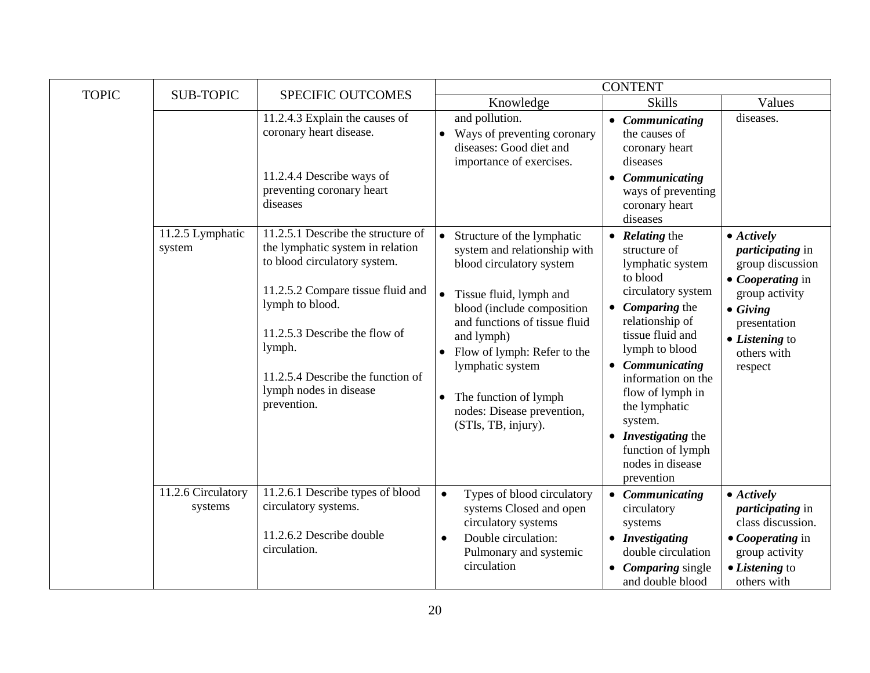| <b>TOPIC</b> | <b>SUB-TOPIC</b>              | <b>SPECIFIC OUTCOMES</b>                                                                                                                                                                                                                                                                |                                                                                                                                                                                                                                                                                                                                                                                     | <b>CONTENT</b>                                                                                                                                                                                                                                                                                                                                                        |                                                                                                                                                                                                        |
|--------------|-------------------------------|-----------------------------------------------------------------------------------------------------------------------------------------------------------------------------------------------------------------------------------------------------------------------------------------|-------------------------------------------------------------------------------------------------------------------------------------------------------------------------------------------------------------------------------------------------------------------------------------------------------------------------------------------------------------------------------------|-----------------------------------------------------------------------------------------------------------------------------------------------------------------------------------------------------------------------------------------------------------------------------------------------------------------------------------------------------------------------|--------------------------------------------------------------------------------------------------------------------------------------------------------------------------------------------------------|
|              |                               |                                                                                                                                                                                                                                                                                         | Knowledge                                                                                                                                                                                                                                                                                                                                                                           | <b>Skills</b>                                                                                                                                                                                                                                                                                                                                                         | Values                                                                                                                                                                                                 |
|              |                               | 11.2.4.3 Explain the causes of<br>coronary heart disease.<br>11.2.4.4 Describe ways of<br>preventing coronary heart<br>diseases                                                                                                                                                         | and pollution.<br>Ways of preventing coronary<br>$\bullet$<br>diseases: Good diet and<br>importance of exercises.                                                                                                                                                                                                                                                                   | • Communicating<br>the causes of<br>coronary heart<br>diseases<br>Communicating<br>ways of preventing<br>coronary heart<br>diseases                                                                                                                                                                                                                                   | diseases.                                                                                                                                                                                              |
|              | 11.2.5 Lymphatic<br>system    | 11.2.5.1 Describe the structure of<br>the lymphatic system in relation<br>to blood circulatory system.<br>11.2.5.2 Compare tissue fluid and<br>lymph to blood.<br>11.2.5.3 Describe the flow of<br>lymph.<br>11.2.5.4 Describe the function of<br>lymph nodes in disease<br>prevention. | $\bullet$<br>Structure of the lymphatic<br>system and relationship with<br>blood circulatory system<br>$\bullet$<br>Tissue fluid, lymph and<br>blood (include composition<br>and functions of tissue fluid<br>and lymph)<br>Flow of lymph: Refer to the<br>$\bullet$<br>lymphatic system<br>The function of lymph<br>$\bullet$<br>nodes: Disease prevention,<br>(STIs, TB, injury). | <b>Relating the</b><br>structure of<br>lymphatic system<br>to blood<br>circulatory system<br><b>Comparing the</b><br>$\bullet$<br>relationship of<br>tissue fluid and<br>lymph to blood<br>• Communicating<br>information on the<br>flow of lymph in<br>the lymphatic<br>system.<br>• <i>Investigating</i> the<br>function of lymph<br>nodes in disease<br>prevention | $\bullet$ Actively<br><i>participating</i> in<br>group discussion<br>$\bullet$ <i>Cooperating</i> in<br>group activity<br>$\bullet$ Giving<br>presentation<br>• Listening to<br>others with<br>respect |
|              | 11.2.6 Circulatory<br>systems | 11.2.6.1 Describe types of blood<br>circulatory systems.<br>11.2.6.2 Describe double<br>circulation.                                                                                                                                                                                    | Types of blood circulatory<br>$\bullet$<br>systems Closed and open<br>circulatory systems<br>Double circulation:<br>$\bullet$<br>Pulmonary and systemic<br>circulation                                                                                                                                                                                                              | Communicating<br>circulatory<br>systems<br>• Investigating<br>double circulation<br>• Comparing single<br>and double blood                                                                                                                                                                                                                                            | $\bullet$ Actively<br><i>participating</i> in<br>class discussion.<br>• Cooperating in<br>group activity<br>• Listening to<br>others with                                                              |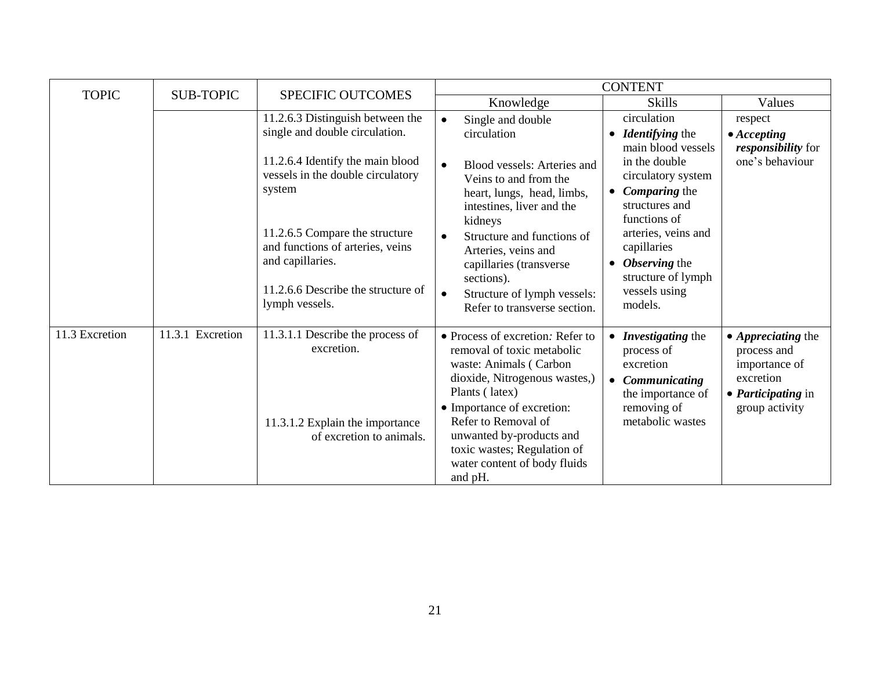| <b>TOPIC</b>   | <b>SUB-TOPIC</b> | <b>SPECIFIC OUTCOMES</b>                                                               | <b>CONTENT</b>                                                                                                                                                            |                                                                                                            |                                                                                                                       |
|----------------|------------------|----------------------------------------------------------------------------------------|---------------------------------------------------------------------------------------------------------------------------------------------------------------------------|------------------------------------------------------------------------------------------------------------|-----------------------------------------------------------------------------------------------------------------------|
|                |                  |                                                                                        | Knowledge                                                                                                                                                                 | <b>Skills</b>                                                                                              | Values                                                                                                                |
|                |                  | 11.2.6.3 Distinguish between the<br>single and double circulation.                     | Single and double<br>$\bullet$<br>circulation                                                                                                                             | circulation<br>• <i>Identifying</i> the<br>main blood vessels                                              | respect<br>$\bullet$ Accepting<br><i>responsibility</i> for                                                           |
|                |                  | 11.2.6.4 Identify the main blood<br>vessels in the double circulatory<br>system        | Blood vessels: Arteries and<br>Veins to and from the<br>heart, lungs, head, limbs,<br>intestines, liver and the<br>kidneys                                                | in the double<br>circulatory system<br><b>Comparing the</b><br>$\bullet$<br>structures and<br>functions of | one's behaviour                                                                                                       |
|                |                  | 11.2.6.5 Compare the structure<br>and functions of arteries, veins<br>and capillaries. | Structure and functions of<br>Arteries, veins and<br>capillaries (transverse<br>sections).                                                                                | arteries, veins and<br>capillaries<br>Observing the<br>structure of lymph                                  |                                                                                                                       |
|                |                  | 11.2.6.6 Describe the structure of<br>lymph vessels.                                   | Structure of lymph vessels:<br>$\bullet$<br>Refer to transverse section.                                                                                                  | vessels using<br>models.                                                                                   |                                                                                                                       |
| 11.3 Excretion | 11.3.1 Excretion | 11.3.1.1 Describe the process of<br>excretion.                                         | • Process of excretion: Refer to<br>removal of toxic metabolic<br>waste: Animals (Carbon<br>dioxide, Nitrogenous wastes,)<br>Plants (latex)<br>• Importance of excretion: | • Investigating the<br>process of<br>excretion<br>Communicating<br>the importance of<br>removing of        | • <i>Appreciating</i> the<br>process and<br>importance of<br>excretion<br>• <i>Participating</i> in<br>group activity |
|                |                  | 11.3.1.2 Explain the importance<br>of excretion to animals.                            | Refer to Removal of<br>unwanted by-products and<br>toxic wastes; Regulation of<br>water content of body fluids<br>and pH.                                                 | metabolic wastes                                                                                           |                                                                                                                       |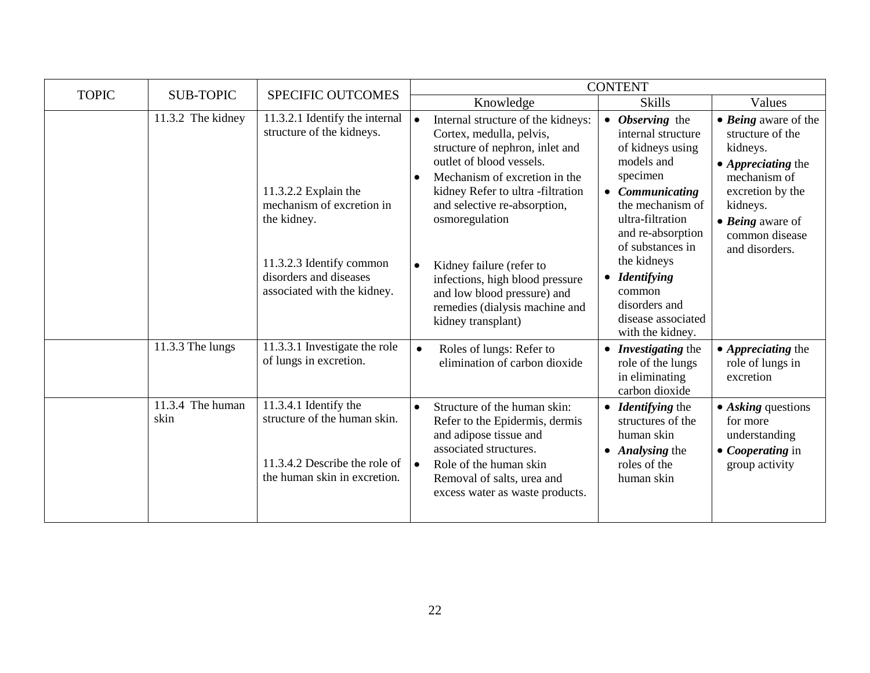| <b>TOPIC</b> | <b>SUB-TOPIC</b>         | <b>SPECIFIC OUTCOMES</b>                                                                                                                                                                                             | <b>CONTENT</b>                                                                                                                                                                                                                                                                                                                                                                                                                                                                                                                                                                                                                                                                                                                                                                                                                                          |
|--------------|--------------------------|----------------------------------------------------------------------------------------------------------------------------------------------------------------------------------------------------------------------|---------------------------------------------------------------------------------------------------------------------------------------------------------------------------------------------------------------------------------------------------------------------------------------------------------------------------------------------------------------------------------------------------------------------------------------------------------------------------------------------------------------------------------------------------------------------------------------------------------------------------------------------------------------------------------------------------------------------------------------------------------------------------------------------------------------------------------------------------------|
|              |                          |                                                                                                                                                                                                                      | <b>Skills</b><br>Knowledge<br>Values                                                                                                                                                                                                                                                                                                                                                                                                                                                                                                                                                                                                                                                                                                                                                                                                                    |
|              | 11.3.2 The kidney        | 11.3.2.1 Identify the internal<br>structure of the kidneys.<br>11.3.2.2 Explain the<br>mechanism of excretion in<br>the kidney.<br>11.3.2.3 Identify common<br>disorders and diseases<br>associated with the kidney. | • Observing the<br>Internal structure of the kidneys:<br>• Being aware of the<br>Cortex, medulla, pelvis,<br>internal structure<br>structure of the<br>structure of nephron, inlet and<br>of kidneys using<br>kidneys.<br>outlet of blood vessels.<br>models and<br>$\bullet$ <i>Appreciating the</i><br>specimen<br>Mechanism of excretion in the<br>mechanism of<br>$\bullet$<br>kidney Refer to ultra-filtration<br>• Communicating<br>excretion by the<br>the mechanism of<br>and selective re-absorption,<br>kidneys.<br>ultra-filtration<br>osmoregulation<br>$\bullet$ <i>Being</i> aware of<br>and re-absorption<br>common disease<br>of substances in<br>and disorders.<br>the kidneys<br>Kidney failure (refer to<br>$\bullet$<br><i>Identifying</i><br>$\bullet$<br>infections, high blood pressure<br>common<br>and low blood pressure) and |
|              | 11.3.3 The lungs         | 11.3.3.1 Investigate the role<br>of lungs in excretion.                                                                                                                                                              | disorders and<br>remedies (dialysis machine and<br>disease associated<br>kidney transplant)<br>with the kidney.<br>Roles of lungs: Refer to<br>• Appreciating the<br>• Investigating the<br>$\bullet$<br>elimination of carbon dioxide<br>role of lungs in<br>role of the lungs<br>in eliminating<br>excretion<br>carbon dioxide                                                                                                                                                                                                                                                                                                                                                                                                                                                                                                                        |
|              | 11.3.4 The human<br>skin | 11.3.4.1 Identify the<br>structure of the human skin.<br>11.3.4.2 Describe the role of<br>the human skin in excretion.                                                                                               | Structure of the human skin:<br>$\bullet$<br>• <i>Identifying</i> the<br>$\bullet$ Asking questions<br>Refer to the Epidermis, dermis<br>structures of the<br>for more<br>and adipose tissue and<br>human skin<br>understanding<br>associated structures.<br>• <i>Analysing</i> the<br>$\bullet$ <i>Cooperating</i> in<br>Role of the human skin<br>roles of the<br>group activity<br>Removal of salts, urea and<br>human skin<br>excess water as waste products.                                                                                                                                                                                                                                                                                                                                                                                       |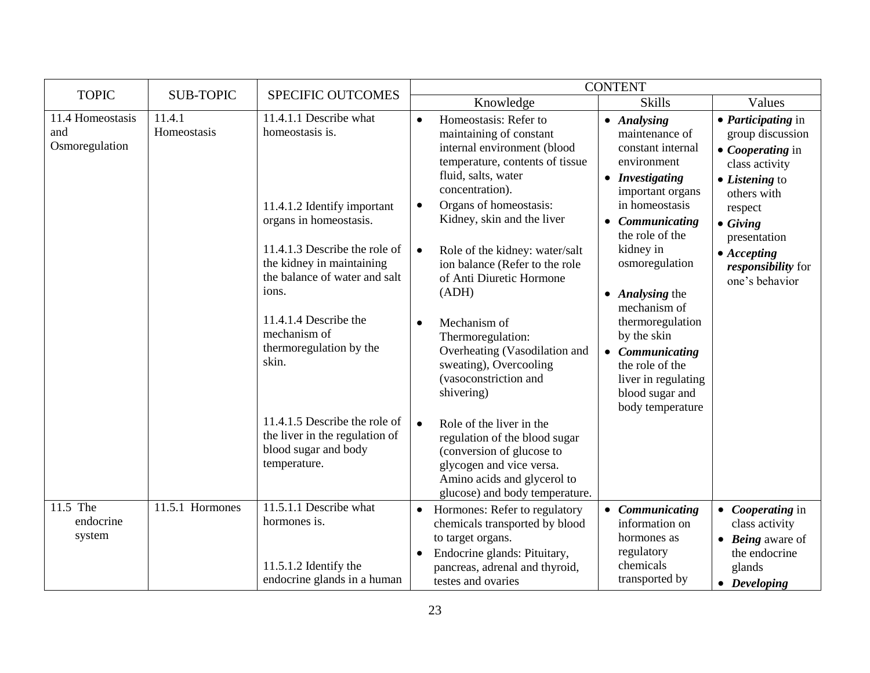| <b>TOPIC</b>                              | <b>SUB-TOPIC</b>      | <b>SPECIFIC OUTCOMES</b>                                                                                                                                                                                                                                                                                                                                                                           |                                                                                                                                                                                                                                                                                                                                                                                                                                                                                                                                                                                                                                                | <b>CONTENT</b>                                                                                                                                                                                                                                                                                                                                                            |                                                                                                                                                                                                                                                   |
|-------------------------------------------|-----------------------|----------------------------------------------------------------------------------------------------------------------------------------------------------------------------------------------------------------------------------------------------------------------------------------------------------------------------------------------------------------------------------------------------|------------------------------------------------------------------------------------------------------------------------------------------------------------------------------------------------------------------------------------------------------------------------------------------------------------------------------------------------------------------------------------------------------------------------------------------------------------------------------------------------------------------------------------------------------------------------------------------------------------------------------------------------|---------------------------------------------------------------------------------------------------------------------------------------------------------------------------------------------------------------------------------------------------------------------------------------------------------------------------------------------------------------------------|---------------------------------------------------------------------------------------------------------------------------------------------------------------------------------------------------------------------------------------------------|
|                                           |                       |                                                                                                                                                                                                                                                                                                                                                                                                    | Knowledge                                                                                                                                                                                                                                                                                                                                                                                                                                                                                                                                                                                                                                      | <b>Skills</b>                                                                                                                                                                                                                                                                                                                                                             | Values                                                                                                                                                                                                                                            |
| 11.4 Homeostasis<br>and<br>Osmoregulation | 11.4.1<br>Homeostasis | 11.4.1.1 Describe what<br>homeostasis is.<br>11.4.1.2 Identify important<br>organs in homeostasis.<br>11.4.1.3 Describe the role of<br>the kidney in maintaining<br>the balance of water and salt<br>ions.<br>11.4.1.4 Describe the<br>mechanism of<br>thermoregulation by the<br>skin.<br>11.4.1.5 Describe the role of<br>the liver in the regulation of<br>blood sugar and body<br>temperature. | Homeostasis: Refer to<br>$\bullet$<br>maintaining of constant<br>internal environment (blood<br>temperature, contents of tissue<br>fluid, salts, water<br>concentration).<br>Organs of homeostasis:<br>$\bullet$<br>Kidney, skin and the liver<br>Role of the kidney: water/salt<br>$\bullet$<br>ion balance (Refer to the role<br>of Anti Diuretic Hormone<br>(ADH)<br>Mechanism of<br>Thermoregulation:<br>Overheating (Vasodilation and<br>sweating), Overcooling<br>(vasoconstriction and<br>shivering)<br>Role of the liver in the<br>$\bullet$<br>regulation of the blood sugar<br>(conversion of glucose to<br>glycogen and vice versa. | • Analysing<br>maintenance of<br>constant internal<br>environment<br>• Investigating<br>important organs<br>in homeostasis<br>• Communicating<br>the role of the<br>kidney in<br>osmoregulation<br>• Analysing the<br>mechanism of<br>thermoregulation<br>by the skin<br>• Communicating<br>the role of the<br>liver in regulating<br>blood sugar and<br>body temperature | • <i>Participating</i> in<br>group discussion<br>$\bullet$ <i>Cooperating</i> in<br>class activity<br>• Listening to<br>others with<br>respect<br>$\bullet$ Giving<br>presentation<br>$\bullet$ Accepting<br>responsibility for<br>one's behavior |
|                                           |                       |                                                                                                                                                                                                                                                                                                                                                                                                    | Amino acids and glycerol to<br>glucose) and body temperature.                                                                                                                                                                                                                                                                                                                                                                                                                                                                                                                                                                                  |                                                                                                                                                                                                                                                                                                                                                                           |                                                                                                                                                                                                                                                   |
| 11.5 The<br>endocrine<br>system           | 11.5.1 Hormones       | 11.5.1.1 Describe what<br>hormones is.<br>11.5.1.2 Identify the<br>endocrine glands in a human                                                                                                                                                                                                                                                                                                     | Hormones: Refer to regulatory<br>$\bullet$<br>chemicals transported by blood<br>to target organs.<br>Endocrine glands: Pituitary,<br>$\bullet$<br>pancreas, adrenal and thyroid,<br>testes and ovaries                                                                                                                                                                                                                                                                                                                                                                                                                                         | • Communicating<br>information on<br>hormones as<br>regulatory<br>chemicals<br>transported by                                                                                                                                                                                                                                                                             | • Cooperating in<br>class activity<br>$\bullet$ <i>Being</i> aware of<br>the endocrine<br>glands<br>$\bullet$ Developing                                                                                                                          |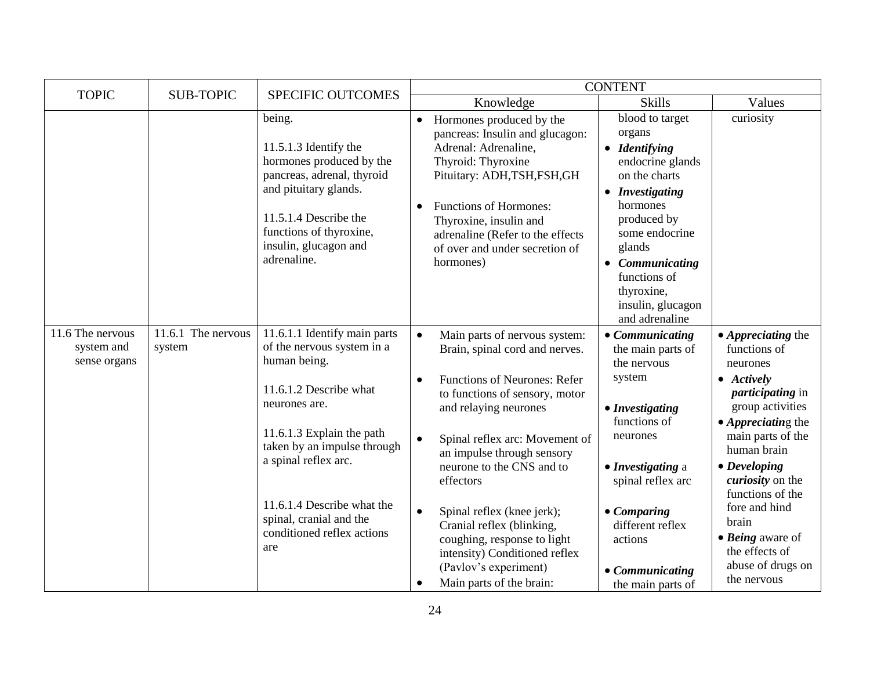| <b>TOPIC</b>                                   | <b>SUB-TOPIC</b>             | SPECIFIC OUTCOMES                                                                                                                                                                                                                                                                                       |                                                                                                                                                                                                                                                                                                                                                                                                                                                                                                                 | <b>CONTENT</b>                                                                                                                                                                                                                                               |                                                                                                                                                                                                                                                                                                                                                                                         |
|------------------------------------------------|------------------------------|---------------------------------------------------------------------------------------------------------------------------------------------------------------------------------------------------------------------------------------------------------------------------------------------------------|-----------------------------------------------------------------------------------------------------------------------------------------------------------------------------------------------------------------------------------------------------------------------------------------------------------------------------------------------------------------------------------------------------------------------------------------------------------------------------------------------------------------|--------------------------------------------------------------------------------------------------------------------------------------------------------------------------------------------------------------------------------------------------------------|-----------------------------------------------------------------------------------------------------------------------------------------------------------------------------------------------------------------------------------------------------------------------------------------------------------------------------------------------------------------------------------------|
|                                                |                              |                                                                                                                                                                                                                                                                                                         | Knowledge                                                                                                                                                                                                                                                                                                                                                                                                                                                                                                       | <b>Skills</b>                                                                                                                                                                                                                                                | Values                                                                                                                                                                                                                                                                                                                                                                                  |
|                                                |                              | being.<br>11.5.1.3 Identify the<br>hormones produced by the<br>pancreas, adrenal, thyroid<br>and pituitary glands.<br>$11.5.1.4$ Describe the<br>functions of thyroxine,<br>insulin, glucagon and<br>adrenaline.                                                                                        | Hormones produced by the<br>$\bullet$<br>pancreas: Insulin and glucagon:<br>Adrenal: Adrenaline,<br>Thyroid: Thyroxine<br>Pituitary: ADH,TSH,FSH,GH<br><b>Functions of Hormones:</b><br>Thyroxine, insulin and<br>adrenaline (Refer to the effects<br>of over and under secretion of<br>hormones)                                                                                                                                                                                                               | blood to target<br>organs<br>• Identifying<br>endocrine glands<br>on the charts<br>• Investigating<br>hormones<br>produced by<br>some endocrine<br>glands<br>• Communicating<br>functions of<br>thyroxine,<br>insulin, glucagon<br>and adrenaline            | curiosity                                                                                                                                                                                                                                                                                                                                                                               |
| 11.6 The nervous<br>system and<br>sense organs | 11.6.1 The nervous<br>system | 11.6.1.1 Identify main parts<br>of the nervous system in a<br>human being.<br>11.6.1.2 Describe what<br>neurones are.<br>11.6.1.3 Explain the path<br>taken by an impulse through<br>a spinal reflex arc.<br>11.6.1.4 Describe what the<br>spinal, cranial and the<br>conditioned reflex actions<br>are | $\bullet$<br>Main parts of nervous system:<br>Brain, spinal cord and nerves.<br><b>Functions of Neurones: Refer</b><br>$\bullet$<br>to functions of sensory, motor<br>and relaying neurones<br>$\bullet$<br>Spinal reflex arc: Movement of<br>an impulse through sensory<br>neurone to the CNS and to<br>effectors<br>Spinal reflex (knee jerk);<br>$\bullet$<br>Cranial reflex (blinking,<br>coughing, response to light<br>intensity) Conditioned reflex<br>(Pavlov's experiment)<br>Main parts of the brain: | $\bullet$ Communicating<br>the main parts of<br>the nervous<br>system<br>• Investigating<br>functions of<br>neurones<br>• Investigating a<br>spinal reflex arc<br>$\bullet$ Comparing<br>different reflex<br>actions<br>• Communicating<br>the main parts of | $\bullet$ <i>Appreciating the</i><br>functions of<br>neurones<br>$\bullet$ Actively<br><i>participating</i> in<br>group activities<br>$\bullet$ Appreciating the<br>main parts of the<br>human brain<br>$\bullet$ Developing<br>curiosity on the<br>functions of the<br>fore and hind<br>brain<br>$\bullet$ <i>Being</i> aware of<br>the effects of<br>abuse of drugs on<br>the nervous |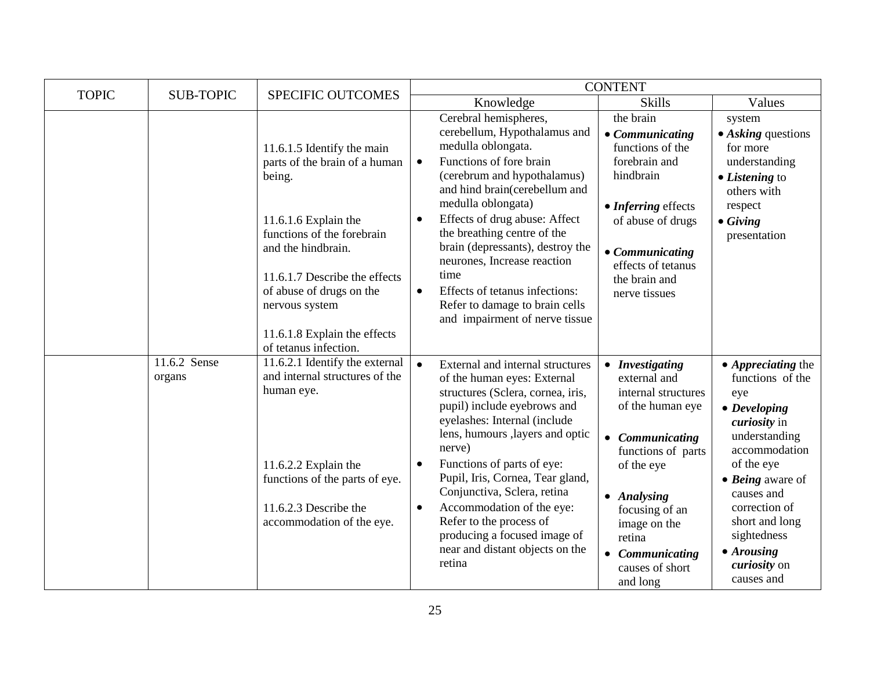| <b>TOPIC</b> | <b>SUB-TOPIC</b>       | SPECIFIC OUTCOMES                                                                                                                                                                                                       |                                                                                                                                                                                                                                                                                                                                                                                                                                                                                                | <b>CONTENT</b>                                                                                                                                                                                                                                 |                                                                                                                                                                                                                                                                                                     |
|--------------|------------------------|-------------------------------------------------------------------------------------------------------------------------------------------------------------------------------------------------------------------------|------------------------------------------------------------------------------------------------------------------------------------------------------------------------------------------------------------------------------------------------------------------------------------------------------------------------------------------------------------------------------------------------------------------------------------------------------------------------------------------------|------------------------------------------------------------------------------------------------------------------------------------------------------------------------------------------------------------------------------------------------|-----------------------------------------------------------------------------------------------------------------------------------------------------------------------------------------------------------------------------------------------------------------------------------------------------|
|              |                        |                                                                                                                                                                                                                         | Knowledge                                                                                                                                                                                                                                                                                                                                                                                                                                                                                      | <b>Skills</b>                                                                                                                                                                                                                                  | Values                                                                                                                                                                                                                                                                                              |
|              |                        | 11.6.1.5 Identify the main<br>parts of the brain of a human<br>being.                                                                                                                                                   | Cerebral hemispheres,<br>cerebellum, Hypothalamus and<br>medulla oblongata.<br>Functions of fore brain<br>$\bullet$<br>(cerebrum and hypothalamus)<br>and hind brain(cerebellum and                                                                                                                                                                                                                                                                                                            | the brain<br>• Communicating<br>functions of the<br>forebrain and<br>hindbrain                                                                                                                                                                 | system<br>$\bullet$ Asking questions<br>for more<br>understanding<br>• Listening to<br>others with                                                                                                                                                                                                  |
|              |                        | 11.6.1.6 Explain the<br>functions of the forebrain<br>and the hindbrain.<br>11.6.1.7 Describe the effects<br>of abuse of drugs on the<br>nervous system<br>11.6.1.8 Explain the effects                                 | medulla oblongata)<br>• Inferring effects<br>Effects of drug abuse: Affect<br>of abuse of drugs<br>the breathing centre of the<br>brain (depressants), destroy the<br>$\bullet$ Communicating<br>neurones, Increase reaction<br>effects of tetanus<br>time<br>the brain and<br>Effects of tetanus infections:<br>$\bullet$<br>nerve tissues<br>Refer to damage to brain cells<br>and impairment of nerve tissue                                                                                | respect<br>$\bullet$ Giving<br>presentation                                                                                                                                                                                                    |                                                                                                                                                                                                                                                                                                     |
|              | 11.6.2 Sense<br>organs | of tetanus infection.<br>11.6.2.1 Identify the external<br>and internal structures of the<br>human eye.<br>11.6.2.2 Explain the<br>functions of the parts of eye.<br>11.6.2.3 Describe the<br>accommodation of the eye. | $\bullet$<br>External and internal structures<br>of the human eyes: External<br>structures (Sclera, cornea, iris,<br>pupil) include eyebrows and<br>eyelashes: Internal (include<br>lens, humours , layers and optic<br>nerve)<br>Functions of parts of eye:<br>$\bullet$<br>Pupil, Iris, Cornea, Tear gland,<br>Conjunctiva, Sclera, retina<br>Accommodation of the eye:<br>$\bullet$<br>Refer to the process of<br>producing a focused image of<br>near and distant objects on the<br>retina | • Investigating<br>external and<br>internal structures<br>of the human eye<br>• Communicating<br>functions of parts<br>of the eye<br>• Analysing<br>focusing of an<br>image on the<br>retina<br>• Communicating<br>causes of short<br>and long | $\bullet$ <i>Appreciating the</i><br>functions of the<br>eye<br>$\bullet$ Developing<br><i>curiosity</i> in<br>understanding<br>accommodation<br>of the eye<br>$\bullet$ Being aware of<br>causes and<br>correction of<br>short and long<br>sightedness<br>• Arousing<br>curiosity on<br>causes and |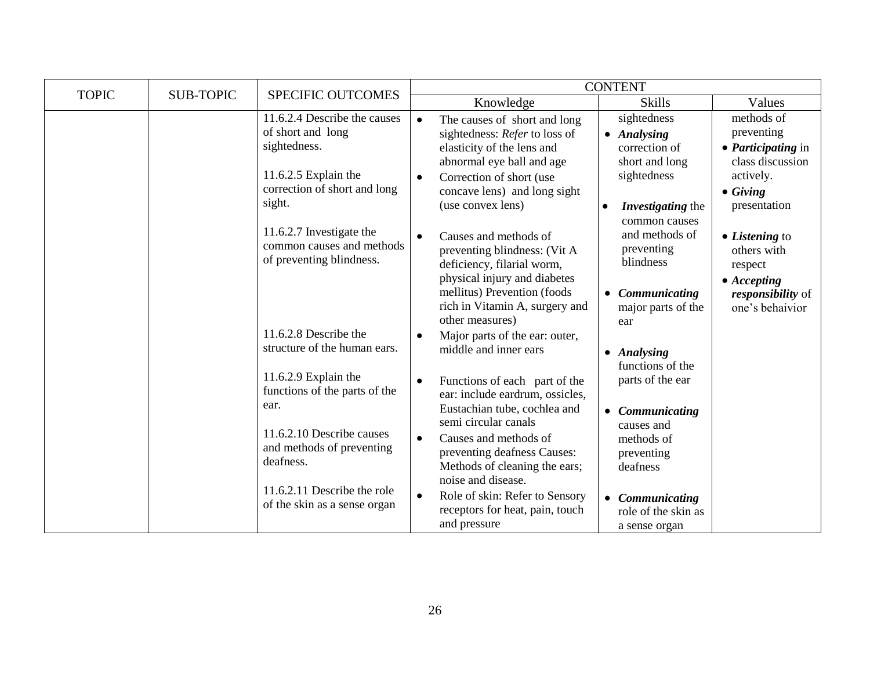| <b>TOPIC</b> | <b>SUB-TOPIC</b>                                              | <b>SPECIFIC OUTCOMES</b>                                                                                                              |                                                                                                                                                                                | <b>CONTENT</b>                                                               |                                                                                        |
|--------------|---------------------------------------------------------------|---------------------------------------------------------------------------------------------------------------------------------------|--------------------------------------------------------------------------------------------------------------------------------------------------------------------------------|------------------------------------------------------------------------------|----------------------------------------------------------------------------------------|
|              |                                                               |                                                                                                                                       | Knowledge                                                                                                                                                                      | <b>Skills</b>                                                                | Values                                                                                 |
|              |                                                               | 11.6.2.4 Describe the causes<br>of short and long<br>sightedness.<br>11.6.2.5 Explain the                                             | The causes of short and long<br>$\bullet$<br>sightedness: Refer to loss of<br>elasticity of the lens and<br>abnormal eye ball and age<br>Correction of short (use<br>$\bullet$ | sightedness<br>• Analysing<br>correction of<br>short and long<br>sightedness | methods of<br>preventing<br>• <i>Participating</i> in<br>class discussion<br>actively. |
|              |                                                               | correction of short and long<br>sight.                                                                                                | concave lens) and long sight<br>(use convex lens)                                                                                                                              | Investigating the<br>common causes                                           | $\bullet$ Giving<br>presentation                                                       |
|              |                                                               | 11.6.2.7 Investigate the<br>common causes and methods<br>of preventing blindness.                                                     | Causes and methods of<br>$\bullet$<br>preventing blindness: (Vit A<br>deficiency, filarial worm,                                                                               | and methods of<br>preventing<br>blindness                                    | $\bullet$ <i>Listening</i> to<br>others with<br>respect                                |
|              |                                                               |                                                                                                                                       | physical injury and diabetes<br>mellitus) Prevention (foods<br>rich in Vitamin A, surgery and<br>other measures)                                                               | • Communicating<br>major parts of the<br>ear                                 | $\bullet$ Accepting<br>responsibility of<br>one's behaivior                            |
|              |                                                               | 11.6.2.8 Describe the<br>structure of the human ears.                                                                                 | Major parts of the ear: outer,<br>middle and inner ears                                                                                                                        | • Analysing<br>functions of the                                              |                                                                                        |
|              | 11.6.2.9 Explain the<br>functions of the parts of the<br>ear. | Functions of each part of the<br>$\bullet$<br>ear: include eardrum, ossicles,<br>Eustachian tube, cochlea and<br>semi circular canals | parts of the ear<br>• Communicating<br>causes and                                                                                                                              |                                                                              |                                                                                        |
|              |                                                               | 11.6.2.10 Describe causes<br>and methods of preventing<br>deafness.                                                                   | Causes and methods of<br>$\bullet$<br>preventing deafness Causes:<br>Methods of cleaning the ears;<br>noise and disease.                                                       | methods of<br>preventing<br>deafness                                         |                                                                                        |
|              |                                                               | 11.6.2.11 Describe the role<br>of the skin as a sense organ                                                                           | Role of skin: Refer to Sensory<br>$\bullet$<br>receptors for heat, pain, touch<br>and pressure                                                                                 | • Communicating<br>role of the skin as<br>a sense organ                      |                                                                                        |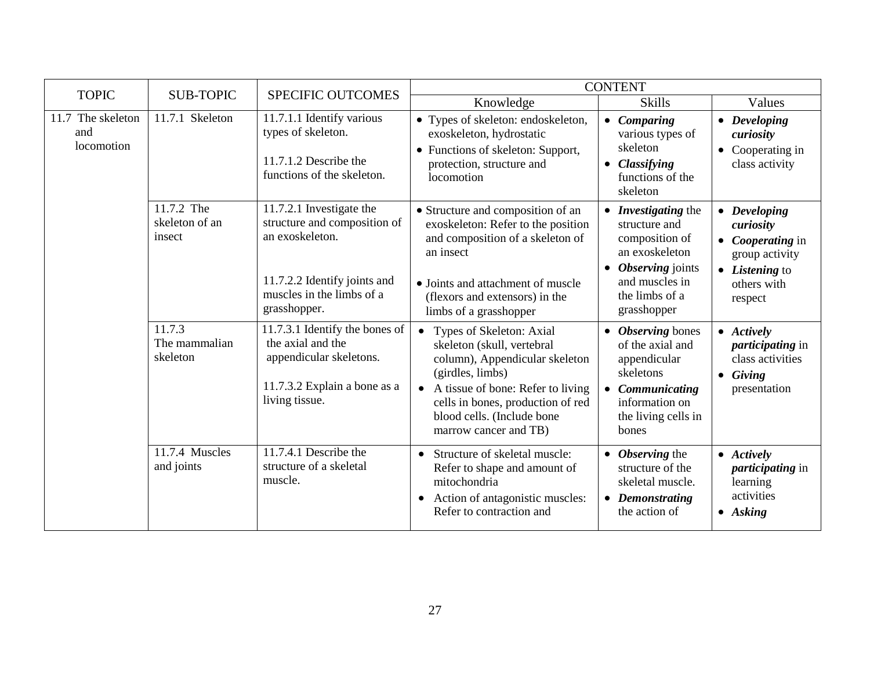| <b>TOPIC</b>                           | <b>SUB-TOPIC</b>                       | <b>SPECIFIC OUTCOMES</b>                                                                                                                                 |                                                                                                                                                                                                                                                              | <b>CONTENT</b>                                                                                                                                    |                                                                                                                    |
|----------------------------------------|----------------------------------------|----------------------------------------------------------------------------------------------------------------------------------------------------------|--------------------------------------------------------------------------------------------------------------------------------------------------------------------------------------------------------------------------------------------------------------|---------------------------------------------------------------------------------------------------------------------------------------------------|--------------------------------------------------------------------------------------------------------------------|
|                                        |                                        |                                                                                                                                                          | Knowledge                                                                                                                                                                                                                                                    | <b>Skills</b>                                                                                                                                     | Values                                                                                                             |
| 11.7 The skeleton<br>and<br>locomotion | 11.7.1 Skeleton                        | 11.7.1.1 Identify various<br>types of skeleton.<br>$11.7.1.2$ Describe the<br>functions of the skeleton.                                                 | • Types of skeleton: endoskeleton,<br>exoskeleton, hydrostatic<br>• Functions of skeleton: Support,<br>protection, structure and<br>locomotion                                                                                                               | • Comparing<br>various types of<br>skeleton<br>• Classifying<br>functions of the<br>skeleton                                                      | • Developing<br>curiosity<br>• Cooperating in<br>class activity                                                    |
|                                        | 11.7.2 The<br>skeleton of an<br>insect | 11.7.2.1 Investigate the<br>structure and composition of<br>an exoskeleton.<br>11.7.2.2 Identify joints and<br>muscles in the limbs of a<br>grasshopper. | • Structure and composition of an<br>exoskeleton: Refer to the position<br>and composition of a skeleton of<br>an insect<br>• Joints and attachment of muscle<br>(flexors and extensors) in the<br>limbs of a grasshopper                                    | • Investigating the<br>structure and<br>composition of<br>an exoskeleton<br>• Observing joints<br>and muscles in<br>the limbs of a<br>grasshopper | • Developing<br>curiosity<br>• <i>Cooperating</i> in<br>group activity<br>• Listening to<br>others with<br>respect |
|                                        | 11.7.3<br>The mammalian<br>skeleton    | 11.7.3.1 Identify the bones of<br>the axial and the<br>appendicular skeletons.<br>11.7.3.2 Explain a bone as a<br>living tissue.                         | Types of Skeleton: Axial<br>$\bullet$<br>skeleton (skull, vertebral<br>column), Appendicular skeleton<br>(girdles, limbs)<br>• A tissue of bone: Refer to living<br>cells in bones, production of red<br>blood cells. (Include bone<br>marrow cancer and TB) | • Observing bones<br>of the axial and<br>appendicular<br>skeletons<br>• Communicating<br>information on<br>the living cells in<br>bones           | $\bullet$ Actively<br><i>participating</i> in<br>class activities<br>$\bullet$ Giving<br>presentation              |
|                                        | 11.7.4 Muscles<br>and joints           | 11.7.4.1 Describe the<br>structure of a skeletal<br>muscle.                                                                                              | Structure of skeletal muscle:<br>$\bullet$<br>Refer to shape and amount of<br>mitochondria<br>Action of antagonistic muscles:<br>$\bullet$<br>Refer to contraction and                                                                                       | $\bullet$ Observing the<br>structure of the<br>skeletal muscle.<br>• Demonstrating<br>the action of                                               | $\bullet$ Actively<br><i>participating</i> in<br>learning<br>activities<br>$\bullet$ Asking                        |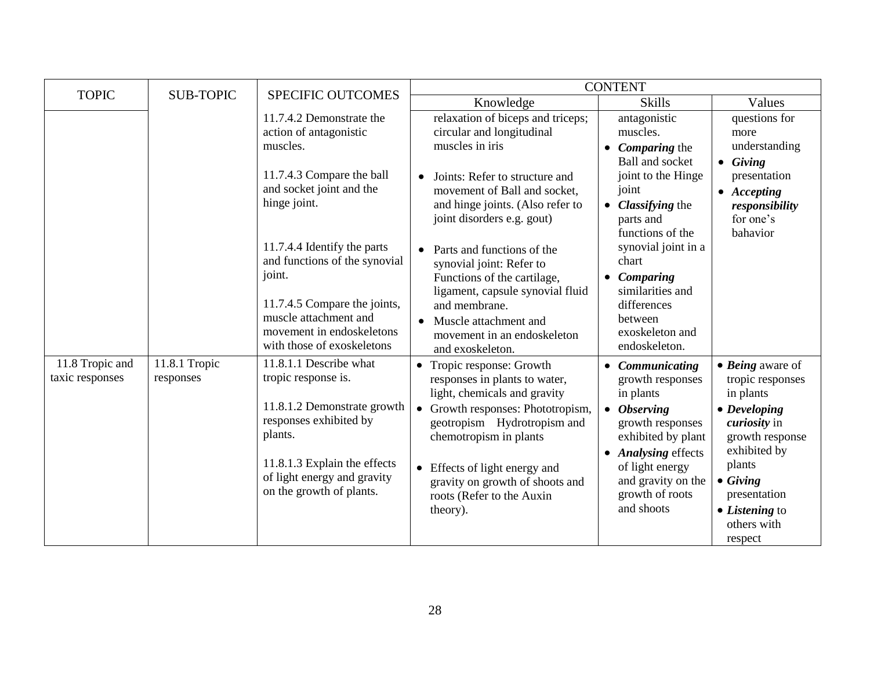|                                    |                            |                                                                                                                                                                                                              |                                                                                                                                                                                                                                                                                                       | <b>CONTENT</b>                                                                                                                                                                                                     |                                                                                                                                                                                                                                                      |
|------------------------------------|----------------------------|--------------------------------------------------------------------------------------------------------------------------------------------------------------------------------------------------------------|-------------------------------------------------------------------------------------------------------------------------------------------------------------------------------------------------------------------------------------------------------------------------------------------------------|--------------------------------------------------------------------------------------------------------------------------------------------------------------------------------------------------------------------|------------------------------------------------------------------------------------------------------------------------------------------------------------------------------------------------------------------------------------------------------|
| <b>TOPIC</b>                       | <b>SUB-TOPIC</b>           | <b>SPECIFIC OUTCOMES</b>                                                                                                                                                                                     | Knowledge                                                                                                                                                                                                                                                                                             | <b>Skills</b>                                                                                                                                                                                                      | Values                                                                                                                                                                                                                                               |
|                                    |                            | 11.7.4.2 Demonstrate the<br>action of antagonistic<br>muscles.                                                                                                                                               | relaxation of biceps and triceps;<br>circular and longitudinal<br>muscles in iris                                                                                                                                                                                                                     | antagonistic<br>muscles.<br>$\bullet$ <i>Comparing the</i><br><b>Ball and socket</b>                                                                                                                               | questions for<br>more<br>understanding<br>$\bullet$ Giving                                                                                                                                                                                           |
|                                    |                            | 11.7.4.3 Compare the ball<br>and socket joint and the<br>hinge joint.                                                                                                                                        | Joints: Refer to structure and<br>$\bullet$<br>movement of Ball and socket,<br>and hinge joints. (Also refer to<br>joint disorders e.g. gout)                                                                                                                                                         | joint to the Hinge<br>joint<br>• Classifying the<br>parts and<br>functions of the                                                                                                                                  | presentation<br>$\bullet$ Accepting<br>responsibility<br>for one's<br>bahavior                                                                                                                                                                       |
|                                    |                            | 11.7.4.4 Identify the parts<br>and functions of the synovial<br>joint.<br>11.7.4.5 Compare the joints,<br>muscle attachment and<br>movement in endoskeletons<br>with those of exoskeletons                   | Parts and functions of the<br>$\bullet$<br>synovial joint: Refer to<br>Functions of the cartilage,<br>ligament, capsule synovial fluid<br>and membrane.<br>• Muscle attachment and<br>movement in an endoskeleton<br>and exoskeleton.                                                                 | synovial joint in a<br>chart<br>• Comparing<br>similarities and<br>differences<br>between<br>exoskeleton and<br>endoskeleton.                                                                                      |                                                                                                                                                                                                                                                      |
| 11.8 Tropic and<br>taxic responses | 11.8.1 Tropic<br>responses | 11.8.1.1 Describe what<br>tropic response is.<br>11.8.1.2 Demonstrate growth<br>responses exhibited by<br>plants.<br>11.8.1.3 Explain the effects<br>of light energy and gravity<br>on the growth of plants. | • Tropic response: Growth<br>responses in plants to water,<br>light, chemicals and gravity<br>• Growth responses: Phototropism,<br>geotropism Hydrotropism and<br>chemotropism in plants<br>• Effects of light energy and<br>gravity on growth of shoots and<br>roots (Refer to the Auxin<br>theory). | • Communicating<br>growth responses<br>in plants<br>$\bullet$ Observing<br>growth responses<br>exhibited by plant<br>• Analysing effects<br>of light energy<br>and gravity on the<br>growth of roots<br>and shoots | $\bullet$ Being aware of<br>tropic responses<br>in plants<br>$\bullet$ Developing<br><i>curiosity</i> in<br>growth response<br>exhibited by<br>plants<br>$\bullet$ Giving<br>presentation<br>$\bullet$ <i>Listening</i> to<br>others with<br>respect |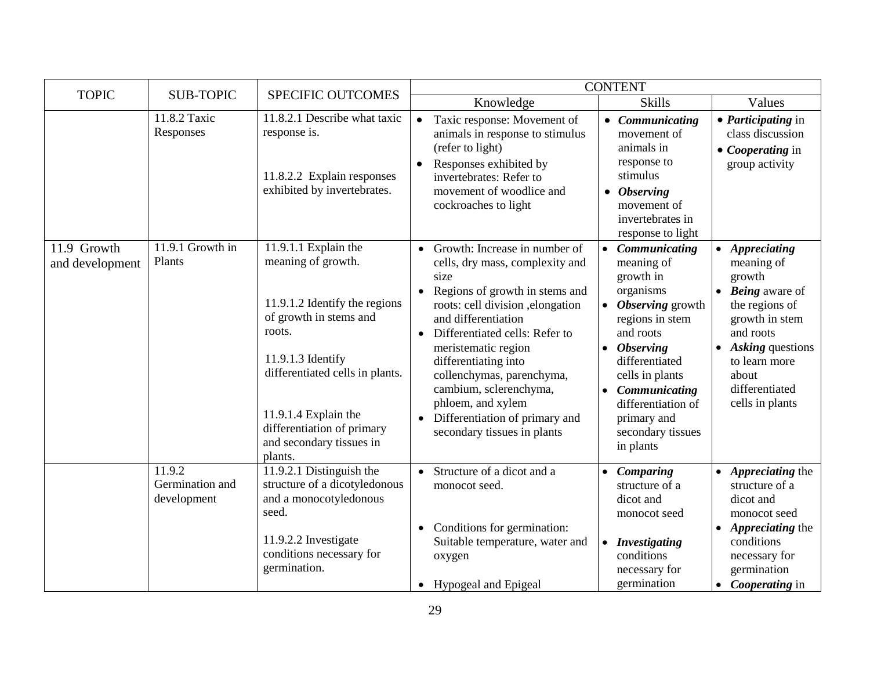| <b>TOPIC</b>                   | <b>SUB-TOPIC</b>                         |                                                                                                                                                                                                                                                                      |                                                                                                                                                                                                                                                                                                                                                                                                                                                          | <b>CONTENT</b>                                                                                                                                                                                                                                                 |                                                                                                                                                                                                               |
|--------------------------------|------------------------------------------|----------------------------------------------------------------------------------------------------------------------------------------------------------------------------------------------------------------------------------------------------------------------|----------------------------------------------------------------------------------------------------------------------------------------------------------------------------------------------------------------------------------------------------------------------------------------------------------------------------------------------------------------------------------------------------------------------------------------------------------|----------------------------------------------------------------------------------------------------------------------------------------------------------------------------------------------------------------------------------------------------------------|---------------------------------------------------------------------------------------------------------------------------------------------------------------------------------------------------------------|
|                                |                                          | SPECIFIC OUTCOMES                                                                                                                                                                                                                                                    | Knowledge                                                                                                                                                                                                                                                                                                                                                                                                                                                | <b>Skills</b>                                                                                                                                                                                                                                                  | Values                                                                                                                                                                                                        |
|                                | 11.8.2 Taxic<br>Responses                | 11.8.2.1 Describe what taxic<br>response is.<br>11.8.2.2 Explain responses<br>exhibited by invertebrates.                                                                                                                                                            | Taxic response: Movement of<br>$\bullet$<br>animals in response to stimulus<br>(refer to light)<br>Responses exhibited by<br>$\bullet$<br>invertebrates: Refer to<br>movement of woodlice and<br>cockroaches to light                                                                                                                                                                                                                                    | • Communicating<br>movement of<br>animals in<br>response to<br>stimulus<br>$\bullet$ Observing<br>movement of<br>invertebrates in<br>response to light                                                                                                         | • <i>Participating</i> in<br>class discussion<br>$\bullet$ <i>Cooperating</i> in<br>group activity                                                                                                            |
| 11.9 Growth<br>and development | 11.9.1 Growth in<br>Plants               | 11.9.1.1 Explain the<br>meaning of growth.<br>11.9.1.2 Identify the regions<br>of growth in stems and<br>roots.<br>11.9.1.3 Identify<br>differentiated cells in plants.<br>11.9.1.4 Explain the<br>differentiation of primary<br>and secondary tissues in<br>plants. | Growth: Increase in number of<br>$\bullet$<br>cells, dry mass, complexity and<br>size<br>Regions of growth in stems and<br>$\bullet$<br>roots: cell division , elongation<br>and differentiation<br>Differentiated cells: Refer to<br>$\bullet$<br>meristematic region<br>differentiating into<br>collenchymas, parenchyma,<br>cambium, sclerenchyma,<br>phloem, and xylem<br>Differentiation of primary and<br>$\bullet$<br>secondary tissues in plants | • Communicating<br>meaning of<br>growth in<br>organisms<br>• Observing growth<br>regions in stem<br>and roots<br><b>Observing</b><br>differentiated<br>cells in plants<br>Communicating<br>differentiation of<br>primary and<br>secondary tissues<br>in plants | • Appreciating<br>meaning of<br>growth<br>$\bullet$ <i>Being</i> aware of<br>the regions of<br>growth in stem<br>and roots<br>Asking questions<br>to learn more<br>about<br>differentiated<br>cells in plants |
|                                | 11.9.2<br>Germination and<br>development | 11.9.2.1 Distinguish the<br>structure of a dicotyledonous<br>and a monocotyledonous<br>seed.<br>11.9.2.2 Investigate<br>conditions necessary for<br>germination.                                                                                                     | Structure of a dicot and a<br>$\bullet$<br>monocot seed.<br>Conditions for germination:<br>$\bullet$<br>Suitable temperature, water and<br>oxygen<br>Hypogeal and Epigeal<br>$\bullet$                                                                                                                                                                                                                                                                   | • Comparing<br>structure of a<br>dicot and<br>monocot seed<br>• Investigating<br>conditions<br>necessary for<br>germination                                                                                                                                    | • Appreciating the<br>structure of a<br>dicot and<br>monocot seed<br>Appreciating the<br>conditions<br>necessary for<br>germination<br>• <i>Cooperating</i> in                                                |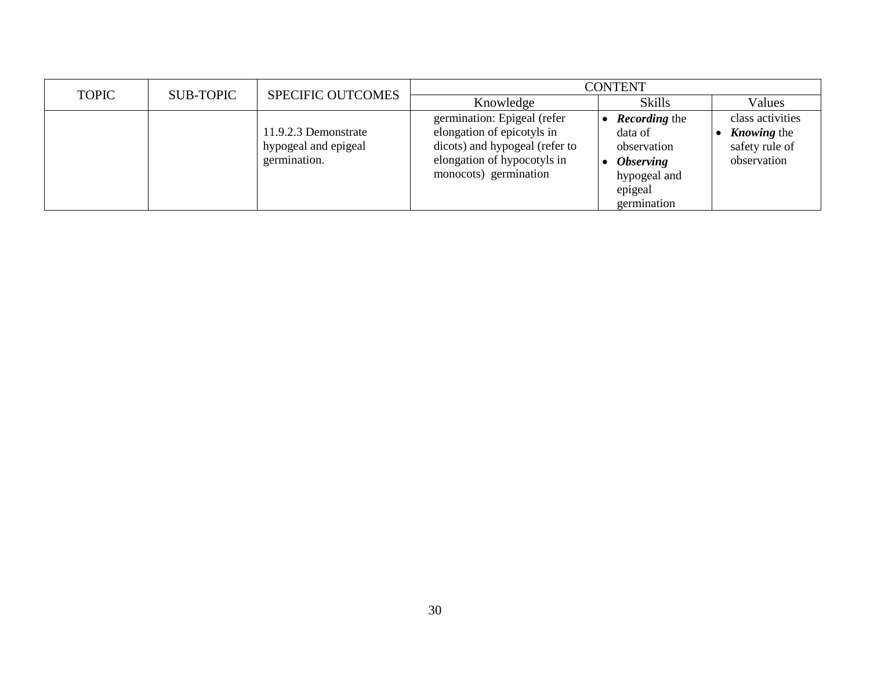| <b>TOPIC</b> | <b>SUB-TOPIC</b> | <b>SPECIFIC OUTCOMES</b>                                     | <b>CONTENT</b>                                                                                                                                      |                                                                                                                     |                                                                         |  |
|--------------|------------------|--------------------------------------------------------------|-----------------------------------------------------------------------------------------------------------------------------------------------------|---------------------------------------------------------------------------------------------------------------------|-------------------------------------------------------------------------|--|
|              |                  |                                                              | Knowledge                                                                                                                                           | <b>Skills</b>                                                                                                       | Values                                                                  |  |
|              |                  | 11.9.2.3 Demonstrate<br>hypogeal and epigeal<br>germination. | germination: Epigeal (refer<br>elongation of epicotyls in<br>dicots) and hypogeal (refer to<br>elongation of hypocotyls in<br>monocots) germination | <b>Recording the</b><br>data of<br>observation<br><i><b>Observing</b></i><br>hypogeal and<br>epigeal<br>germination | class activities<br><i>Knowing</i> the<br>safety rule of<br>observation |  |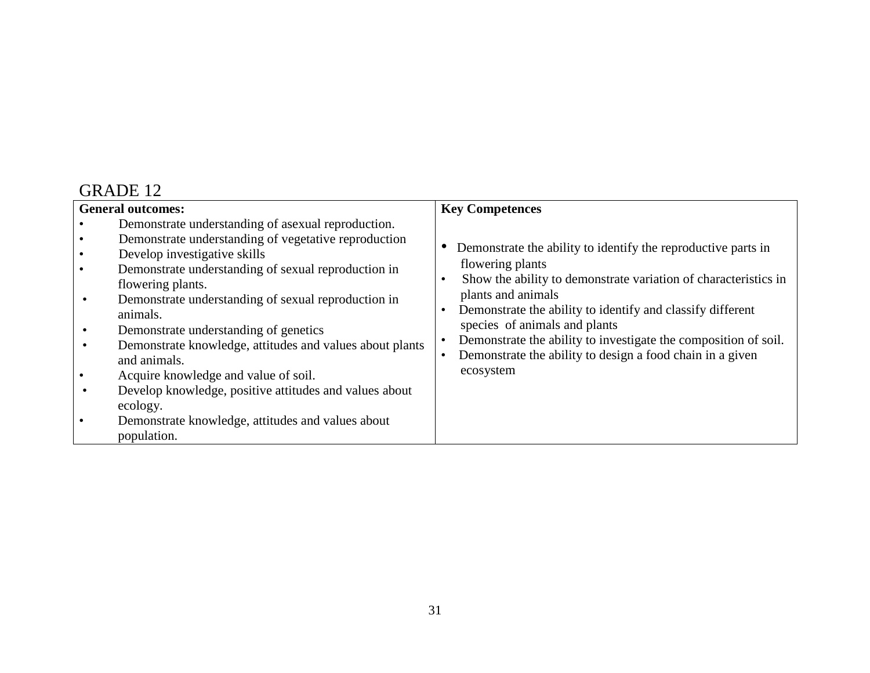|                | <b>General outcomes:</b>                                                                                                                                                                                                                                                                                                                                                                                                                                                                                                                                                                         | <b>Key Competences</b>                                                                                                                                                                                                                                                                                                                                                                                                 |
|----------------|--------------------------------------------------------------------------------------------------------------------------------------------------------------------------------------------------------------------------------------------------------------------------------------------------------------------------------------------------------------------------------------------------------------------------------------------------------------------------------------------------------------------------------------------------------------------------------------------------|------------------------------------------------------------------------------------------------------------------------------------------------------------------------------------------------------------------------------------------------------------------------------------------------------------------------------------------------------------------------------------------------------------------------|
| $\bullet$<br>٠ | Demonstrate understanding of asexual reproduction.<br>Demonstrate understanding of vegetative reproduction<br>Develop investigative skills<br>Demonstrate understanding of sexual reproduction in<br>flowering plants.<br>Demonstrate understanding of sexual reproduction in<br>animals.<br>Demonstrate understanding of genetics<br>Demonstrate knowledge, attitudes and values about plants<br>and animals.<br>Acquire knowledge and value of soil.<br>Develop knowledge, positive attitudes and values about<br>ecology.<br>Demonstrate knowledge, attitudes and values about<br>population. | Demonstrate the ability to identify the reproductive parts in<br>flowering plants<br>Show the ability to demonstrate variation of characteristics in<br>plants and animals<br>Demonstrate the ability to identify and classify different<br>species of animals and plants<br>Demonstrate the ability to investigate the composition of soil.<br>Demonstrate the ability to design a food chain in a given<br>ecosystem |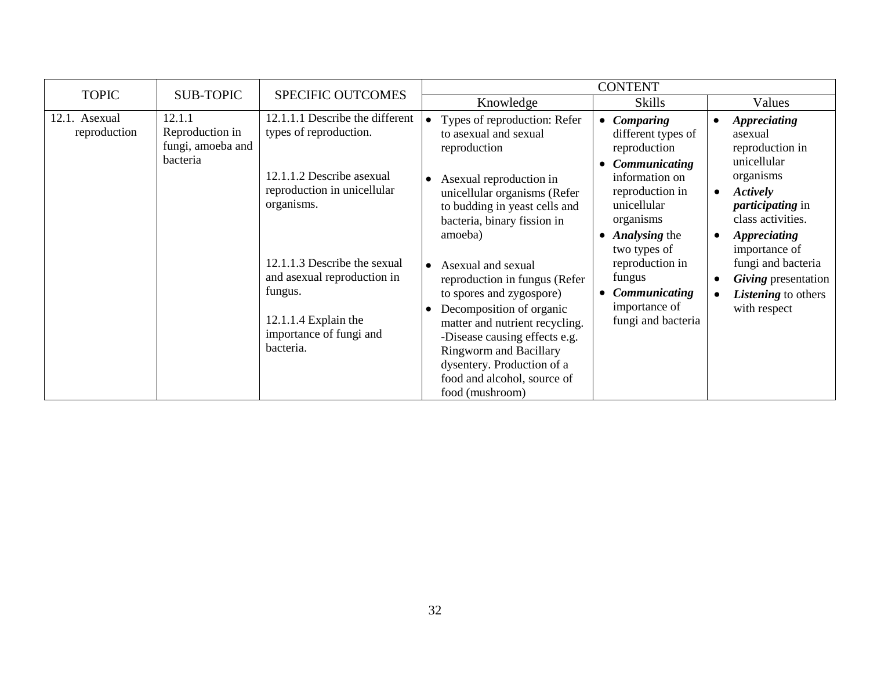| <b>TOPIC</b>                  | <b>SUB-TOPIC</b>                                           | <b>SPECIFIC OUTCOMES</b>                                                                                                                 |                                                                                                                                                                                                                                                                                                              | <b>CONTENT</b>                                                                                                 |                                                                                                           |
|-------------------------------|------------------------------------------------------------|------------------------------------------------------------------------------------------------------------------------------------------|--------------------------------------------------------------------------------------------------------------------------------------------------------------------------------------------------------------------------------------------------------------------------------------------------------------|----------------------------------------------------------------------------------------------------------------|-----------------------------------------------------------------------------------------------------------|
|                               |                                                            |                                                                                                                                          | Knowledge                                                                                                                                                                                                                                                                                                    | <b>Skills</b>                                                                                                  | Values                                                                                                    |
| 12.1. Asexual<br>reproduction | 12.1.1<br>Reproduction in<br>fungi, amoeba and<br>bacteria | 12.1.1.1 Describe the different<br>types of reproduction.<br>12.1.1.2 Describe asexual                                                   | Types of reproduction: Refer<br>to asexual and sexual<br>reproduction                                                                                                                                                                                                                                        | Comparing<br>$\bullet$<br>different types of<br>reproduction<br>Communicating<br>$\bullet$<br>information on   | <b>Appreciating</b><br>asexual<br>reproduction in<br>unicellular<br>organisms                             |
|                               |                                                            | reproduction in unicellular<br>organisms.                                                                                                | Asexual reproduction in<br>unicellular organisms (Refer<br>to budding in yeast cells and<br>bacteria, binary fission in<br>amoeba)                                                                                                                                                                           | reproduction in<br>unicellular<br>organisms<br><b>Analysing the</b><br>$\bullet$                               | Actively<br>$\bullet$<br><i>participating</i> in<br>class activities.<br><b>Appreciating</b><br>$\bullet$ |
|                               |                                                            | 12.1.1.3 Describe the sexual<br>and asexual reproduction in<br>fungus.<br>$12.1.1.4$ Explain the<br>importance of fungi and<br>bacteria. | Asexual and sexual<br>$\bullet$<br>reproduction in fungus (Refer<br>to spores and zygospore)<br>Decomposition of organic<br>matter and nutrient recycling.<br>-Disease causing effects e.g.<br><b>Ringworm and Bacillary</b><br>dysentery. Production of a<br>food and alcohol, source of<br>food (mushroom) | two types of<br>reproduction in<br>fungus<br>Communicating<br>$\bullet$<br>importance of<br>fungi and bacteria | importance of<br>fungi and bacteria<br>Giving presentation<br>Listening to others<br>with respect         |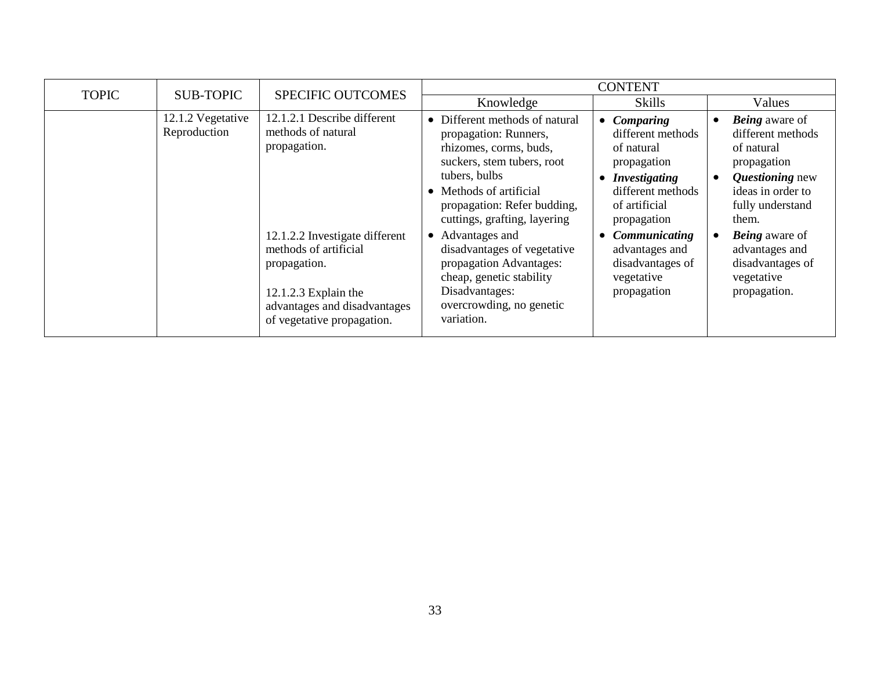| <b>TOPIC</b> | <b>SUB-TOPIC</b>                  | <b>SPECIFIC OUTCOMES</b>                                                                                                                                                                                                             |                                                                                                                                                                                                                                                                                                                                                                                                  | <b>CONTENT</b>                                                                                                                                                                                                                                                            |                                                                                                                                                                                                                                           |
|--------------|-----------------------------------|--------------------------------------------------------------------------------------------------------------------------------------------------------------------------------------------------------------------------------------|--------------------------------------------------------------------------------------------------------------------------------------------------------------------------------------------------------------------------------------------------------------------------------------------------------------------------------------------------------------------------------------------------|---------------------------------------------------------------------------------------------------------------------------------------------------------------------------------------------------------------------------------------------------------------------------|-------------------------------------------------------------------------------------------------------------------------------------------------------------------------------------------------------------------------------------------|
|              |                                   |                                                                                                                                                                                                                                      | Knowledge                                                                                                                                                                                                                                                                                                                                                                                        | <b>Skills</b>                                                                                                                                                                                                                                                             | Values                                                                                                                                                                                                                                    |
|              | 12.1.2 Vegetative<br>Reproduction | 12.1.2.1 Describe different<br>methods of natural<br>propagation.<br>12.1.2.2 Investigate different<br>methods of artificial<br>propagation.<br>$12.1.2.3$ Explain the<br>advantages and disadvantages<br>of vegetative propagation. | • Different methods of natural<br>propagation: Runners,<br>rhizomes, corms, buds,<br>suckers, stem tubers, root<br>tubers, bulbs<br>• Methods of artificial<br>propagation: Refer budding,<br>cuttings, grafting, layering<br>• Advantages and<br>disadvantages of vegetative<br>propagation Advantages:<br>cheap, genetic stability<br>Disadvantages:<br>overcrowding, no genetic<br>variation. | <b>Comparing</b><br>$\bullet$<br>different methods<br>of natural<br>propagation<br><b>Investigating</b><br>٠<br>different methods<br>of artificial<br>propagation<br><b>Communicating</b><br>$\bullet$<br>advantages and<br>disadvantages of<br>vegetative<br>propagation | <b>Being</b> aware of<br>different methods<br>of natural<br>propagation<br>Questioning new<br>ideas in order to<br>fully understand<br>them.<br><b>Being</b> aware of<br>advantages and<br>disadvantages of<br>vegetative<br>propagation. |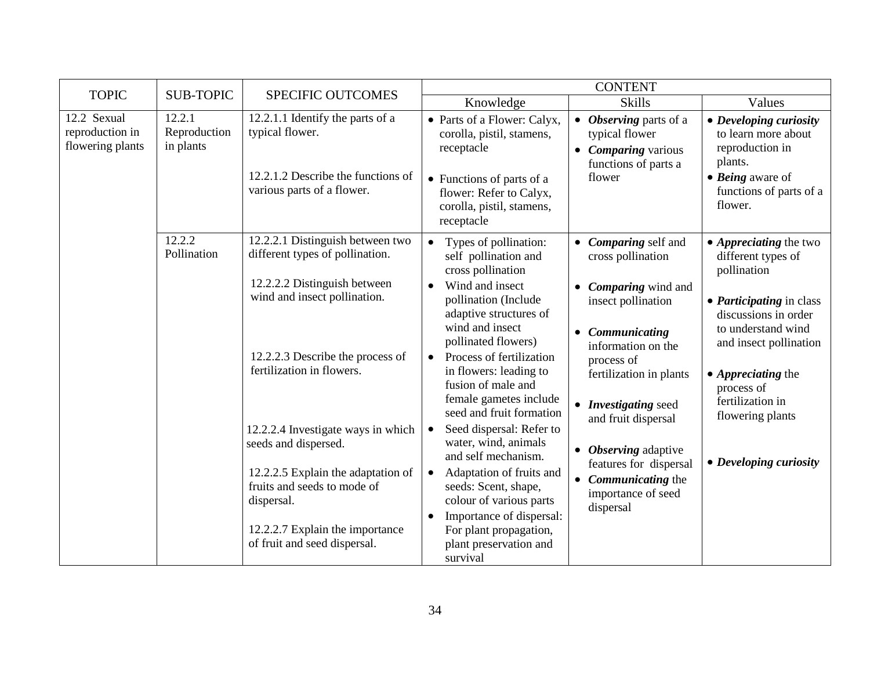| <b>TOPIC</b>                                       | <b>SUB-TOPIC</b>                    |                                                                                                                                                                                                                                                                                                                                                                                                                          | <b>CONTENT</b><br>SPECIFIC OUTCOMES                                                                                                                                                                                                                                                                                                                                                                                                                                                                                                                                                                                           |                                                                                                                                                                                                                                                                                                                                             |                                                                                                                                                                                                                                                                                            |  |
|----------------------------------------------------|-------------------------------------|--------------------------------------------------------------------------------------------------------------------------------------------------------------------------------------------------------------------------------------------------------------------------------------------------------------------------------------------------------------------------------------------------------------------------|-------------------------------------------------------------------------------------------------------------------------------------------------------------------------------------------------------------------------------------------------------------------------------------------------------------------------------------------------------------------------------------------------------------------------------------------------------------------------------------------------------------------------------------------------------------------------------------------------------------------------------|---------------------------------------------------------------------------------------------------------------------------------------------------------------------------------------------------------------------------------------------------------------------------------------------------------------------------------------------|--------------------------------------------------------------------------------------------------------------------------------------------------------------------------------------------------------------------------------------------------------------------------------------------|--|
|                                                    |                                     |                                                                                                                                                                                                                                                                                                                                                                                                                          | Knowledge                                                                                                                                                                                                                                                                                                                                                                                                                                                                                                                                                                                                                     | <b>Skills</b>                                                                                                                                                                                                                                                                                                                               | Values                                                                                                                                                                                                                                                                                     |  |
| 12.2 Sexual<br>reproduction in<br>flowering plants | 12.2.1<br>Reproduction<br>in plants | 12.2.1.1 Identify the parts of a<br>typical flower.<br>12.2.1.2 Describe the functions of<br>various parts of a flower.                                                                                                                                                                                                                                                                                                  | • Parts of a Flower: Calyx,<br>corolla, pistil, stamens,<br>receptacle<br>• Functions of parts of a<br>flower: Refer to Calyx,<br>corolla, pistil, stamens,<br>receptacle                                                                                                                                                                                                                                                                                                                                                                                                                                                     | • Observing parts of a<br>typical flower<br>• <i>Comparing</i> various<br>functions of parts a<br>flower                                                                                                                                                                                                                                    | • Developing curiosity<br>to learn more about<br>reproduction in<br>plants.<br>$\bullet$ <i>Being</i> aware of<br>functions of parts of a<br>flower.                                                                                                                                       |  |
|                                                    | 12.2.2<br>Pollination               | 12.2.2.1 Distinguish between two<br>different types of pollination.<br>12.2.2.2 Distinguish between<br>wind and insect pollination.<br>12.2.2.3 Describe the process of<br>fertilization in flowers.<br>12.2.2.4 Investigate ways in which<br>seeds and dispersed.<br>12.2.2.5 Explain the adaptation of<br>fruits and seeds to mode of<br>dispersal.<br>12.2.2.7 Explain the importance<br>of fruit and seed dispersal. | Types of pollination:<br>$\bullet$<br>self pollination and<br>cross pollination<br>Wind and insect<br>pollination (Include<br>adaptive structures of<br>wind and insect<br>pollinated flowers)<br>Process of fertilization<br>$\bullet$<br>in flowers: leading to<br>fusion of male and<br>female gametes include<br>seed and fruit formation<br>Seed dispersal: Refer to<br>$\bullet$<br>water, wind, animals<br>and self mechanism.<br>Adaptation of fruits and<br>$\bullet$<br>seeds: Scent, shape,<br>colour of various parts<br>Importance of dispersal:<br>For plant propagation,<br>plant preservation and<br>survival | • Comparing self and<br>cross pollination<br>• <i>Comparing</i> wind and<br>insect pollination<br>• Communicating<br>information on the<br>process of<br>fertilization in plants<br>• Investigating seed<br>and fruit dispersal<br>• Observing adaptive<br>features for dispersal<br>• Communicating the<br>importance of seed<br>dispersal | • <i>Appreciating</i> the two<br>different types of<br>pollination<br>• <i>Participating</i> in class<br>discussions in order<br>to understand wind<br>and insect pollination<br>• <i>Appreciating</i> the<br>process of<br>fertilization in<br>flowering plants<br>• Developing curiosity |  |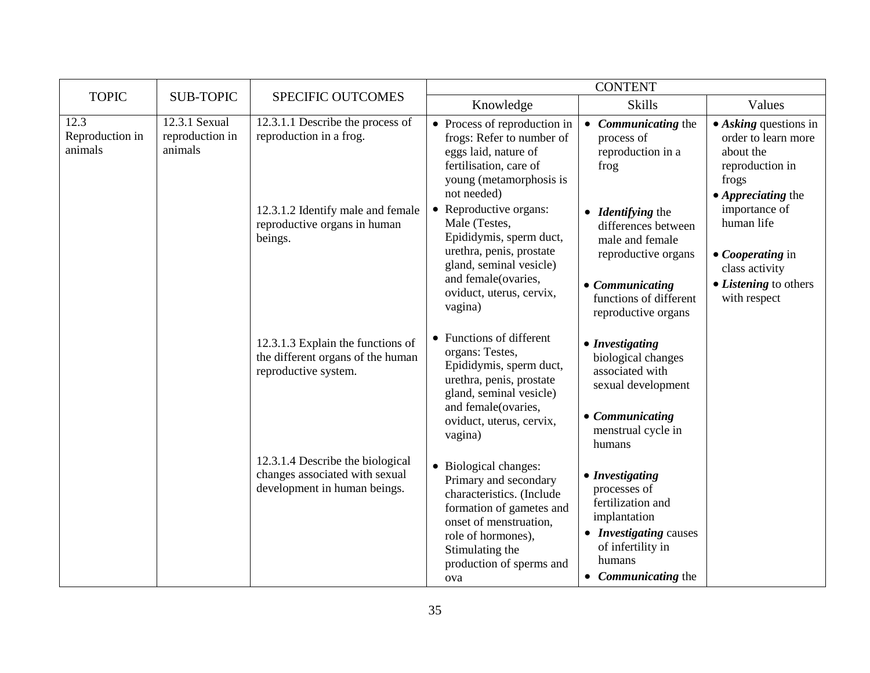| <b>TOPIC</b>                       | <b>SUB-TOPIC</b>                            | <b>SPECIFIC OUTCOMES</b>                                                                           | Knowledge                                                                                                                                                                                                     | <b>Skills</b>                                                                                                                                                 | Values                                                                                                                             |
|------------------------------------|---------------------------------------------|----------------------------------------------------------------------------------------------------|---------------------------------------------------------------------------------------------------------------------------------------------------------------------------------------------------------------|---------------------------------------------------------------------------------------------------------------------------------------------------------------|------------------------------------------------------------------------------------------------------------------------------------|
| 12.3<br>Reproduction in<br>animals | 12.3.1 Sexual<br>reproduction in<br>animals | 12.3.1.1 Describe the process of<br>reproduction in a frog.                                        | • Process of reproduction in<br>frogs: Refer to number of<br>eggs laid, nature of<br>fertilisation, care of<br>young (metamorphosis is<br>not needed)                                                         | <b>Communicating the</b><br>$\bullet$<br>process of<br>reproduction in a<br>frog                                                                              | $\bullet$ Asking questions in<br>order to learn more<br>about the<br>reproduction in<br>frogs<br>$\bullet$ <i>Appreciating the</i> |
|                                    | beings.<br>reproductive system.             | 12.3.1.2 Identify male and female<br>reproductive organs in human                                  | • Reproductive organs:<br>Male (Testes,<br>Epididymis, sperm duct,<br>urethra, penis, prostate<br>gland, seminal vesicle)<br>and female(ovaries,<br>oviduct, uterus, cervix,<br>vagina)                       | • <i>Identifying</i> the<br>differences between<br>male and female<br>reproductive organs<br>• Communicating<br>functions of different<br>reproductive organs | importance of<br>human life<br>• Cooperating in<br>class activity<br>• <i>Listening</i> to others<br>with respect                  |
|                                    |                                             | 12.3.1.3 Explain the functions of<br>the different organs of the human                             | • Functions of different<br>organs: Testes,<br>Epididymis, sperm duct,<br>urethra, penis, prostate<br>gland, seminal vesicle)<br>and female(ovaries,<br>oviduct, uterus, cervix,<br>vagina)                   | • Investigating<br>biological changes<br>associated with<br>sexual development<br>• Communicating<br>menstrual cycle in<br>humans                             |                                                                                                                                    |
|                                    |                                             | 12.3.1.4 Describe the biological<br>changes associated with sexual<br>development in human beings. | • Biological changes:<br>Primary and secondary<br>characteristics. (Include<br>formation of gametes and<br>onset of menstruation,<br>role of hormones),<br>Stimulating the<br>production of sperms and<br>ova | • Investigating<br>processes of<br>fertilization and<br>implantation<br>• <i>Investigating</i> causes<br>of infertility in<br>humans<br>• Communicating the   |                                                                                                                                    |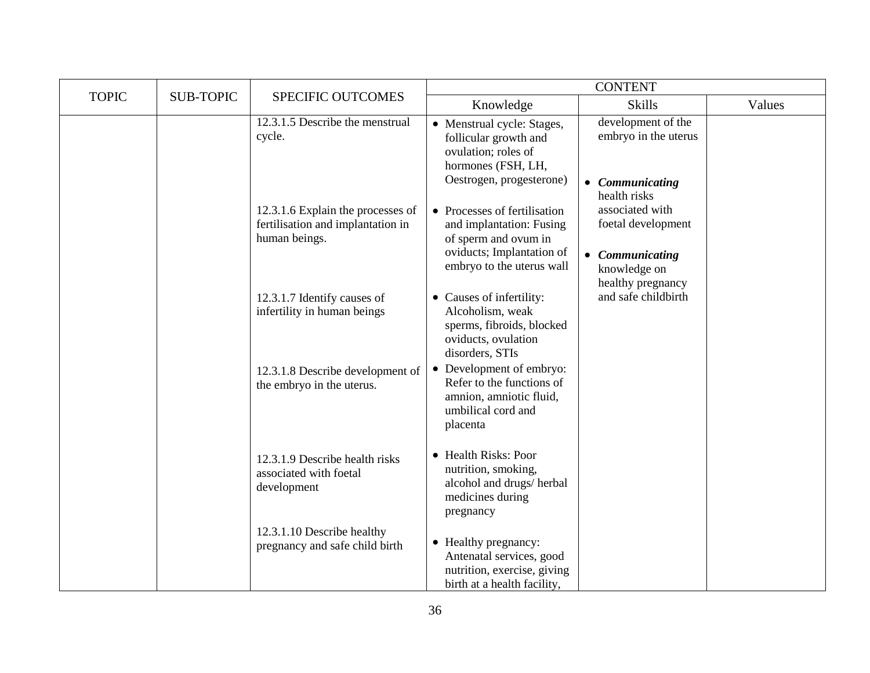|              |                  |                                                                                         |                                                                                                                                            | <b>CONTENT</b>                                                                                           |        |
|--------------|------------------|-----------------------------------------------------------------------------------------|--------------------------------------------------------------------------------------------------------------------------------------------|----------------------------------------------------------------------------------------------------------|--------|
| <b>TOPIC</b> | <b>SUB-TOPIC</b> | SPECIFIC OUTCOMES                                                                       | Knowledge                                                                                                                                  | <b>Skills</b>                                                                                            | Values |
|              |                  | 12.3.1.5 Describe the menstrual<br>cycle.                                               | • Menstrual cycle: Stages,<br>follicular growth and<br>ovulation; roles of<br>hormones (FSH, LH,<br>Oestrogen, progesterone)               | development of the<br>embryo in the uterus<br>Communicating<br>$\bullet$<br>health risks                 |        |
|              |                  | 12.3.1.6 Explain the processes of<br>fertilisation and implantation in<br>human beings. | • Processes of fertilisation<br>and implantation: Fusing<br>of sperm and ovum in<br>oviducts; Implantation of<br>embryo to the uterus wall | associated with<br>foetal development<br>Communicating<br>$\bullet$<br>knowledge on<br>healthy pregnancy |        |
|              |                  | 12.3.1.7 Identify causes of<br>infertility in human beings                              | • Causes of infertility:<br>Alcoholism, weak<br>sperms, fibroids, blocked<br>oviducts, ovulation<br>disorders, STIs                        | and safe childbirth                                                                                      |        |
|              |                  | 12.3.1.8 Describe development of<br>the embryo in the uterus.                           | • Development of embryo:<br>Refer to the functions of<br>amnion, amniotic fluid,<br>umbilical cord and<br>placenta                         |                                                                                                          |        |
|              |                  | 12.3.1.9 Describe health risks<br>associated with foetal<br>development                 | • Health Risks: Poor<br>nutrition, smoking,<br>alcohol and drugs/herbal<br>medicines during<br>pregnancy                                   |                                                                                                          |        |
|              |                  | 12.3.1.10 Describe healthy<br>pregnancy and safe child birth                            | • Healthy pregnancy:<br>Antenatal services, good<br>nutrition, exercise, giving<br>birth at a health facility,                             |                                                                                                          |        |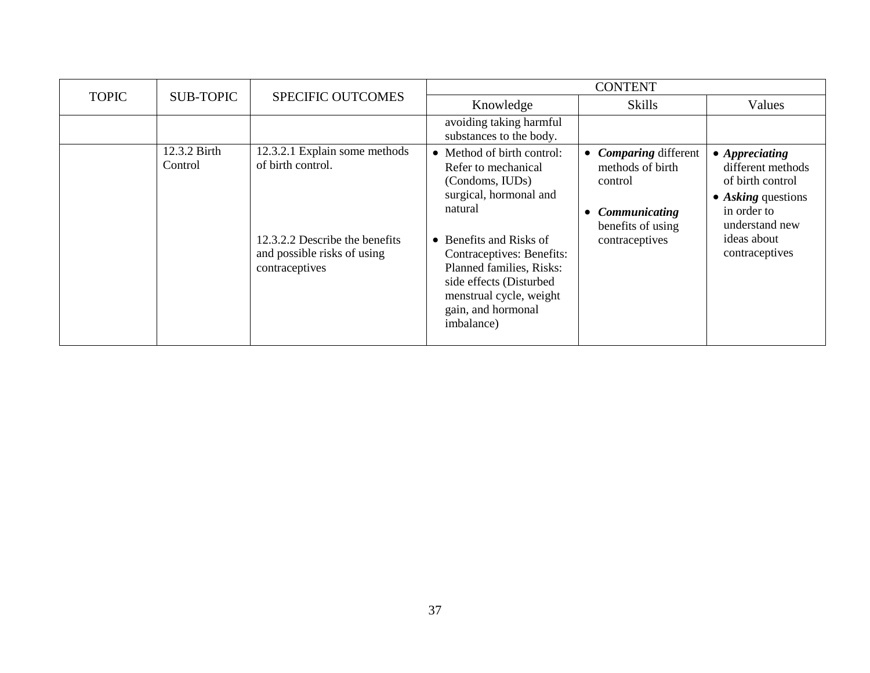|              |                         |                                                                                                                                       | <b>CONTENT</b>                                                                                                                                                                                                                                                                          |                                                                                                                   |                                                                                                                                                                 |
|--------------|-------------------------|---------------------------------------------------------------------------------------------------------------------------------------|-----------------------------------------------------------------------------------------------------------------------------------------------------------------------------------------------------------------------------------------------------------------------------------------|-------------------------------------------------------------------------------------------------------------------|-----------------------------------------------------------------------------------------------------------------------------------------------------------------|
| <b>TOPIC</b> | <b>SUB-TOPIC</b>        | <b>SPECIFIC OUTCOMES</b>                                                                                                              | Knowledge                                                                                                                                                                                                                                                                               | <b>Skills</b>                                                                                                     | Values                                                                                                                                                          |
|              |                         |                                                                                                                                       | avoiding taking harmful<br>substances to the body.                                                                                                                                                                                                                                      |                                                                                                                   |                                                                                                                                                                 |
|              | 12.3.2 Birth<br>Control | 12.3.2.1 Explain some methods<br>of birth control.<br>12.3.2.2 Describe the benefits<br>and possible risks of using<br>contraceptives | • Method of birth control:<br>Refer to mechanical<br>(Condoms, IUDs)<br>surgical, hormonal and<br>natural<br>• Benefits and Risks of<br>Contraceptives: Benefits:<br>Planned families, Risks:<br>side effects (Disturbed<br>menstrual cycle, weight<br>gain, and hormonal<br>imbalance) | <b>Comparing different</b><br>methods of birth<br>control<br>Communicating<br>benefits of using<br>contraceptives | $\bullet$ Appreciating<br>different methods<br>of birth control<br>$\bullet$ Asking questions<br>in order to<br>understand new<br>ideas about<br>contraceptives |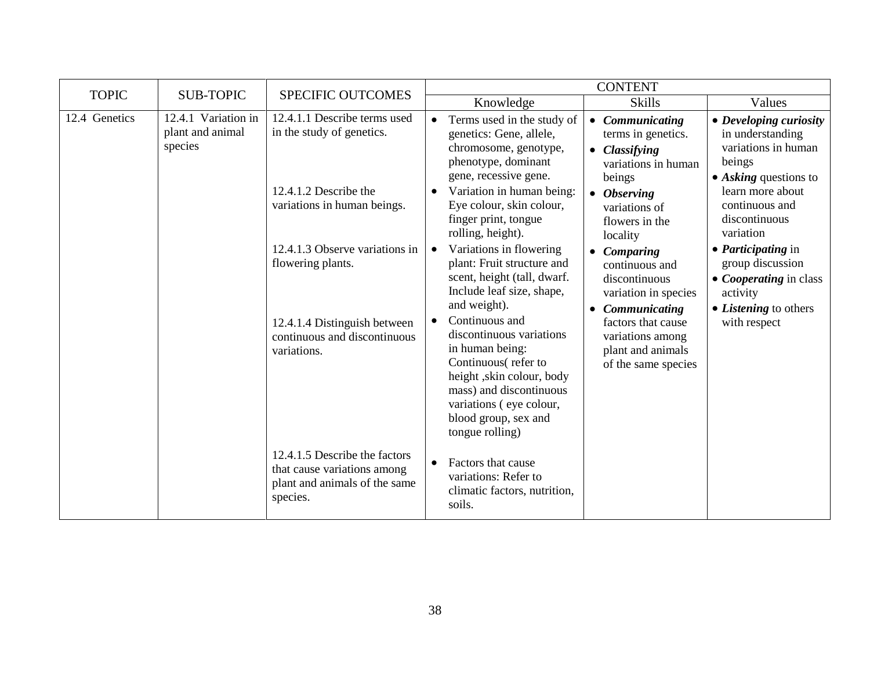| <b>TOPIC</b>  | <b>SUB-TOPIC</b>                                   | SPECIFIC OUTCOMES                                                                                         |                                                                                                                                                                                                                                 | <b>CONTENT</b>                                                                                                  |                                                                                                                     |
|---------------|----------------------------------------------------|-----------------------------------------------------------------------------------------------------------|---------------------------------------------------------------------------------------------------------------------------------------------------------------------------------------------------------------------------------|-----------------------------------------------------------------------------------------------------------------|---------------------------------------------------------------------------------------------------------------------|
|               |                                                    |                                                                                                           | Knowledge                                                                                                                                                                                                                       | <b>Skills</b>                                                                                                   | Values                                                                                                              |
| 12.4 Genetics | 12.4.1 Variation in<br>plant and animal<br>species | 12.4.1.1 Describe terms used<br>in the study of genetics.                                                 | Terms used in the study of<br>$\bullet$<br>genetics: Gene, allele,<br>chromosome, genotype,<br>phenotype, dominant<br>gene, recessive gene.                                                                                     | Communicating<br>$\bullet$<br>terms in genetics.<br>• Classifying<br>variations in human<br>beings              | • Developing curiosity<br>in understanding<br>variations in human<br>beings<br>$\bullet$ Asking questions to        |
|               |                                                    | 12.4.1.2 Describe the<br>variations in human beings.                                                      | Variation in human being:<br>$\bullet$<br>Eye colour, skin colour,<br>finger print, tongue<br>rolling, height).                                                                                                                 | $\bullet$ Observing<br>variations of<br>flowers in the<br>locality                                              | learn more about<br>continuous and<br>discontinuous<br>variation                                                    |
|               |                                                    | 12.4.1.3 Observe variations in<br>flowering plants.                                                       | Variations in flowering<br>$\bullet$<br>plant: Fruit structure and<br>scent, height (tall, dwarf.<br>Include leaf size, shape,<br>and weight).                                                                                  | Comparing<br>$\bullet$<br>continuous and<br>discontinuous<br>variation in species<br>Communicating<br>$\bullet$ | • <i>Participating</i> in<br>group discussion<br>• Cooperating in class<br>activity<br>• <i>Listening</i> to others |
|               |                                                    | 12.4.1.4 Distinguish between<br>continuous and discontinuous<br>variations.                               | Continuous and<br>$\bullet$<br>discontinuous variations<br>in human being:<br>Continuous(refer to<br>height, skin colour, body<br>mass) and discontinuous<br>variations (eye colour,<br>blood group, sex and<br>tongue rolling) | factors that cause<br>variations among<br>plant and animals<br>of the same species                              | with respect                                                                                                        |
|               |                                                    | 12.4.1.5 Describe the factors<br>that cause variations among<br>plant and animals of the same<br>species. | Factors that cause<br>$\bullet$<br>variations: Refer to<br>climatic factors, nutrition,<br>soils.                                                                                                                               |                                                                                                                 |                                                                                                                     |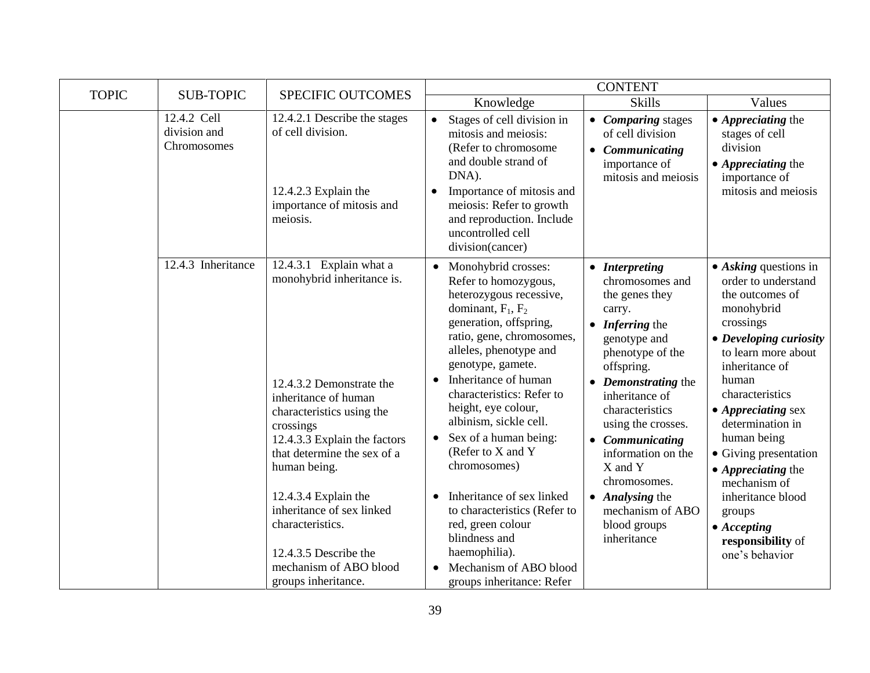| <b>TOPIC</b> | <b>SUB-TOPIC</b>                           |                                                                                                                                                                                                                                                                                                                                                                                       | <b>CONTENT</b>                                                                                                                                                                                                                                                                                                                                                                                                                                                                                                                                                                                                          |                                                                                                                                                                                                                                                                                                                                                                                                        |                                                                                                                                                                                                                                                                                                                                                                                                                                               |  |
|--------------|--------------------------------------------|---------------------------------------------------------------------------------------------------------------------------------------------------------------------------------------------------------------------------------------------------------------------------------------------------------------------------------------------------------------------------------------|-------------------------------------------------------------------------------------------------------------------------------------------------------------------------------------------------------------------------------------------------------------------------------------------------------------------------------------------------------------------------------------------------------------------------------------------------------------------------------------------------------------------------------------------------------------------------------------------------------------------------|--------------------------------------------------------------------------------------------------------------------------------------------------------------------------------------------------------------------------------------------------------------------------------------------------------------------------------------------------------------------------------------------------------|-----------------------------------------------------------------------------------------------------------------------------------------------------------------------------------------------------------------------------------------------------------------------------------------------------------------------------------------------------------------------------------------------------------------------------------------------|--|
|              |                                            | <b>SPECIFIC OUTCOMES</b>                                                                                                                                                                                                                                                                                                                                                              | Knowledge                                                                                                                                                                                                                                                                                                                                                                                                                                                                                                                                                                                                               | <b>Skills</b>                                                                                                                                                                                                                                                                                                                                                                                          | Values                                                                                                                                                                                                                                                                                                                                                                                                                                        |  |
|              | 12.4.2 Cell<br>division and<br>Chromosomes | 12.4.2.1 Describe the stages<br>of cell division.<br>12.4.2.3 Explain the<br>importance of mitosis and<br>meiosis.                                                                                                                                                                                                                                                                    | Stages of cell division in<br>$\bullet$<br>mitosis and meiosis:<br>(Refer to chromosome<br>and double strand of<br>DNA).<br>Importance of mitosis and<br>meiosis: Refer to growth<br>and reproduction. Include<br>uncontrolled cell<br>division(cancer)                                                                                                                                                                                                                                                                                                                                                                 | • Comparing stages<br>of cell division<br>Communicating<br>$\bullet$<br>importance of<br>mitosis and meiosis                                                                                                                                                                                                                                                                                           | $\bullet$ <i>Appreciating the</i><br>stages of cell<br>division<br>$\bullet$ Appreciating the<br>importance of<br>mitosis and meiosis                                                                                                                                                                                                                                                                                                         |  |
|              | 12.4.3 Inheritance                         | 12.4.3.1 Explain what a<br>monohybrid inheritance is.<br>12.4.3.2 Demonstrate the<br>inheritance of human<br>characteristics using the<br>crossings<br>12.4.3.3 Explain the factors<br>that determine the sex of a<br>human being.<br>12.4.3.4 Explain the<br>inheritance of sex linked<br>characteristics.<br>12.4.3.5 Describe the<br>mechanism of ABO blood<br>groups inheritance. | Monohybrid crosses:<br>$\bullet$<br>Refer to homozygous,<br>heterozygous recessive,<br>dominant, $F_1$ , $F_2$<br>generation, offspring,<br>ratio, gene, chromosomes,<br>alleles, phenotype and<br>genotype, gamete.<br>Inheritance of human<br>$\bullet$<br>characteristics: Refer to<br>height, eye colour,<br>albinism, sickle cell.<br>Sex of a human being:<br>$\bullet$<br>(Refer to X and Y<br>chromosomes)<br>Inheritance of sex linked<br>$\bullet$<br>to characteristics (Refer to<br>red, green colour<br>blindness and<br>haemophilia).<br>Mechanism of ABO blood<br>$\bullet$<br>groups inheritance: Refer | • Interpreting<br>chromosomes and<br>the genes they<br>carry.<br>Inferring the<br>$\bullet$<br>genotype and<br>phenotype of the<br>offspring.<br>• Demonstrating the<br>inheritance of<br>characteristics<br>using the crosses.<br><b>Communicating</b><br>$\bullet$<br>information on the<br>X and Y<br>chromosomes.<br>Analysing the<br>$\bullet$<br>mechanism of ABO<br>blood groups<br>inheritance | $\bullet$ Asking questions in<br>order to understand<br>the outcomes of<br>monohybrid<br>crossings<br>• Developing curiosity<br>to learn more about<br>inheritance of<br>human<br>characteristics<br>$\bullet$ Appreciating sex<br>determination in<br>human being<br>• Giving presentation<br>$\bullet$ <i>Appreciating the</i><br>mechanism of<br>inheritance blood<br>groups<br>$\bullet$ Accepting<br>responsibility of<br>one's behavior |  |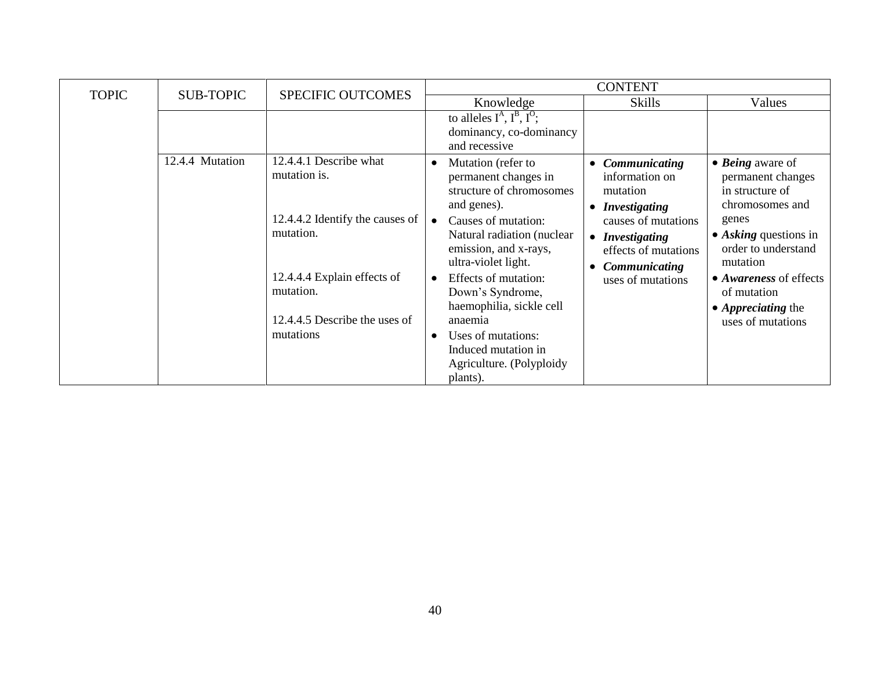| <b>TOPIC</b> | <b>SUB-TOPIC</b> | <b>SPECIFIC OUTCOMES</b>                     |                                                                                                   | <b>CONTENT</b>                                                                                                 |                                                                                            |
|--------------|------------------|----------------------------------------------|---------------------------------------------------------------------------------------------------|----------------------------------------------------------------------------------------------------------------|--------------------------------------------------------------------------------------------|
|              |                  |                                              | Knowledge                                                                                         | <b>Skills</b>                                                                                                  | Values                                                                                     |
|              |                  |                                              | to alleles $I^A$ , $I^B$ , $I^O$ ;<br>dominancy, co-dominancy<br>and recessive                    |                                                                                                                |                                                                                            |
|              | 12.4.4 Mutation  | 12.4.4.1 Describe what<br>mutation is.       | Mutation (refer to<br>permanent changes in<br>structure of chromosomes<br>and genes).             | Communicating<br>$\bullet$<br>information on<br>mutation<br><i>Investigating</i><br>$\bullet$                  | $\bullet$ <i>Being</i> aware of<br>permanent changes<br>in structure of<br>chromosomes and |
|              |                  | 12.4.4.2 Identify the causes of<br>mutation. | Causes of mutation:<br>Natural radiation (nuclear<br>emission, and x-rays,<br>ultra-violet light. | causes of mutations<br><b>Investigating</b><br>$\bullet$<br>effects of mutations<br>Communicating<br>$\bullet$ | genes<br>$\bullet$ Asking questions in<br>order to understand<br>mutation                  |
|              |                  | 12.4.4.4 Explain effects of<br>mutation.     | Effects of mutation:<br>Down's Syndrome,<br>haemophilia, sickle cell                              | uses of mutations                                                                                              | • <i>Awareness</i> of effects<br>of mutation<br>• <i>Appreciating</i> the                  |
|              |                  | 12.4.4.5 Describe the uses of<br>mutations   | anaemia<br>Uses of mutations:                                                                     |                                                                                                                | uses of mutations                                                                          |
|              |                  |                                              | Induced mutation in<br>Agriculture. (Polyploidy<br>plants).                                       |                                                                                                                |                                                                                            |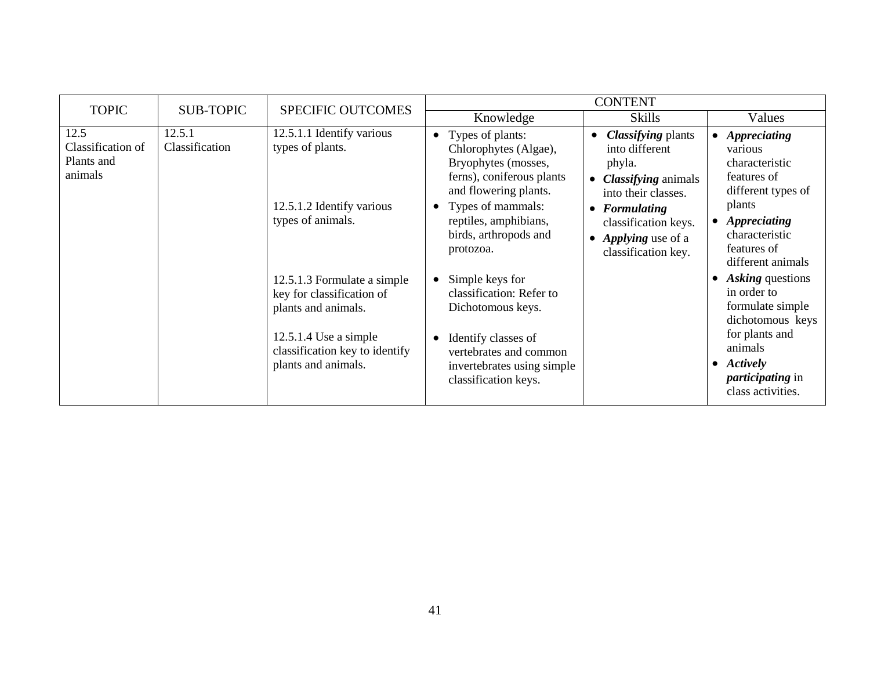| <b>TOPIC</b>                                       | <b>SUB-TOPIC</b>         | <b>SPECIFIC OUTCOMES</b>                                                                                                             | <b>CONTENT</b>                                                                                                                                                                                                                                          |                                                                                                                                                                                                           |                                                                                                                                                                                               |  |
|----------------------------------------------------|--------------------------|--------------------------------------------------------------------------------------------------------------------------------------|---------------------------------------------------------------------------------------------------------------------------------------------------------------------------------------------------------------------------------------------------------|-----------------------------------------------------------------------------------------------------------------------------------------------------------------------------------------------------------|-----------------------------------------------------------------------------------------------------------------------------------------------------------------------------------------------|--|
|                                                    |                          |                                                                                                                                      | Knowledge                                                                                                                                                                                                                                               | <b>Skills</b>                                                                                                                                                                                             | Values                                                                                                                                                                                        |  |
| 12.5<br>Classification of<br>Plants and<br>animals | 12.5.1<br>Classification | 12.5.1.1 Identify various<br>types of plants.<br>12.5.1.2 Identify various<br>types of animals.<br>12.5.1.3 Formulate a simple       | Types of plants:<br>$\bullet$<br>Chlorophytes (Algae),<br>Bryophytes (mosses,<br>ferns), coniferous plants<br>and flowering plants.<br>Types of mammals:<br>reptiles, amphibians,<br>birds, arthropods and<br>protozoa.<br>Simple keys for<br>$\bullet$ | <b>Classifying plants</b><br>into different<br>phyla.<br><i>Classifying</i> animals<br>into their classes.<br>$\bullet$ Formulating<br>classification keys.<br>• Applying use of a<br>classification key. | • Appreciating<br>various<br>characteristic<br>features of<br>different types of<br>plants<br>• Appreciating<br>characteristic<br>features of<br>different animals<br><b>Asking</b> questions |  |
|                                                    |                          | key for classification of<br>plants and animals.<br>$12.5.1.4$ Use a simple<br>classification key to identify<br>plants and animals. | classification: Refer to<br>Dichotomous keys.<br>Identify classes of<br>vertebrates and common<br>invertebrates using simple<br>classification keys.                                                                                                    |                                                                                                                                                                                                           | in order to<br>formulate simple<br>dichotomous keys<br>for plants and<br>animals<br>$\bullet$ Actively<br><i>participating</i> in<br>class activities.                                        |  |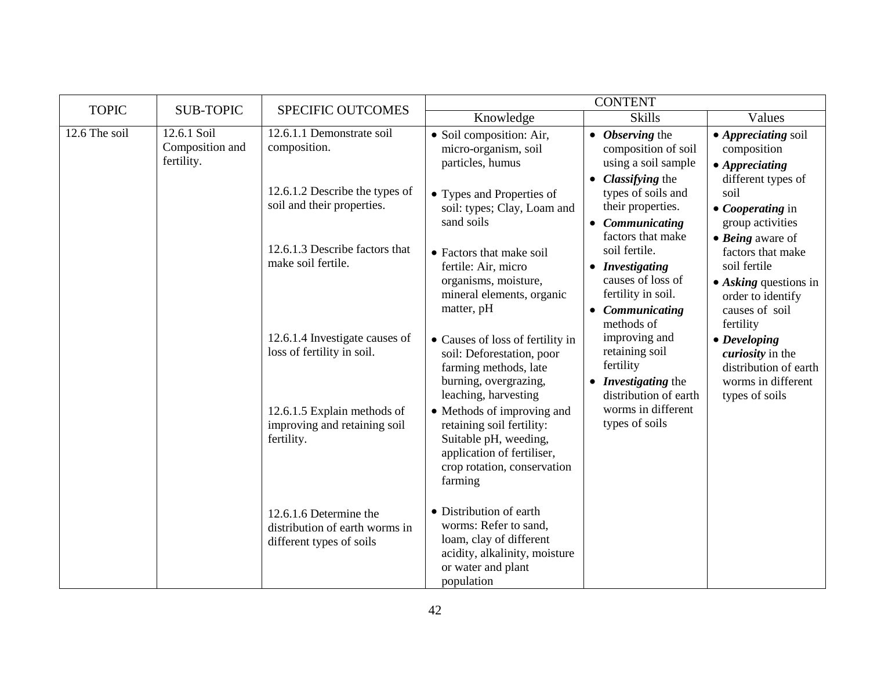| <b>TOPIC</b>  | <b>SUB-TOPIC</b>                             | <b>SPECIFIC OUTCOMES</b>                                                             | <b>CONTENT</b>                                                                                                                                           |                                                                                                            |                                                                                                                        |  |
|---------------|----------------------------------------------|--------------------------------------------------------------------------------------|----------------------------------------------------------------------------------------------------------------------------------------------------------|------------------------------------------------------------------------------------------------------------|------------------------------------------------------------------------------------------------------------------------|--|
|               |                                              |                                                                                      | Knowledge                                                                                                                                                | <b>Skills</b>                                                                                              | Values                                                                                                                 |  |
| 12.6 The soil | 12.6.1 Soil<br>Composition and<br>fertility. | 12.6.1.1 Demonstrate soil<br>composition.                                            | • Soil composition: Air,<br>micro-organism, soil<br>particles, humus                                                                                     | • Observing the<br>composition of soil<br>using a soil sample<br>Classifying the                           | • Appreciating soil<br>composition<br>$\bullet$ Appreciating<br>different types of                                     |  |
|               |                                              | 12.6.1.2 Describe the types of<br>soil and their properties.                         | • Types and Properties of<br>soil: types; Clay, Loam and<br>sand soils                                                                                   | types of soils and<br>their properties.<br>• Communicating<br>factors that make                            | soil<br>• Cooperating in<br>group activities<br>$\bullet$ <i>Being</i> aware of                                        |  |
|               |                                              | 12.6.1.3 Describe factors that<br>make soil fertile.                                 | • Factors that make soil<br>fertile: Air, micro<br>organisms, moisture,<br>mineral elements, organic<br>matter, pH                                       | soil fertile.<br>• Investigating<br>causes of loss of<br>fertility in soil.<br>Communicating<br>methods of | factors that make<br>soil fertile<br>$\bullet$ Asking questions in<br>order to identify<br>causes of soil<br>fertility |  |
|               |                                              | 12.6.1.4 Investigate causes of<br>loss of fertility in soil.                         | • Causes of loss of fertility in<br>soil: Deforestation, poor<br>farming methods, late<br>burning, overgrazing,<br>leaching, harvesting                  | improving and<br>retaining soil<br>fertility<br>• Investigating the<br>distribution of earth               | $\bullet$ Developing<br><i>curiosity</i> in the<br>distribution of earth<br>worms in different<br>types of soils       |  |
|               |                                              | 12.6.1.5 Explain methods of<br>improving and retaining soil<br>fertility.            | • Methods of improving and<br>retaining soil fertility:<br>Suitable pH, weeding,<br>application of fertiliser,<br>crop rotation, conservation<br>farming | worms in different<br>types of soils                                                                       |                                                                                                                        |  |
|               |                                              | 12.6.1.6 Determine the<br>distribution of earth worms in<br>different types of soils | • Distribution of earth<br>worms: Refer to sand,<br>loam, clay of different<br>acidity, alkalinity, moisture<br>or water and plant<br>population         |                                                                                                            |                                                                                                                        |  |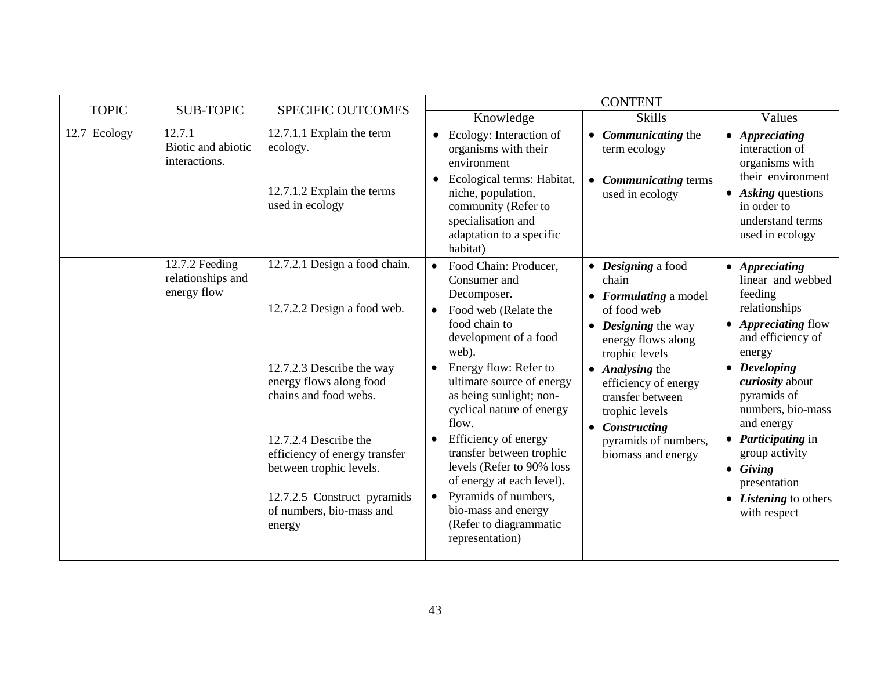| <b>TOPIC</b> | <b>SUB-TOPIC</b>                                   | <b>SPECIFIC OUTCOMES</b>                                                                                                                      | <b>CONTENT</b>                                                                                                                                                                                                                                            |                                                                                                                                                                                                                  |                                                                                                                                                                                        |
|--------------|----------------------------------------------------|-----------------------------------------------------------------------------------------------------------------------------------------------|-----------------------------------------------------------------------------------------------------------------------------------------------------------------------------------------------------------------------------------------------------------|------------------------------------------------------------------------------------------------------------------------------------------------------------------------------------------------------------------|----------------------------------------------------------------------------------------------------------------------------------------------------------------------------------------|
|              |                                                    |                                                                                                                                               | Knowledge                                                                                                                                                                                                                                                 | <b>Skills</b>                                                                                                                                                                                                    | Values                                                                                                                                                                                 |
| 12.7 Ecology | 12.7.1<br>Biotic and abiotic<br>interactions.      | 12.7.1.1 Explain the term<br>ecology.<br>12.7.1.2 Explain the terms<br>used in ecology                                                        | • Ecology: Interaction of<br>organisms with their<br>environment<br>• Ecological terms: Habitat,<br>niche, population,<br>community (Refer to<br>specialisation and<br>adaptation to a specific<br>habitat)                                               | • <i>Communicating</i> the<br>term ecology<br>• Communicating terms<br>used in ecology                                                                                                                           | • Appreciating<br>interaction of<br>organisms with<br>their environment<br>• Asking questions<br>in order to<br>understand terms<br>used in ecology                                    |
|              | 12.7.2 Feeding<br>relationships and<br>energy flow | 12.7.2.1 Design a food chain.<br>12.7.2.2 Design a food web.<br>12.7.2.3 Describe the way<br>energy flows along food<br>chains and food webs. | • Food Chain: Producer,<br>Consumer and<br>Decomposer.<br>Food web (Relate the<br>$\bullet$<br>food chain to<br>development of a food<br>web).<br>Energy flow: Refer to<br>ultimate source of energy<br>as being sunlight; non-                           | • Designing a food<br>chain<br>• Formulating a model<br>of food web<br>$\bullet$ <i>Designing</i> the way<br>energy flows along<br>trophic levels<br>• Analysing the<br>efficiency of energy<br>transfer between | • Appreciating<br>linear and webbed<br>feeding<br>relationships<br>• <i>Appreciating flow</i><br>and efficiency of<br>energy<br>$\bullet$ Developing<br>curiosity about<br>pyramids of |
|              | energy                                             | 12.7.2.4 Describe the<br>efficiency of energy transfer<br>between trophic levels.<br>12.7.2.5 Construct pyramids<br>of numbers, bio-mass and  | cyclical nature of energy<br>flow.<br>Efficiency of energy<br>$\bullet$<br>transfer between trophic<br>levels (Refer to 90% loss<br>of energy at each level).<br>Pyramids of numbers,<br>bio-mass and energy<br>(Refer to diagrammatic<br>representation) | trophic levels<br>• Constructing<br>pyramids of numbers,<br>biomass and energy                                                                                                                                   | numbers, bio-mass<br>and energy<br>• <i>Participating</i> in<br>group activity<br>$\bullet$ Giving<br>presentation<br>• <i>Listening</i> to others<br>with respect                     |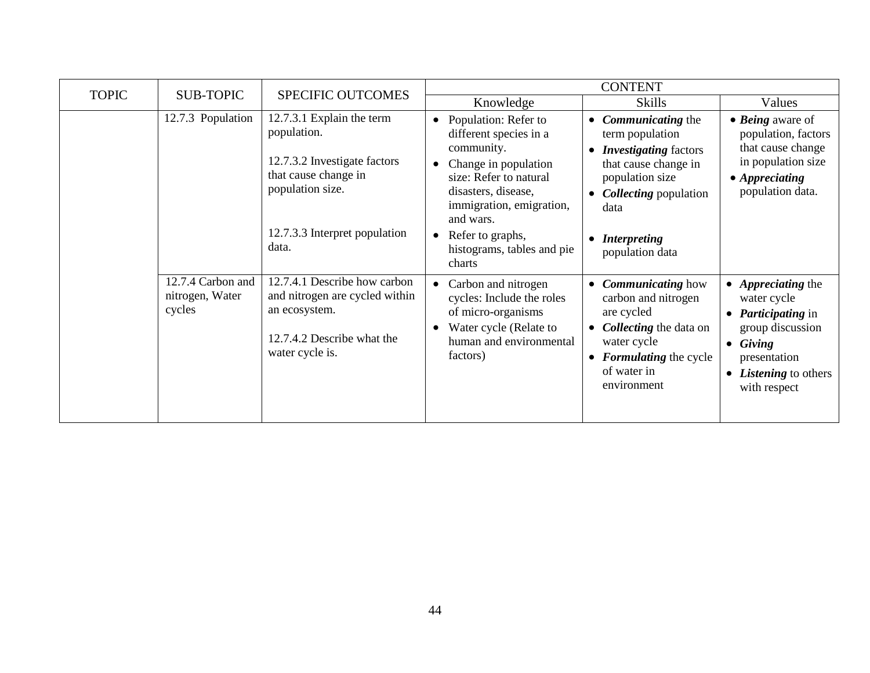| <b>TOPIC</b> | <b>SUB-TOPIC</b>                               | <b>SPECIFIC OUTCOMES</b>                                                                                                         | <b>CONTENT</b>                                                                                                                                                                 |                                                                                                                                                                                       |                                                                                                                                                                        |  |
|--------------|------------------------------------------------|----------------------------------------------------------------------------------------------------------------------------------|--------------------------------------------------------------------------------------------------------------------------------------------------------------------------------|---------------------------------------------------------------------------------------------------------------------------------------------------------------------------------------|------------------------------------------------------------------------------------------------------------------------------------------------------------------------|--|
|              |                                                |                                                                                                                                  | Knowledge                                                                                                                                                                      | <b>Skills</b>                                                                                                                                                                         | Values                                                                                                                                                                 |  |
|              | 12.7.3 Population                              | 12.7.3.1 Explain the term<br>population.<br>12.7.3.2 Investigate factors<br>that cause change in<br>population size.             | Population: Refer to<br>different species in a<br>community.<br>Change in population<br>size: Refer to natural<br>disasters, disease,<br>immigration, emigration,<br>and wars. | • <i>Communicating</i> the<br>term population<br><b>Investigating</b> factors<br>that cause change in<br>population size<br><b>Collecting</b> population<br>data                      | $\bullet$ <i>Being</i> aware of<br>population, factors<br>that cause change<br>in population size<br>$\bullet$ Appreciating<br>population data.                        |  |
|              |                                                | 12.7.3.3 Interpret population<br>data.                                                                                           | Refer to graphs,<br>$\bullet$<br>histograms, tables and pie<br>charts                                                                                                          | • Interpreting<br>population data                                                                                                                                                     |                                                                                                                                                                        |  |
|              | 12.7.4 Carbon and<br>nitrogen, Water<br>cycles | 12.7.4.1 Describe how carbon<br>and nitrogen are cycled within<br>an ecosystem.<br>12.7.4.2 Describe what the<br>water cycle is. | Carbon and nitrogen<br>cycles: Include the roles<br>of micro-organisms<br>Water cycle (Relate to<br>human and environmental<br>factors)                                        | <b>Communicating how</b><br>$\bullet$<br>carbon and nitrogen<br>are cycled<br>• <i>Collecting</i> the data on<br>water cycle<br>• Formulating the cycle<br>of water in<br>environment | • Appreciating the<br>water cycle<br>• <i>Participating</i> in<br>group discussion<br>$\bullet$ Giving<br>presentation<br>• <i>Listening</i> to others<br>with respect |  |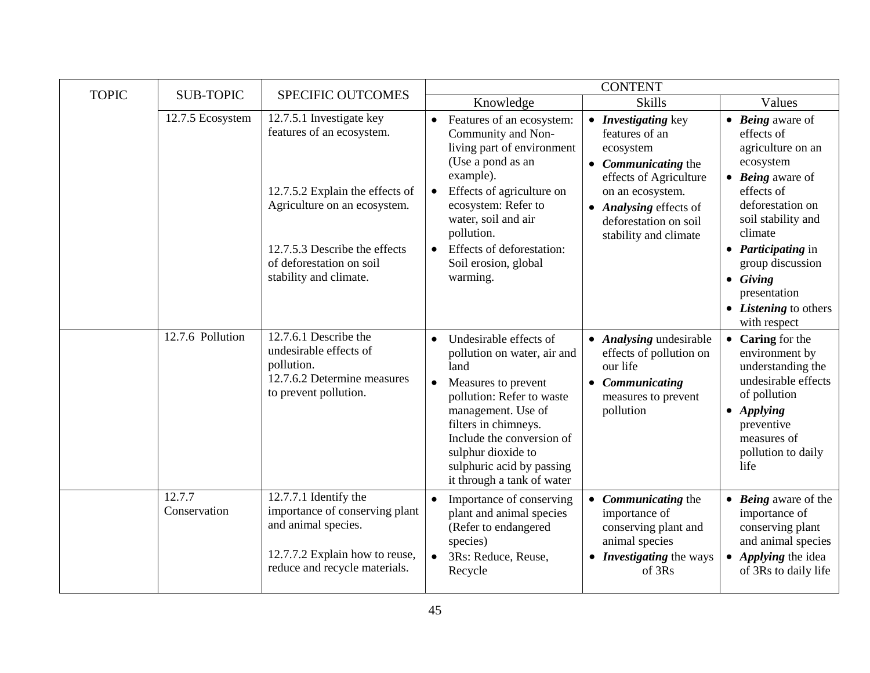|              |                        |                                                                                                                                                                                                                 | <b>CONTENT</b>                                                                                                                                                                                                                                                                                          |                                                                                                                                                                                                            |                                                                                                                                                                                                                                                                                                                     |  |
|--------------|------------------------|-----------------------------------------------------------------------------------------------------------------------------------------------------------------------------------------------------------------|---------------------------------------------------------------------------------------------------------------------------------------------------------------------------------------------------------------------------------------------------------------------------------------------------------|------------------------------------------------------------------------------------------------------------------------------------------------------------------------------------------------------------|---------------------------------------------------------------------------------------------------------------------------------------------------------------------------------------------------------------------------------------------------------------------------------------------------------------------|--|
| <b>TOPIC</b> | <b>SUB-TOPIC</b>       | <b>SPECIFIC OUTCOMES</b>                                                                                                                                                                                        | Knowledge                                                                                                                                                                                                                                                                                               | <b>Skills</b>                                                                                                                                                                                              | Values                                                                                                                                                                                                                                                                                                              |  |
|              | 12.7.5 Ecosystem       | 12.7.5.1 Investigate key<br>features of an ecosystem.<br>12.7.5.2 Explain the effects of<br>Agriculture on an ecosystem.<br>12.7.5.3 Describe the effects<br>of deforestation on soil<br>stability and climate. | • Features of an ecosystem:<br>Community and Non-<br>living part of environment<br>(Use a pond as an<br>example).<br>Effects of agriculture on<br>ecosystem: Refer to<br>water, soil and air<br>pollution.<br>Effects of deforestation:<br>Soil erosion, global<br>warming.                             | • Investigating key<br>features of an<br>ecosystem<br>• <i>Communicating</i> the<br>effects of Agriculture<br>on an ecosystem.<br>• Analysing effects of<br>deforestation on soil<br>stability and climate | $\bullet$ <i>Being</i> aware of<br>effects of<br>agriculture on an<br>ecosystem<br>$\bullet$ Being aware of<br>effects of<br>deforestation on<br>soil stability and<br>climate<br>• <i>Participating</i> in<br>group discussion<br>$\bullet$ Giving<br>presentation<br>• <i>Listening</i> to others<br>with respect |  |
|              | 12.7.6 Pollution       | 12.7.6.1 Describe the<br>undesirable effects of<br>pollution.<br>12.7.6.2 Determine measures<br>to prevent pollution.                                                                                           | Undesirable effects of<br>$\bullet$<br>pollution on water, air and<br>land<br>Measures to prevent<br>$\bullet$<br>pollution: Refer to waste<br>management. Use of<br>filters in chimneys.<br>Include the conversion of<br>sulphur dioxide to<br>sulphuric acid by passing<br>it through a tank of water | • Analysing undesirable<br>effects of pollution on<br>our life<br>• Communicating<br>measures to prevent<br>pollution                                                                                      | $\bullet$ Caring for the<br>environment by<br>understanding the<br>undesirable effects<br>of pollution<br>$\bullet$ Applying<br>preventive<br>measures of<br>pollution to daily<br>life                                                                                                                             |  |
|              | 12.7.7<br>Conservation | 12.7.7.1 Identify the<br>importance of conserving plant<br>and animal species.<br>12.7.7.2 Explain how to reuse,<br>reduce and recycle materials.                                                               | Importance of conserving<br>$\bullet$<br>plant and animal species<br>(Refer to endangered<br>species)<br>3Rs: Reduce, Reuse,<br>$\bullet$<br>Recycle                                                                                                                                                    | • Communicating the<br>importance of<br>conserving plant and<br>animal species<br>• <i>Investigating</i> the ways<br>of 3Rs                                                                                | • Being aware of the<br>importance of<br>conserving plant<br>and animal species<br>• Applying the idea<br>of 3Rs to daily life                                                                                                                                                                                      |  |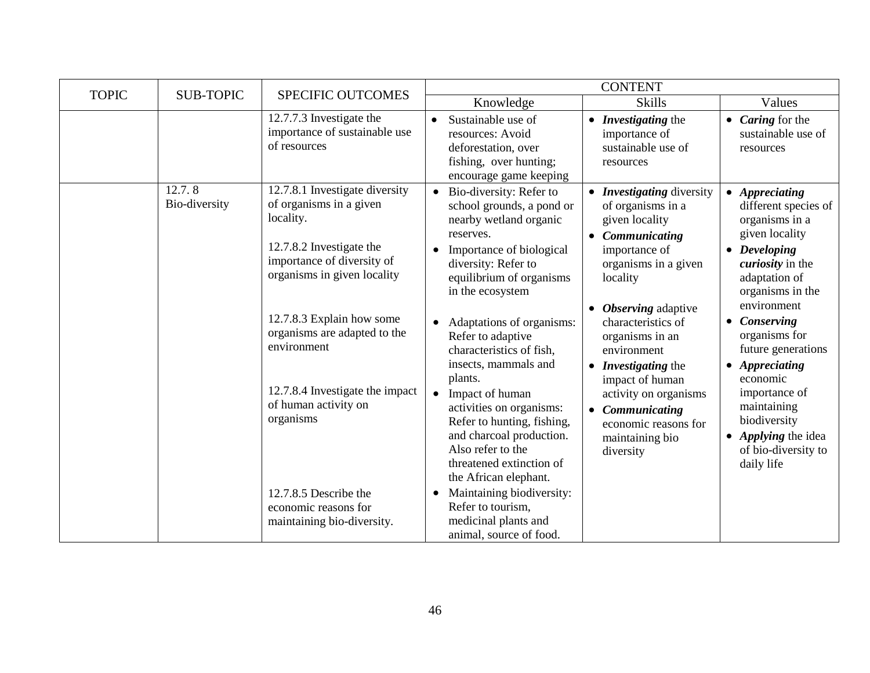| Knowledge<br><b>Skills</b><br>Values<br>12.7.7.3 Investigate the<br>Sustainable use of<br>• Investigating the<br>$\bullet$ <i>Caring</i> for the<br>importance of sustainable use<br>sustainable use of<br>resources: Avoid<br>importance of<br>of resources<br>sustainable use of<br>deforestation, over<br>resources<br>fishing, over hunting;<br>resources<br>encourage game keeping<br>12.7.8<br>12.7.8.1 Investigate diversity<br>• Bio-diversity: Refer to<br>• <i>Investigating</i> diversity<br>• Appreciating<br>Bio-diversity<br>of organisms in a given<br>school grounds, a pond or<br>of organisms in a<br>locality.<br>nearby wetland organic<br>given locality<br>organisms in a<br>given locality<br>reserves.<br>Communicating<br>12.7.8.2 Investigate the<br>Importance of biological<br>importance of<br>• Developing<br>importance of diversity of<br>diversity: Refer to<br>organisms in a given<br><i>curiosity</i> in the<br>organisms in given locality<br>equilibrium of organisms<br>locality<br>adaptation of<br>in the ecosystem<br>organisms in the<br>environment<br><b>Observing</b> adaptive<br>12.7.8.3 Explain how some<br>Adaptations of organisms:<br>characteristics of<br>• Conserving<br>$\bullet$<br>organisms are adapted to the<br>organisms for<br>Refer to adaptive<br>organisms in an<br>environment<br>future generations<br>characteristics of fish,<br>environment<br>insects, mammals and<br>• Appreciating<br>• <i>Investigating</i> the<br>plants.<br>economic<br>impact of human<br>12.7.8.4 Investigate the impact<br>importance of<br>• Impact of human<br>activity on organisms<br>of human activity on<br>maintaining<br>activities on organisms:<br>• Communicating<br>organisms<br>biodiversity<br>Refer to hunting, fishing,<br>economic reasons for<br>and charcoal production.<br>• Applying the idea<br>maintaining bio<br>Also refer to the<br>of bio-diversity to<br>diversity<br>threatened extinction of<br>daily life<br>the African elephant.<br>12.7.8.5 Describe the<br>$\bullet$ | <b>TOPIC</b> | <b>SUB-TOPIC</b> | <b>SPECIFIC OUTCOMES</b> | <b>CONTENT</b>            |  |                      |  |
|---------------------------------------------------------------------------------------------------------------------------------------------------------------------------------------------------------------------------------------------------------------------------------------------------------------------------------------------------------------------------------------------------------------------------------------------------------------------------------------------------------------------------------------------------------------------------------------------------------------------------------------------------------------------------------------------------------------------------------------------------------------------------------------------------------------------------------------------------------------------------------------------------------------------------------------------------------------------------------------------------------------------------------------------------------------------------------------------------------------------------------------------------------------------------------------------------------------------------------------------------------------------------------------------------------------------------------------------------------------------------------------------------------------------------------------------------------------------------------------------------------------------------------------------------------------------------------------------------------------------------------------------------------------------------------------------------------------------------------------------------------------------------------------------------------------------------------------------------------------------------------------------------------------------------------------------------------------------------------------------------------------------------------------------------------|--------------|------------------|--------------------------|---------------------------|--|----------------------|--|
|                                                                                                                                                                                                                                                                                                                                                                                                                                                                                                                                                                                                                                                                                                                                                                                                                                                                                                                                                                                                                                                                                                                                                                                                                                                                                                                                                                                                                                                                                                                                                                                                                                                                                                                                                                                                                                                                                                                                                                                                                                                         |              |                  |                          |                           |  |                      |  |
|                                                                                                                                                                                                                                                                                                                                                                                                                                                                                                                                                                                                                                                                                                                                                                                                                                                                                                                                                                                                                                                                                                                                                                                                                                                                                                                                                                                                                                                                                                                                                                                                                                                                                                                                                                                                                                                                                                                                                                                                                                                         |              |                  |                          |                           |  |                      |  |
| Refer to tourism.<br>economic reasons for<br>medicinal plants and<br>maintaining bio-diversity.                                                                                                                                                                                                                                                                                                                                                                                                                                                                                                                                                                                                                                                                                                                                                                                                                                                                                                                                                                                                                                                                                                                                                                                                                                                                                                                                                                                                                                                                                                                                                                                                                                                                                                                                                                                                                                                                                                                                                         |              |                  |                          | Maintaining biodiversity: |  | different species of |  |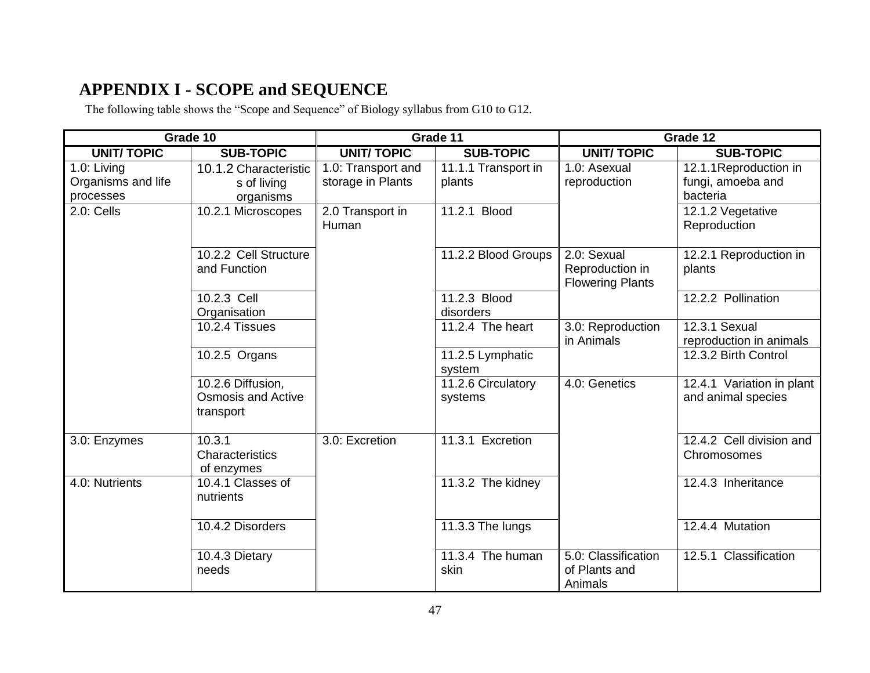# **APPENDIX I - SCOPE and SEQUENCE**

The following table shows the "Scope and Sequence" of Biology syllabus from G10 to G12.

|                                                | Grade 10                                                    | Grade 11                                |                               | Grade 12                                                  |                                                        |
|------------------------------------------------|-------------------------------------------------------------|-----------------------------------------|-------------------------------|-----------------------------------------------------------|--------------------------------------------------------|
| <b>UNIT/TOPIC</b>                              | <b>SUB-TOPIC</b>                                            | <b>UNIT/TOPIC</b>                       | <b>SUB-TOPIC</b>              | <b>UNIT/TOPIC</b>                                         | <b>SUB-TOPIC</b>                                       |
| 1.0: Living<br>Organisms and life<br>processes | 10.1.2 Characteristic<br>s of living<br>organisms           | 1.0: Transport and<br>storage in Plants | 11.1.1 Transport in<br>plants | 1.0: Asexual<br>reproduction                              | 12.1.1Reproduction in<br>fungi, amoeba and<br>bacteria |
| 2.0: Cells                                     | 10.2.1 Microscopes                                          | 2.0 Transport in<br>Human               | 11.2.1 Blood                  |                                                           | 12.1.2 Vegetative<br>Reproduction                      |
|                                                | 10.2.2 Cell Structure<br>and Function                       |                                         | 11.2.2 Blood Groups           | 2.0: Sexual<br>Reproduction in<br><b>Flowering Plants</b> | 12.2.1 Reproduction in<br>plants                       |
|                                                | 10.2.3 Cell<br>Organisation                                 |                                         | 11.2.3 Blood<br>disorders     |                                                           | 12.2.2 Pollination                                     |
|                                                | 10.2.4 Tissues                                              |                                         | 11.2.4 The heart              | 3.0: Reproduction<br>in Animals                           | 12.3.1 Sexual<br>reproduction in animals               |
|                                                | 10.2.5 Organs                                               |                                         | 11.2.5 Lymphatic<br>system    |                                                           | 12.3.2 Birth Control                                   |
|                                                | 10.2.6 Diffusion,<br><b>Osmosis and Active</b><br>transport |                                         | 11.2.6 Circulatory<br>systems | 4.0: Genetics                                             | 12.4.1 Variation in plant<br>and animal species        |
| 3.0: Enzymes                                   | 10.3.1<br>Characteristics<br>of enzymes                     | 3.0: Excretion                          | 11.3.1 Excretion              |                                                           | 12.4.2 Cell division and<br>Chromosomes                |
| 4.0: Nutrients                                 | 10.4.1 Classes of<br>nutrients                              |                                         | $11.3.2$ The kidney           |                                                           | 12.4.3 Inheritance                                     |
|                                                | 10.4.2 Disorders                                            |                                         | 11.3.3 The lungs              |                                                           | 12.4.4 Mutation                                        |
|                                                | 10.4.3 Dietary<br>needs                                     |                                         | 11.3.4 The human<br>skin      | 5.0: Classification<br>of Plants and<br>Animals           | 12.5.1 Classification                                  |